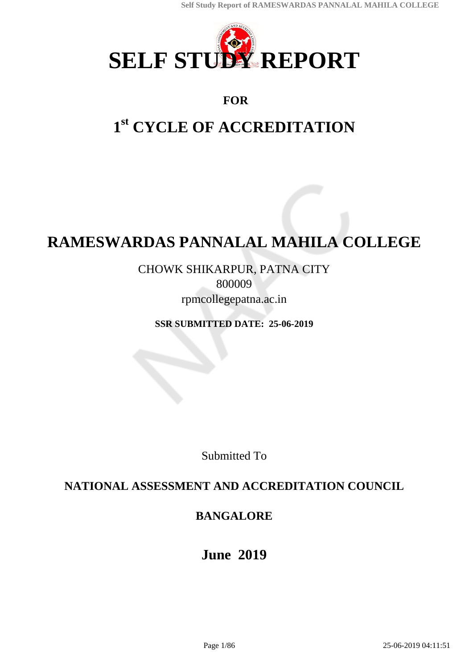

# **FOR**

# **1 st CYCLE OF ACCREDITATION**

# **RAMESWARDAS PANNALAL MAHILA COLLEGE**

CHOWK SHIKARPUR, PATNA CITY 800009 rpmcollegepatna.ac.in

**SSR SUBMITTED DATE: 25-06-2019**

Submitted To

# **NATIONAL ASSESSMENT AND ACCREDITATION COUNCIL**

# **BANGALORE**

**June 2019**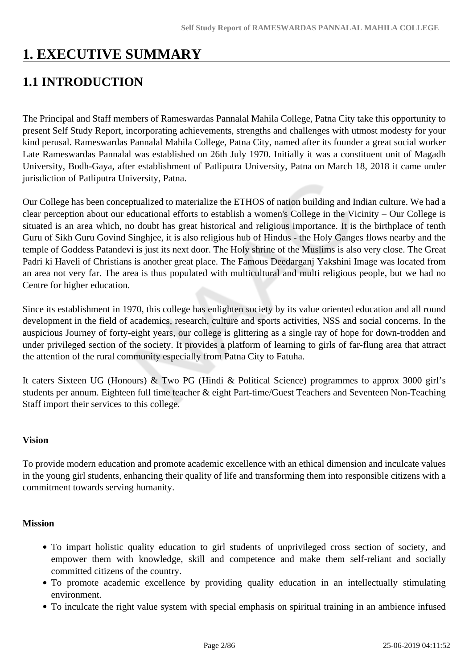# **1. EXECUTIVE SUMMARY**

# **1.1 INTRODUCTION**

The Principal and Staff members of Rameswardas Pannalal Mahila College, Patna City take this opportunity to present Self Study Report, incorporating achievements, strengths and challenges with utmost modesty for your kind perusal. Rameswardas Pannalal Mahila College, Patna City, named after its founder a great social worker Late Rameswardas Pannalal was established on 26th July 1970. Initially it was a constituent unit of Magadh University, Bodh-Gaya, after establishment of Patliputra University, Patna on March 18, 2018 it came under jurisdiction of Patliputra University, Patna.

Our College has been conceptualized to materialize the ETHOS of nation building and Indian culture. We had a clear perception about our educational efforts to establish a women's College in the Vicinity – Our College is situated is an area which, no doubt has great historical and religious importance. It is the birthplace of tenth Guru of Sikh Guru Govind Singhjee, it is also religious hub of Hindus - the Holy Ganges flows nearby and the temple of Goddess Patandevi is just its next door. The Holy shrine of the Muslims is also very close. The Great Padri ki Haveli of Christians is another great place. The Famous Deedarganj Yakshini Image was located from an area not very far. The area is thus populated with multicultural and multi religious people, but we had no Centre for higher education.

Since its establishment in 1970, this college has enlighten society by its value oriented education and all round development in the field of academics, research, culture and sports activities, NSS and social concerns. In the auspicious Journey of forty-eight years, our college is glittering as a single ray of hope for down-trodden and under privileged section of the society. It provides a platform of learning to girls of far-flung area that attract the attention of the rural community especially from Patna City to Fatuha.

It caters Sixteen UG (Honours) & Two PG (Hindi & Political Science) programmes to approx 3000 girl's students per annum. Eighteen full time teacher & eight Part-time/Guest Teachers and Seventeen Non-Teaching Staff import their services to this college.

#### **Vision**

To provide modern education and promote academic excellence with an ethical dimension and inculcate values in the young girl students, enhancing their quality of life and transforming them into responsible citizens with a commitment towards serving humanity.

## **Mission**

- To impart holistic quality education to girl students of unprivileged cross section of society, and empower them with knowledge, skill and competence and make them self-reliant and socially committed citizens of the country.
- To promote academic excellence by providing quality education in an intellectually stimulating environment.
- To inculcate the right value system with special emphasis on spiritual training in an ambience infused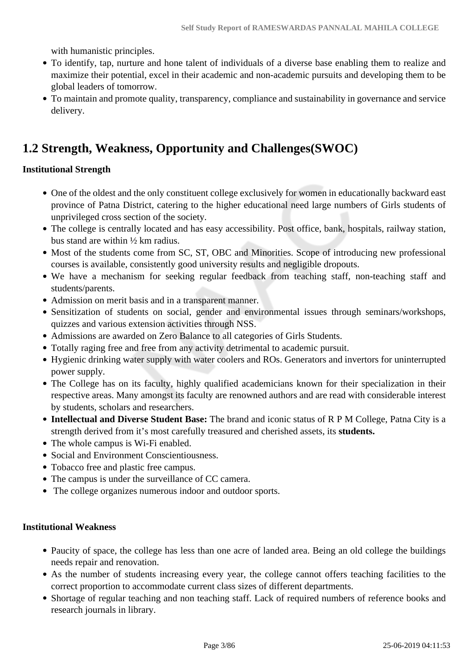with humanistic principles.

- To identify, tap, nurture and hone talent of individuals of a diverse base enabling them to realize and maximize their potential, excel in their academic and non-academic pursuits and developing them to be global leaders of tomorrow.
- To maintain and promote quality, transparency, compliance and sustainability in governance and service delivery.

# **1.2 Strength, Weakness, Opportunity and Challenges(SWOC)**

#### **Institutional Strength**

- One of the oldest and the only constituent college exclusively for women in educationally backward east province of Patna District, catering to the higher educational need large numbers of Girls students of unprivileged cross section of the society.
- The college is centrally located and has easy accessibility. Post office, bank, hospitals, railway station, bus stand are within ½ km radius.
- Most of the students come from SC, ST, OBC and Minorities. Scope of introducing new professional courses is available, consistently good university results and negligible dropouts.
- We have a mechanism for seeking regular feedback from teaching staff, non-teaching staff and students/parents.
- Admission on merit basis and in a transparent manner.
- Sensitization of students on social, gender and environmental issues through seminars/workshops, quizzes and various extension activities through NSS.
- Admissions are awarded on Zero Balance to all categories of Girls Students.
- Totally raging free and free from any activity detrimental to academic pursuit.
- Hygienic drinking water supply with water coolers and ROs. Generators and invertors for uninterrupted power supply.
- The College has on its faculty, highly qualified academicians known for their specialization in their respective areas. Many amongst its faculty are renowned authors and are read with considerable interest by students, scholars and researchers.
- **Intellectual and Diverse Student Base:** The brand and iconic status of R P M College, Patna City is a strength derived from it's most carefully treasured and cherished assets, its **students.**
- The whole campus is Wi-Fi enabled.
- Social and Environment Conscientiousness.
- Tobacco free and plastic free campus.
- The campus is under the surveillance of CC camera.
- The college organizes numerous indoor and outdoor sports.

## **Institutional Weakness**

- Paucity of space, the college has less than one acre of landed area. Being an old college the buildings needs repair and renovation.
- As the number of students increasing every year, the college cannot offers teaching facilities to the correct proportion to accommodate current class sizes of different departments.
- Shortage of regular teaching and non teaching staff. Lack of required numbers of reference books and research journals in library.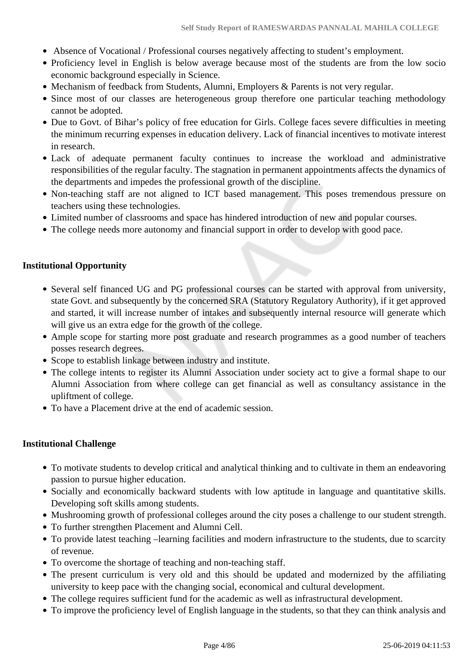- Absence of Vocational / Professional courses negatively affecting to student's employment.
- Proficiency level in English is below average because most of the students are from the low socio economic background especially in Science.
- Mechanism of feedback from Students, Alumni, Employers & Parents is not very regular.
- Since most of our classes are heterogeneous group therefore one particular teaching methodology cannot be adopted.
- Due to Govt. of Bihar's policy of free education for Girls. College faces severe difficulties in meeting the minimum recurring expenses in education delivery. Lack of financial incentives to motivate interest in research.
- Lack of adequate permanent faculty continues to increase the workload and administrative responsibilities of the regular faculty. The stagnation in permanent appointments affects the dynamics of the departments and impedes the professional growth of the discipline.
- Non-teaching staff are not aligned to ICT based management. This poses tremendous pressure on teachers using these technologies.
- Limited number of classrooms and space has hindered introduction of new and popular courses.
- The college needs more autonomy and financial support in order to develop with good pace.

## **Institutional Opportunity**

- Several self financed UG and PG professional courses can be started with approval from university, state Govt. and subsequently by the concerned SRA (Statutory Regulatory Authority), if it get approved and started, it will increase number of intakes and subsequently internal resource will generate which will give us an extra edge for the growth of the college.
- Ample scope for starting more post graduate and research programmes as a good number of teachers posses research degrees.
- Scope to establish linkage between industry and institute.
- The college intents to register its Alumni Association under society act to give a formal shape to our Alumni Association from where college can get financial as well as consultancy assistance in the upliftment of college.
- To have a Placement drive at the end of academic session.

## **Institutional Challenge**

- To motivate students to develop critical and analytical thinking and to cultivate in them an endeavoring passion to pursue higher education.
- Socially and economically backward students with low aptitude in language and quantitative skills. Developing soft skills among students.
- Mushrooming growth of professional colleges around the city poses a challenge to our student strength.
- To further strengthen Placement and Alumni Cell.
- To provide latest teaching –learning facilities and modern infrastructure to the students, due to scarcity of revenue.
- To overcome the shortage of teaching and non-teaching staff.
- The present curriculum is very old and this should be updated and modernized by the affiliating university to keep pace with the changing social, economical and cultural development.
- The college requires sufficient fund for the academic as well as infrastructural development.
- To improve the proficiency level of English language in the students, so that they can think analysis and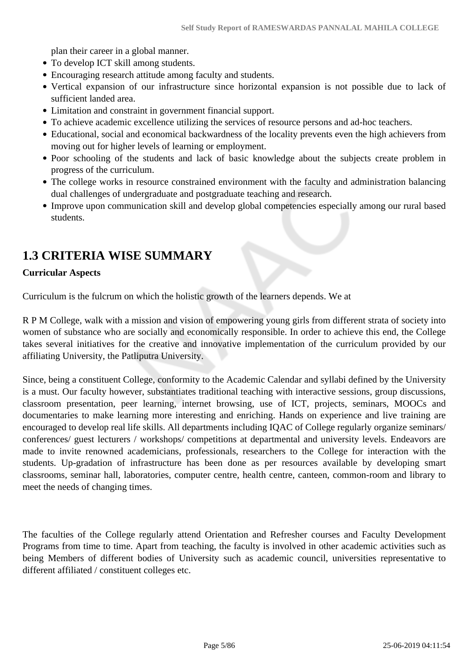plan their career in a global manner.

- To develop ICT skill among students.
- Encouraging research attitude among faculty and students.
- Vertical expansion of our infrastructure since horizontal expansion is not possible due to lack of sufficient landed area.
- Limitation and constraint in government financial support.
- To achieve academic excellence utilizing the services of resource persons and ad-hoc teachers.
- Educational, social and economical backwardness of the locality prevents even the high achievers from moving out for higher levels of learning or employment.
- Poor schooling of the students and lack of basic knowledge about the subjects create problem in progress of the curriculum.
- The college works in resource constrained environment with the faculty and administration balancing dual challenges of undergraduate and postgraduate teaching and research.
- Improve upon communication skill and develop global competencies especially among our rural based students.

# **1.3 CRITERIA WISE SUMMARY**

#### **Curricular Aspects**

Curriculum is the fulcrum on which the holistic growth of the learners depends. We at

R P M College, walk with a mission and vision of empowering young girls from different strata of society into women of substance who are socially and economically responsible. In order to achieve this end, the College takes several initiatives for the creative and innovative implementation of the curriculum provided by our affiliating University, the Patliputra University.

Since, being a constituent College, conformity to the Academic Calendar and syllabi defined by the University is a must. Our faculty however, substantiates traditional teaching with interactive sessions, group discussions, classroom presentation, peer learning, internet browsing, use of ICT, projects, seminars, MOOCs and documentaries to make learning more interesting and enriching. Hands on experience and live training are encouraged to develop real life skills. All departments including IQAC of College regularly organize seminars/ conferences/ guest lecturers / workshops/ competitions at departmental and university levels. Endeavors are made to invite renowned academicians, professionals, researchers to the College for interaction with the students. Up-gradation of infrastructure has been done as per resources available by developing smart classrooms, seminar hall, laboratories, computer centre, health centre, canteen, common-room and library to meet the needs of changing times.

The faculties of the College regularly attend Orientation and Refresher courses and Faculty Development Programs from time to time. Apart from teaching, the faculty is involved in other academic activities such as being Members of different bodies of University such as academic council, universities representative to different affiliated / constituent colleges etc.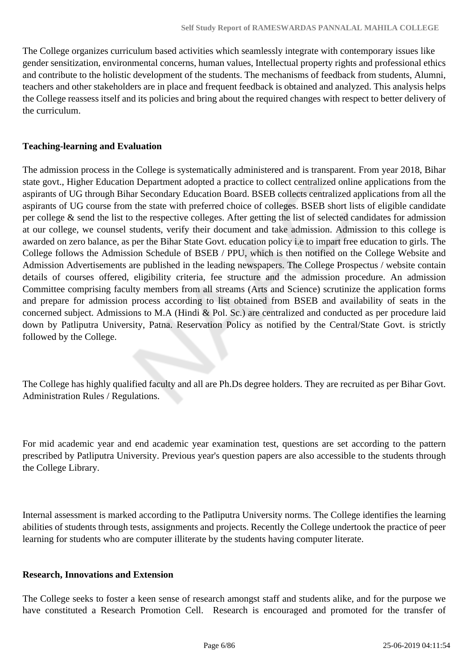The College organizes curriculum based activities which seamlessly integrate with contemporary issues like gender sensitization, environmental concerns, human values, Intellectual property rights and professional ethics and contribute to the holistic development of the students. The mechanisms of feedback from students, Alumni, teachers and other stakeholders are in place and frequent feedback is obtained and analyzed. This analysis helps the College reassess itself and its policies and bring about the required changes with respect to better delivery of the curriculum.

#### **Teaching-learning and Evaluation**

The admission process in the College is systematically administered and is transparent. From year 2018, Bihar state govt., Higher Education Department adopted a practice to collect centralized online applications from the aspirants of UG through Bihar Secondary Education Board. BSEB collects centralized applications from all the aspirants of UG course from the state with preferred choice of colleges. BSEB short lists of eligible candidate per college & send the list to the respective colleges. After getting the list of selected candidates for admission at our college, we counsel students, verify their document and take admission. Admission to this college is awarded on zero balance, as per the Bihar State Govt. education policy i.e to impart free education to girls. The College follows the Admission Schedule of BSEB / PPU, which is then notified on the College Website and Admission Advertisements are published in the leading newspapers. The College Prospectus / website contain details of courses offered, eligibility criteria, fee structure and the admission procedure. An admission Committee comprising faculty members from all streams (Arts and Science) scrutinize the application forms and prepare for admission process according to list obtained from BSEB and availability of seats in the concerned subject. Admissions to M.A (Hindi & Pol. Sc.) are centralized and conducted as per procedure laid down by Patliputra University, Patna. Reservation Policy as notified by the Central/State Govt. is strictly followed by the College.

The College has highly qualified faculty and all are Ph.Ds degree holders. They are recruited as per Bihar Govt. Administration Rules / Regulations.

For mid academic year and end academic year examination test, questions are set according to the pattern prescribed by Patliputra University. Previous year's question papers are also accessible to the students through the College Library.

Internal assessment is marked according to the Patliputra University norms. The College identifies the learning abilities of students through tests, assignments and projects. Recently the College undertook the practice of peer learning for students who are computer illiterate by the students having computer literate.

#### **Research, Innovations and Extension**

The College seeks to foster a keen sense of research amongst staff and students alike, and for the purpose we have constituted a Research Promotion Cell. Research is encouraged and promoted for the transfer of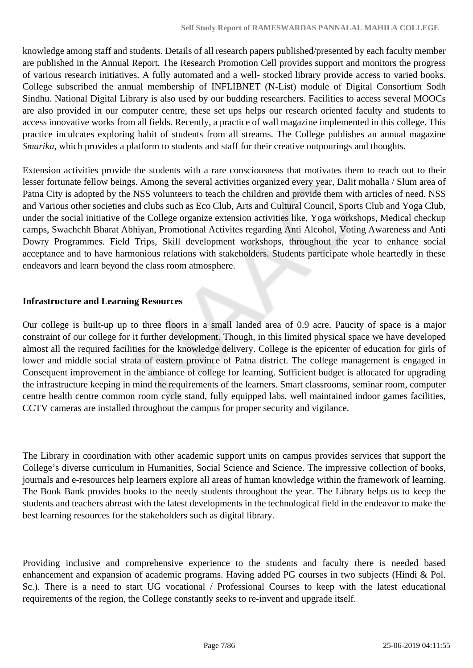knowledge among staff and students. Details of all research papers published/presented by each faculty member are published in the Annual Report. The Research Promotion Cell provides support and monitors the progress of various research initiatives. A fully automated and a well- stocked library provide access to varied books. College subscribed the annual membership of INFLIBNET (N-List) module of Digital Consortium Sodh Sindhu. National Digital Library is also used by our budding researchers. Facilities to access several MOOCs are also provided in our computer centre, these set ups helps our research oriented faculty and students to access innovative works from all fields. Recently, a practice of wall magazine implemented in this college. This practice inculcates exploring habit of students from all streams. The College publishes an annual magazine *Smarika*, which provides a platform to students and staff for their creative outpourings and thoughts.

Extension activities provide the students with a rare consciousness that motivates them to reach out to their lesser fortunate fellow beings. Among the several activities organized every year, Dalit mohalla / Slum area of Patna City is adopted by the NSS volunteers to teach the children and provide them with articles of need. NSS and Various other societies and clubs such as Eco Club, Arts and Cultural Council, Sports Club and Yoga Club, under the social initiative of the College organize extension activities like, Yoga workshops, Medical checkup camps, Swachchh Bharat Abhiyan, Promotional Activites regarding Anti Alcohol, Voting Awareness and Anti Dowry Programmes. Field Trips, Skill development workshops, throughout the year to enhance social acceptance and to have harmonious relations with stakeholders. Students participate whole heartedly in these endeavors and learn beyond the class room atmosphere.

# **Infrastructure and Learning Resources**

Our college is built-up up to three floors in a small landed area of 0.9 acre. Paucity of space is a major constraint of our college for it further development. Though, in this limited physical space we have developed almost all the required facilities for the knowledge delivery. College is the epicenter of education for girls of lower and middle social strata of eastern province of Patna district. The college management is engaged in Consequent improvement in the ambiance of college for learning. Sufficient budget is allocated for upgrading the infrastructure keeping in mind the requirements of the learners. Smart classrooms, seminar room, computer centre health centre common room cycle stand, fully equipped labs, well maintained indoor games facilities, CCTV cameras are installed throughout the campus for proper security and vigilance.

The Library in coordination with other academic support units on campus provides services that support the College's diverse curriculum in Humanities, Social Science and Science. The impressive collection of books, journals and e-resources help learners explore all areas of human knowledge within the framework of learning. The Book Bank provides books to the needy students throughout the year. The Library helps us to keep the students and teachers abreast with the latest developments in the technological field in the endeavor to make the best learning resources for the stakeholders such as digital library.

Providing inclusive and comprehensive experience to the students and faculty there is needed based enhancement and expansion of academic programs. Having added PG courses in two subjects (Hindi & Pol. Sc.). There is a need to start UG vocational / Professional Courses to keep with the latest educational requirements of the region, the College constantly seeks to re-invent and upgrade itself.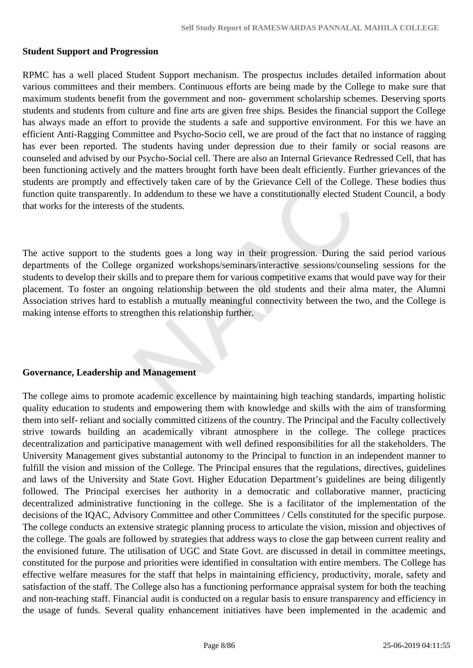#### **Student Support and Progression**

RPMC has a well placed Student Support mechanism. The prospectus includes detailed information about various committees and their members. Continuous efforts are being made by the College to make sure that maximum students benefit from the government and non- government scholarship schemes. Deserving sports students and students from culture and fine arts are given free ships. Besides the financial support the College has always made an effort to provide the students a safe and supportive environment. For this we have an efficient Anti-Ragging Committee and Psycho-Socio cell, we are proud of the fact that no instance of ragging has ever been reported. The students having under depression due to their family or social reasons are counseled and advised by our Psycho-Social cell. There are also an Internal Grievance Redressed Cell, that has been functioning actively and the matters brought forth have been dealt efficiently. Further grievances of the students are promptly and effectively taken care of by the Grievance Cell of the College. These bodies thus function quite transparently. In addendum to these we have a constitutionally elected Student Council, a body that works for the interests of the students.

The active support to the students goes a long way in their progression. During the said period various departments of the College organized workshops/seminars/interactive sessions/counseling sessions for the students to develop their skills and to prepare them for various competitive exams that would pave way for their placement. To foster an ongoing relationship between the old students and their alma mater, the Alumni Association strives hard to establish a mutually meaningful connectivity between the two, and the College is making intense efforts to strengthen this relationship further.

#### **Governance, Leadership and Management**

The college aims to promote academic excellence by maintaining high teaching standards, imparting holistic quality education to students and empowering them with knowledge and skills with the aim of transforming them into self- reliant and socially committed citizens of the country. The Principal and the Faculty collectively strive towards building an academically vibrant atmosphere in the college. The college practices decentralization and participative management with well defined responsibilities for all the stakeholders. The University Management gives substantial autonomy to the Principal to function in an independent manner to fulfill the vision and mission of the College. The Principal ensures that the regulations, directives, guidelines and laws of the University and State Govt. Higher Education Department's guidelines are being diligently followed. The Principal exercises her authority in a democratic and collaborative manner, practicing decentralized administrative functioning in the college. She is a facilitator of the implementation of the decisions of the IQAC, Advisory Committee and other Committees / Cells constituted for the specific purpose. The college conducts an extensive strategic planning process to articulate the vision, mission and objectives of the college. The goals are followed by strategies that address ways to close the gap between current reality and the envisioned future. The utilisation of UGC and State Govt. are discussed in detail in committee meetings, constituted for the purpose and priorities were identified in consultation with entire members. The College has effective welfare measures for the staff that helps in maintaining efficiency, productivity, morale, safety and satisfaction of the staff. The College also has a functioning performance appraisal system for both the teaching and non-teaching staff. Financial audit is conducted on a regular basis to ensure transparency and efficiency in the usage of funds. Several quality enhancement initiatives have been implemented in the academic and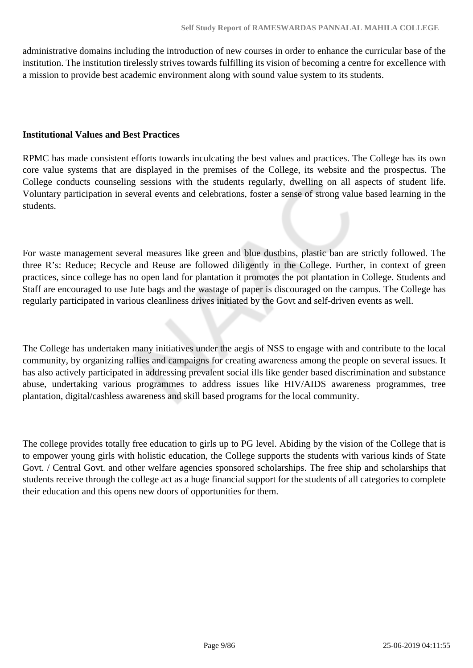administrative domains including the introduction of new courses in order to enhance the curricular base of the institution. The institution tirelessly strives towards fulfilling its vision of becoming a centre for excellence with a mission to provide best academic environment along with sound value system to its students.

#### **Institutional Values and Best Practices**

RPMC has made consistent efforts towards inculcating the best values and practices. The College has its own core value systems that are displayed in the premises of the College, its website and the prospectus. The College conducts counseling sessions with the students regularly, dwelling on all aspects of student life. Voluntary participation in several events and celebrations, foster a sense of strong value based learning in the students.

For waste management several measures like green and blue dustbins, plastic ban are strictly followed. The three R's: Reduce; Recycle and Reuse are followed diligently in the College. Further, in context of green practices, since college has no open land for plantation it promotes the pot plantation in College. Students and Staff are encouraged to use Jute bags and the wastage of paper is discouraged on the campus. The College has regularly participated in various cleanliness drives initiated by the Govt and self-driven events as well.

The College has undertaken many initiatives under the aegis of NSS to engage with and contribute to the local community, by organizing rallies and campaigns for creating awareness among the people on several issues. It has also actively participated in addressing prevalent social ills like gender based discrimination and substance abuse, undertaking various programmes to address issues like HIV/AIDS awareness programmes, tree plantation, digital/cashless awareness and skill based programs for the local community.

The college provides totally free education to girls up to PG level. Abiding by the vision of the College that is to empower young girls with holistic education, the College supports the students with various kinds of State Govt. / Central Govt. and other welfare agencies sponsored scholarships. The free ship and scholarships that students receive through the college act as a huge financial support for the students of all categories to complete their education and this opens new doors of opportunities for them.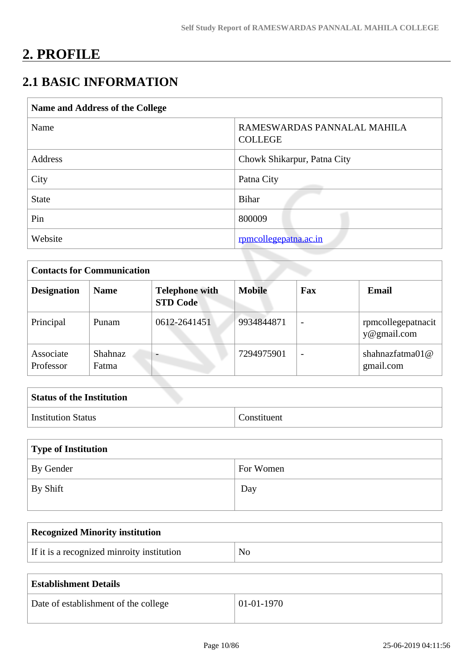# **2. PROFILE**

# **2.1 BASIC INFORMATION**

| Name and Address of the College |                                               |  |
|---------------------------------|-----------------------------------------------|--|
| Name                            | RAMESWARDAS PANNALAL MAHILA<br><b>COLLEGE</b> |  |
| Address                         | Chowk Shikarpur, Patna City                   |  |
| City                            | Patna City                                    |  |
| <b>State</b>                    | <b>Bihar</b>                                  |  |
| Pin                             | 800009                                        |  |
| Website                         | rpmcollegepatna.ac.in                         |  |

| <b>Contacts for Communication</b> |                         |                                          |               |                          |                                   |
|-----------------------------------|-------------------------|------------------------------------------|---------------|--------------------------|-----------------------------------|
| <b>Designation</b>                | <b>Name</b>             | <b>Telephone with</b><br><b>STD Code</b> | <b>Mobile</b> | Fax                      | <b>Email</b>                      |
| Principal                         | Punam                   | 0612-2641451                             | 9934844871    | $\overline{\phantom{a}}$ | rpmcollegepatnacit<br>y@gmail.com |
| Associate<br>Professor            | <b>Shahnaz</b><br>Fatma | $\overline{\phantom{0}}$                 | 7294975901    | $\overline{\phantom{0}}$ | shahnazfatma $01@$<br>gmail.com   |

| <b>Status of the Institution</b> |             |
|----------------------------------|-------------|
| <b>Institution Status</b>        | Constituent |

| Type of Institution |           |
|---------------------|-----------|
| By Gender           | For Women |
| By Shift            | Day       |

| <b>Recognized Minority institution</b>     |                |
|--------------------------------------------|----------------|
| If it is a recognized minroity institution | N <sub>0</sub> |

| <b>Establishment Details</b>         |              |
|--------------------------------------|--------------|
| Date of establishment of the college | $01-01-1970$ |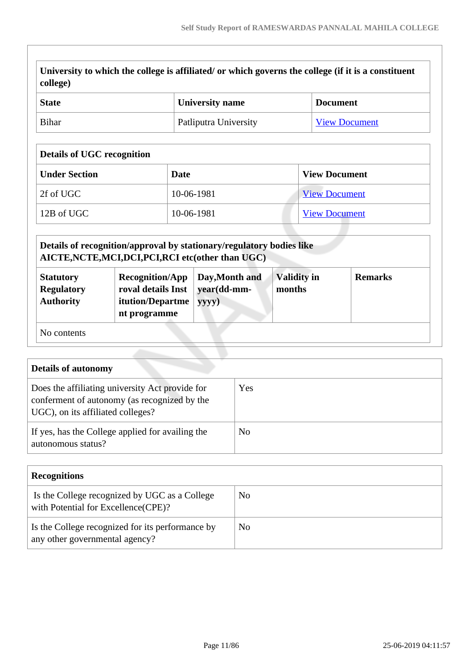| college)<br>$\mathbf{C}$ toto                                                                       | Iniversity name | Dogument |
|-----------------------------------------------------------------------------------------------------|-----------------|----------|
| University to which the college is affiliated/ or which governs the college (if it is a constituent |                 |          |

| State | <b>University name</b> | <b>Document</b>      |
|-------|------------------------|----------------------|
| Bihar | Patliputra University  | <b>View Document</b> |

# **Details of UGC recognition**

| <b>Under Section</b> | Date       | <b>View Document</b> |
|----------------------|------------|----------------------|
| 2f of UGC            | 10-06-1981 | <b>View Document</b> |
| 12B of UGC           | 10-06-1981 | <b>View Document</b> |

|                                                           | Details of recognition/approval by stationary/regulatory bodies like<br>AICTE, NCTE, MCI, DCI, PCI, RCI etc(other than UGC) |                                        |                              |                |
|-----------------------------------------------------------|-----------------------------------------------------------------------------------------------------------------------------|----------------------------------------|------------------------------|----------------|
| <b>Statutory</b><br><b>Regulatory</b><br><b>Authority</b> | <b>Recognition/App</b><br>roval details Inst<br>itution/Departme<br>nt programme                                            | Day, Month and<br>year(dd-mm-<br>yyyy) | <b>Validity in</b><br>months | <b>Remarks</b> |
| No contents                                               |                                                                                                                             |                                        |                              |                |

| <b>Details of autonomy</b>                                                                                                           |     |
|--------------------------------------------------------------------------------------------------------------------------------------|-----|
| Does the affiliating university Act provide for<br>conferment of autonomy (as recognized by the<br>UGC), on its affiliated colleges? | Yes |
| If yes, has the College applied for availing the<br>autonomous status?                                                               | No. |

| <b>Recognitions</b>                                                                   |     |
|---------------------------------------------------------------------------------------|-----|
| Is the College recognized by UGC as a College<br>with Potential for Excellence (CPE)? | No. |
| Is the College recognized for its performance by<br>any other governmental agency?    | No  |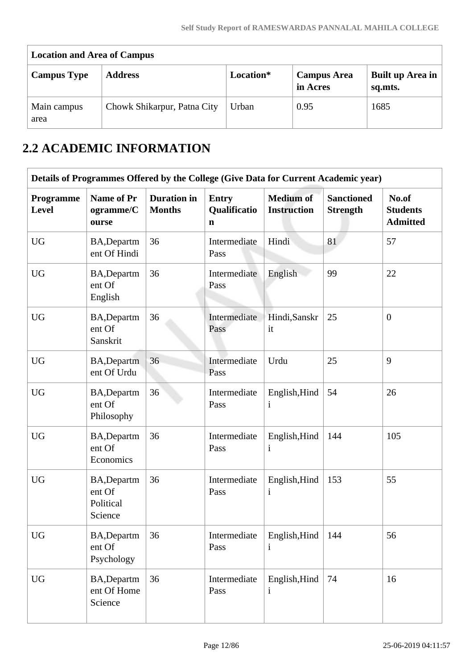| <b>Location and Area of Campus</b> |                             |           |                                |                             |  |  |  |  |  |  |
|------------------------------------|-----------------------------|-----------|--------------------------------|-----------------------------|--|--|--|--|--|--|
| <b>Campus Type</b>                 | <b>Address</b>              | Location* | <b>Campus Area</b><br>in Acres | Built up Area in<br>sq.mts. |  |  |  |  |  |  |
| Main campus<br>area                | Chowk Shikarpur, Patna City | Urban     | 0.95                           | 1685                        |  |  |  |  |  |  |

# **2.2 ACADEMIC INFORMATION**

|                    |                                               |                                     |                                   | Details of Programmes Offered by the College (Give Data for Current Academic year) |                                      |                                             |
|--------------------|-----------------------------------------------|-------------------------------------|-----------------------------------|------------------------------------------------------------------------------------|--------------------------------------|---------------------------------------------|
| Programme<br>Level | <b>Name of Pr</b><br>ogramme/C<br>ourse       | <b>Duration</b> in<br><b>Months</b> | <b>Entry</b><br>Qualificatio<br>n | <b>Medium of</b><br><b>Instruction</b>                                             | <b>Sanctioned</b><br><b>Strength</b> | No.of<br><b>Students</b><br><b>Admitted</b> |
| <b>UG</b>          | BA, Departm<br>ent Of Hindi                   | 36                                  | Intermediate<br>Pass              | Hindi                                                                              | 81                                   | 57                                          |
| <b>UG</b>          | BA, Departm<br>ent Of<br>English              | 36                                  | Intermediate<br>Pass              | English                                                                            | 99                                   | 22                                          |
| <b>UG</b>          | BA, Departm<br>ent Of<br>Sanskrit             | 36                                  | Intermediate<br>Pass              | Hindi, Sanskr<br>it                                                                | 25                                   | $\overline{0}$                              |
| <b>UG</b>          | BA, Departm<br>ent Of Urdu                    | 36                                  | Intermediate<br>Pass              | Urdu                                                                               | 25                                   | 9                                           |
| <b>UG</b>          | BA, Departm<br>ent Of<br>Philosophy           | 36                                  | Intermediate<br>Pass              | English, Hind<br>$\mathbf{i}$                                                      | 54                                   | 26                                          |
| <b>UG</b>          | BA, Departm<br>ent Of<br>Economics            | 36                                  | Intermediate<br>Pass              | English, Hind<br>$\mathbf{i}$                                                      | 144                                  | 105                                         |
| <b>UG</b>          | BA, Departm<br>ent Of<br>Political<br>Science | 36                                  | Intermediate<br>Pass              | English, Hind<br>$\mathbf{i}$                                                      | 153                                  | 55                                          |
| <b>UG</b>          | <b>BA,Departm</b><br>ent Of<br>Psychology     | 36                                  | Intermediate<br>Pass              | English, Hind<br>$\mathbf{i}$                                                      | 144                                  | 56                                          |
| <b>UG</b>          | BA, Departm<br>ent Of Home<br>Science         | 36                                  | Intermediate<br>Pass              | English, Hind<br>$\mathbf{i}$                                                      | 74                                   | 16                                          |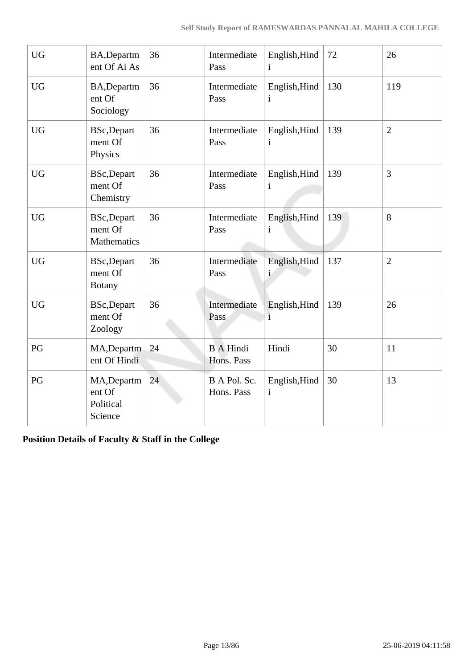| <b>UG</b>        | BA, Departm<br>ent Of Ai As                        | 36 | Intermediate<br>Pass           | English, Hind<br>$\mathbf{i}$ | 72  | 26             |
|------------------|----------------------------------------------------|----|--------------------------------|-------------------------------|-----|----------------|
| ${\rm U}{\rm G}$ | BA, Departm<br>ent Of<br>Sociology                 | 36 | Intermediate<br>Pass           | English, Hind<br>i            | 130 | 119            |
| <b>UG</b>        | <b>BSc,Depart</b><br>ment Of<br>Physics            | 36 | Intermediate<br>Pass           | English, Hind<br>$\mathbf{i}$ | 139 | $\overline{2}$ |
| <b>UG</b>        | <b>BSc,Depart</b><br>ment Of<br>Chemistry          | 36 | Intermediate<br>Pass           | English, Hind<br>$\mathbf{i}$ | 139 | $\overline{3}$ |
| <b>UG</b>        | <b>BSc,Depart</b><br>ment Of<br><b>Mathematics</b> | 36 | Intermediate<br>Pass           | English, Hind<br>$\mathbf{i}$ | 139 | 8              |
| <b>UG</b>        | <b>BSc,Depart</b><br>ment Of<br><b>Botany</b>      | 36 | Intermediate<br>Pass           | English, Hind<br><sup>1</sup> | 137 | $\overline{2}$ |
| <b>UG</b>        | <b>BSc,Depart</b><br>ment Of<br>Zoology            | 36 | Intermediate<br>Pass           | English, Hind<br>$\mathbf{i}$ | 139 | 26             |
| PG               | MA, Departm<br>ent Of Hindi                        | 24 | <b>B</b> A Hindi<br>Hons. Pass | Hindi                         | 30  | 11             |
| PG               | MA, Departm<br>ent Of<br>Political<br>Science      | 24 | B A Pol. Sc.<br>Hons. Pass     | English, Hind<br>$\mathbf{i}$ | 30  | 13             |

**Position Details of Faculty & Staff in the College**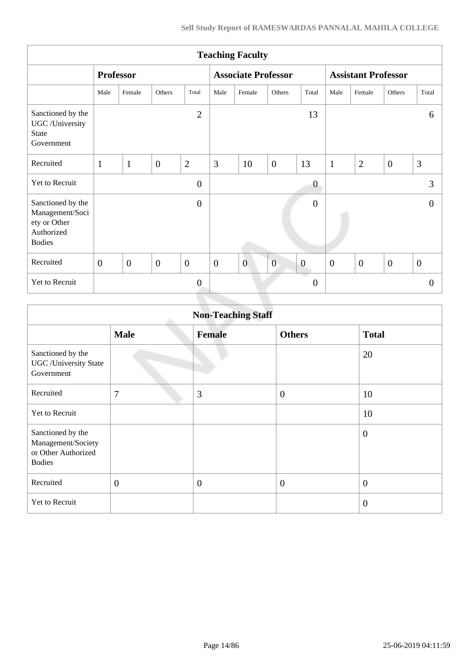| <b>Teaching Faculty</b>                                                             |              |                  |                |                |                |                            |                |                  |                            |                  |                |                  |
|-------------------------------------------------------------------------------------|--------------|------------------|----------------|----------------|----------------|----------------------------|----------------|------------------|----------------------------|------------------|----------------|------------------|
|                                                                                     |              | <b>Professor</b> |                |                |                | <b>Associate Professor</b> |                |                  | <b>Assistant Professor</b> |                  |                |                  |
|                                                                                     | Male         | Female           | Others         | Total          | Male           | Female                     | Others         | Total            | Male                       | Female           | Others         | Total            |
| Sanctioned by the<br>UGC /University<br><b>State</b><br>Government                  |              |                  |                | $\overline{2}$ |                |                            |                | 13               |                            |                  |                | 6                |
| Recruited                                                                           | $\mathbf{1}$ | $\mathbf{1}$     | $\overline{0}$ | $\overline{2}$ | 3              | 10                         | $\overline{0}$ | 13               | $\mathbf{1}$               | $\overline{2}$   | $\overline{0}$ | 3                |
| Yet to Recruit                                                                      |              |                  |                | $\overline{0}$ |                |                            |                | $\boldsymbol{0}$ |                            |                  |                | 3                |
| Sanctioned by the<br>Management/Soci<br>ety or Other<br>Authorized<br><b>Bodies</b> |              |                  |                | $\overline{0}$ |                |                            |                | $\boldsymbol{0}$ |                            |                  |                | $\Omega$         |
| Recruited                                                                           | $\mathbf{0}$ | $\overline{0}$   | $\overline{0}$ | $\overline{0}$ | $\overline{0}$ | $\overline{0}$             | $\overline{0}$ | $\boldsymbol{0}$ | $\boldsymbol{0}$           | $\boldsymbol{0}$ | $\overline{0}$ | $\boldsymbol{0}$ |
| Yet to Recruit                                                                      |              |                  |                | $\overline{0}$ |                |                            |                | $\boldsymbol{0}$ |                            |                  |                | $\theta$         |
|                                                                                     |              |                  |                |                |                |                            |                |                  |                            |                  |                |                  |

|                                                                                 | <b>Non-Teaching Staff</b> |                |                  |                |  |  |  |  |  |  |  |
|---------------------------------------------------------------------------------|---------------------------|----------------|------------------|----------------|--|--|--|--|--|--|--|
|                                                                                 | <b>Male</b>               | <b>Female</b>  | <b>Others</b>    | <b>Total</b>   |  |  |  |  |  |  |  |
| Sanctioned by the<br><b>UGC</b> / University State<br>Government                |                           |                |                  | 20             |  |  |  |  |  |  |  |
| Recruited                                                                       | 7                         | 3              | $\boldsymbol{0}$ | 10             |  |  |  |  |  |  |  |
| <b>Yet to Recruit</b>                                                           |                           |                |                  | 10             |  |  |  |  |  |  |  |
| Sanctioned by the<br>Management/Society<br>or Other Authorized<br><b>Bodies</b> |                           |                |                  | $\overline{0}$ |  |  |  |  |  |  |  |
| Recruited                                                                       | $\overline{0}$            | $\overline{0}$ | $\boldsymbol{0}$ | $\overline{0}$ |  |  |  |  |  |  |  |
| Yet to Recruit                                                                  |                           |                |                  | $\overline{0}$ |  |  |  |  |  |  |  |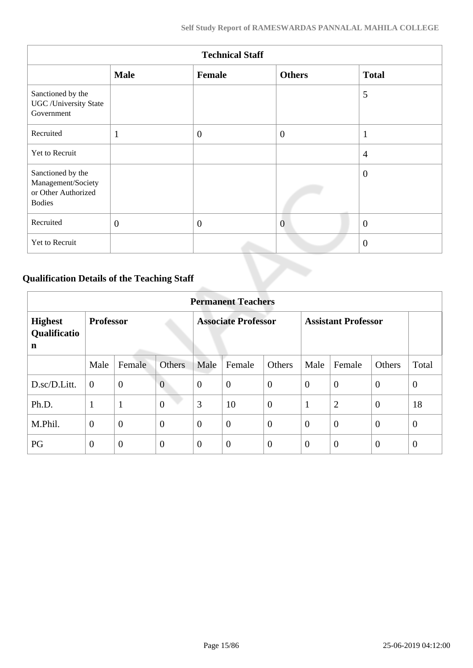| <b>Technical Staff</b>                                                          |                |                |                |                |  |  |  |  |  |  |
|---------------------------------------------------------------------------------|----------------|----------------|----------------|----------------|--|--|--|--|--|--|
|                                                                                 | <b>Male</b>    | <b>Female</b>  | <b>Others</b>  | <b>Total</b>   |  |  |  |  |  |  |
| Sanctioned by the<br>UGC/University State<br>Government                         |                |                |                | 5              |  |  |  |  |  |  |
| Recruited                                                                       | $\mathbf 1$    | $\overline{0}$ | $\overline{0}$ | $\mathbf{1}$   |  |  |  |  |  |  |
| Yet to Recruit                                                                  |                |                |                | $\overline{4}$ |  |  |  |  |  |  |
| Sanctioned by the<br>Management/Society<br>or Other Authorized<br><b>Bodies</b> |                |                |                | $\overline{0}$ |  |  |  |  |  |  |
| Recruited                                                                       | $\overline{0}$ | $\overline{0}$ | $\overline{0}$ | $\overline{0}$ |  |  |  |  |  |  |
| Yet to Recruit                                                                  |                |                |                | $\overline{0}$ |  |  |  |  |  |  |

# **Qualification Details of the Teaching Staff**

|                                     | <b>Permanent Teachers</b> |                |                |                |                            |                |                |                            |                |                |  |  |
|-------------------------------------|---------------------------|----------------|----------------|----------------|----------------------------|----------------|----------------|----------------------------|----------------|----------------|--|--|
| <b>Highest</b><br>Qualificatio<br>n | <b>Professor</b>          |                |                |                | <b>Associate Professor</b> |                |                | <b>Assistant Professor</b> |                |                |  |  |
|                                     | Male                      | Female         | <b>Others</b>  | Male           | Female                     | Others         | Male           | Female                     | Others         | Total          |  |  |
| D.sc/D.Litt.                        | $\overline{0}$            | $\mathbf{0}$   | $\overline{0}$ | $\theta$       | $\overline{0}$             | $\mathbf{0}$   | $\overline{0}$ | $\theta$                   | $\overline{0}$ | $\overline{0}$ |  |  |
| Ph.D.                               | 1                         | $\mathbf{1}$   | $\overline{0}$ | 3              | 10                         | $\overline{0}$ | $\mathbf{1}$   | $\overline{2}$             | $\overline{0}$ | 18             |  |  |
| M.Phil.                             | $\boldsymbol{0}$          | $\overline{0}$ | $\overline{0}$ | $\theta$       | $\overline{0}$             | $\overline{0}$ | $\overline{0}$ | $\overline{0}$             | $\overline{0}$ | $\theta$       |  |  |
| PG                                  | $\overline{0}$            | $\theta$       | $\theta$       | $\overline{0}$ | $\overline{0}$             | $\overline{0}$ | $\theta$       | $\overline{0}$             | $\overline{0}$ | $\overline{0}$ |  |  |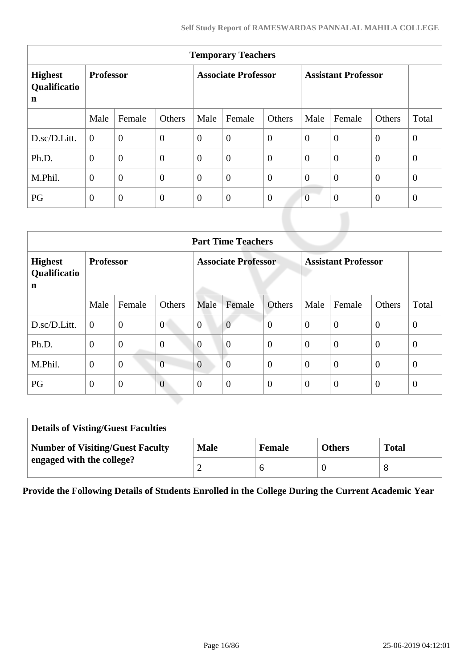| <b>Temporary Teachers</b>                     |                  |                |                  |                            |                  |                |                            |                |                |                |  |
|-----------------------------------------------|------------------|----------------|------------------|----------------------------|------------------|----------------|----------------------------|----------------|----------------|----------------|--|
| <b>Highest</b><br>Qualificatio<br>$\mathbf n$ | <b>Professor</b> |                |                  | <b>Associate Professor</b> |                  |                | <b>Assistant Professor</b> |                |                |                |  |
|                                               | Male             | Female         | Others           | Male                       | Female           | Others         | Male                       | Female         | Others         | Total          |  |
| D.sc/D.Litt.                                  | $\overline{0}$   | $\overline{0}$ | $\theta$         | $\overline{0}$             | $\boldsymbol{0}$ | $\overline{0}$ | $\overline{0}$             | $\overline{0}$ | $\overline{0}$ | $\overline{0}$ |  |
| Ph.D.                                         | $\overline{0}$   | $\overline{0}$ | $\boldsymbol{0}$ | $\overline{0}$             | $\boldsymbol{0}$ | $\overline{0}$ | $\mathbf{0}$               | $\overline{0}$ | $\theta$       | $\overline{0}$ |  |
| M.Phil.                                       | $\theta$         | $\overline{0}$ | $\overline{0}$   | $\overline{0}$             | $\overline{0}$   | $\overline{0}$ | $\overline{0}$             | $\overline{0}$ | $\overline{0}$ | $\overline{0}$ |  |
| PG                                            | $\overline{0}$   | $\overline{0}$ | $\mathbf{0}$     | $\overline{0}$             | $\boldsymbol{0}$ | $\overline{0}$ | $\overline{0}$             | $\overline{0}$ | $\theta$       | $\overline{0}$ |  |

|                                     | <b>Part Time Teachers</b> |                |                |                |                            |                |                |                            |                |                |  |  |
|-------------------------------------|---------------------------|----------------|----------------|----------------|----------------------------|----------------|----------------|----------------------------|----------------|----------------|--|--|
| <b>Highest</b><br>Qualificatio<br>n | <b>Professor</b>          |                |                |                | <b>Associate Professor</b> |                |                | <b>Assistant Professor</b> |                |                |  |  |
|                                     | Male                      | Female         | Others         | Male           | Female                     | Others         | Male           | Female                     | Others         | Total          |  |  |
| D.sc/D.Litt.                        | $\boldsymbol{0}$          | $\mathbf{0}$   | $\overline{0}$ | $\overline{0}$ | $\overline{0}$             | $\overline{0}$ | $\theta$       | $\overline{0}$             | $\theta$       | $\overline{0}$ |  |  |
| Ph.D.                               | $\theta$                  | $\overline{0}$ | $\overline{0}$ | $\overline{0}$ | $\overline{0}$             | $\overline{0}$ | $\theta$       | $\overline{0}$             | $\overline{0}$ | $\theta$       |  |  |
| M.Phil.                             | $\theta$                  | $\overline{0}$ | $\overline{0}$ | $\overline{0}$ | $\overline{0}$             | $\overline{0}$ | $\overline{0}$ | $\overline{0}$             | $\overline{0}$ | $\theta$       |  |  |
| PG                                  | $\theta$                  | $\overline{0}$ | $\overline{0}$ | $\theta$       | $\overline{0}$             | $\overline{0}$ | $\overline{0}$ | $\overline{0}$             | $\theta$       | $\theta$       |  |  |

| <b>Details of Visting/Guest Faculties</b> |             |               |               |              |  |  |  |  |  |
|-------------------------------------------|-------------|---------------|---------------|--------------|--|--|--|--|--|
| <b>Number of Visiting/Guest Faculty</b>   | <b>Male</b> | <b>Female</b> | <b>Others</b> | <b>Total</b> |  |  |  |  |  |
| engaged with the college?                 |             |               |               | 8            |  |  |  |  |  |

**Provide the Following Details of Students Enrolled in the College During the Current Academic Year**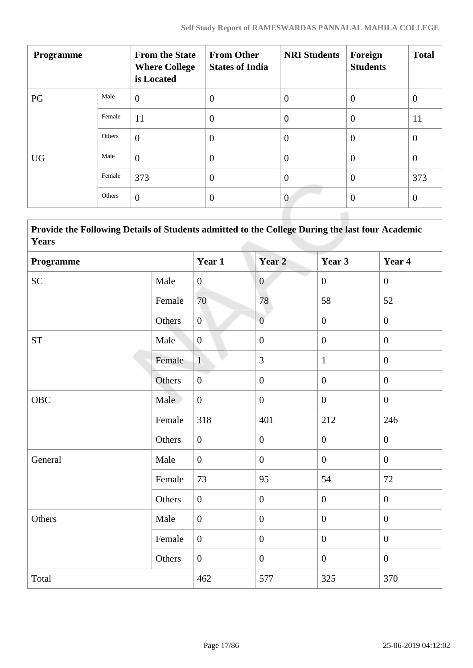| <b>Programme</b> |        | <b>From the State</b><br><b>Where College</b><br>is Located | <b>From Other</b><br><b>States of India</b> | <b>NRI Students</b> | Foreign<br><b>Students</b> | <b>Total</b>   |
|------------------|--------|-------------------------------------------------------------|---------------------------------------------|---------------------|----------------------------|----------------|
| PG               | Male   | $\overline{0}$                                              | $\theta$                                    | $\overline{0}$      | $\overline{0}$             | $\overline{0}$ |
|                  | Female | 11                                                          | $\overline{0}$                              | $\overline{0}$      | $\overline{0}$             | 11             |
|                  | Others | $\overline{0}$                                              | $\overline{0}$                              | $\theta$            | $\overline{0}$             | $\overline{0}$ |
| <b>UG</b>        | Male   | $\overline{0}$                                              | $\overline{0}$                              | $\theta$            | $\boldsymbol{0}$           | $\overline{0}$ |
|                  | Female | 373                                                         | $\overline{0}$                              | $\theta$            | $\overline{0}$             | 373            |
|                  | Others | $\overline{0}$                                              | $\theta$                                    | $\overline{0}$      | $\theta$                   | $\overline{0}$ |
|                  |        |                                                             |                                             |                     |                            |                |

 **Provide the Following Details of Students admitted to the College During the last four Academic Years**

| Programme  |        | Year 1           | Year 2           | Year 3           | Year 4           |
|------------|--------|------------------|------------------|------------------|------------------|
| <b>SC</b>  | Male   | $\boldsymbol{0}$ | $\overline{0}$   | $\overline{0}$   | $\mathbf{0}$     |
|            | Female | 70               | 78               | 58               | 52               |
|            | Others | $\overline{0}$   | $\overline{0}$   | $\overline{0}$   | $\boldsymbol{0}$ |
| <b>ST</b>  | Male   | $\overline{0}$   | $\boldsymbol{0}$ | $\overline{0}$   | $\mathbf{0}$     |
|            | Female | $\overline{1}$   | 3                | $\mathbf{1}$     | $\overline{0}$   |
|            | Others | $\boldsymbol{0}$ | $\boldsymbol{0}$ | $\overline{0}$   | $\overline{0}$   |
| <b>OBC</b> | Male   | $\overline{0}$   | $\boldsymbol{0}$ | $\overline{0}$   | $\mathbf{0}$     |
|            | Female | 318              | 401              | 212              | 246              |
|            | Others | $\overline{0}$   | $\boldsymbol{0}$ | $\boldsymbol{0}$ | $\overline{0}$   |
| General    | Male   | $\overline{0}$   | $\boldsymbol{0}$ | $\overline{0}$   | $\mathbf{0}$     |
|            | Female | 73               | 95               | 54               | 72               |
|            | Others | $\boldsymbol{0}$ | $\boldsymbol{0}$ | $\boldsymbol{0}$ | $\boldsymbol{0}$ |
| Others     | Male   | $\boldsymbol{0}$ | $\boldsymbol{0}$ | $\boldsymbol{0}$ | $\boldsymbol{0}$ |
|            | Female | $\mathbf{0}$     | $\boldsymbol{0}$ | $\overline{0}$   | $\boldsymbol{0}$ |
|            | Others | $\overline{0}$   | $\boldsymbol{0}$ | $\mathbf{0}$     | $\boldsymbol{0}$ |
| Total      |        | 462              | 577              | 325              | 370              |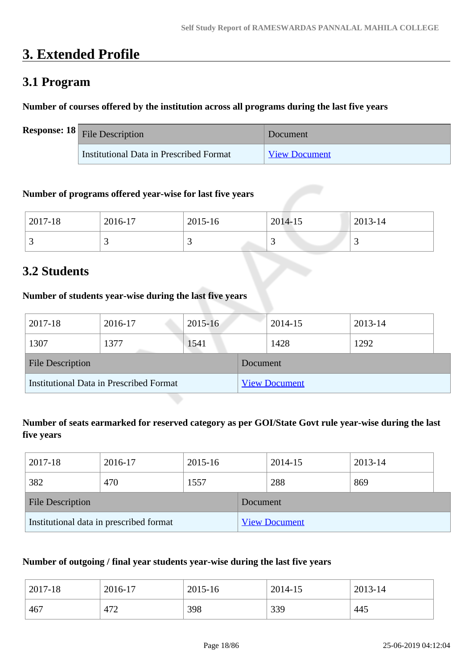# **3. Extended Profile**

# **3.1 Program**

# **Number of courses offered by the institution across all programs during the last five years**

| <b>Response:</b> $18$ File Description  | Document             |
|-----------------------------------------|----------------------|
| Institutional Data in Prescribed Format | <b>View Document</b> |

## **Number of programs offered year-wise for last five years**

| 2017-18 | 2016-17 | 2015-16 | 2014-15 | 2013-14                  |
|---------|---------|---------|---------|--------------------------|
| ັ       |         | ~       | ັ       | $\overline{\phantom{0}}$ |

# **3.2 Students**

# **Number of students year-wise during the last five years**

| 2017-18                                        | 2016-17 | $2015 - 16$ |          | 2014-15              | 2013-14 |  |
|------------------------------------------------|---------|-------------|----------|----------------------|---------|--|
| 1307                                           | 1377    | 1541        |          | 1428                 | 1292    |  |
| <b>File Description</b>                        |         |             | Document |                      |         |  |
| <b>Institutional Data in Prescribed Format</b> |         |             |          | <b>View Document</b> |         |  |

# **Number of seats earmarked for reserved category as per GOI/State Govt rule year-wise during the last five years**

| 2017-18                                 | 2016-17 | 2015-16  |                      | 2014-15 | 2013-14 |  |
|-----------------------------------------|---------|----------|----------------------|---------|---------|--|
| 382                                     | 470     | 1557     |                      | 288     | 869     |  |
| <b>File Description</b>                 |         | Document |                      |         |         |  |
| Institutional data in prescribed format |         |          | <b>View Document</b> |         |         |  |

# **Number of outgoing / final year students year-wise during the last five years**

| 2017-18 | 2016-17 | 2015-16 | 2014-15 | 2013-14 |
|---------|---------|---------|---------|---------|
| 467     | 472     | 398     | 339     | 445     |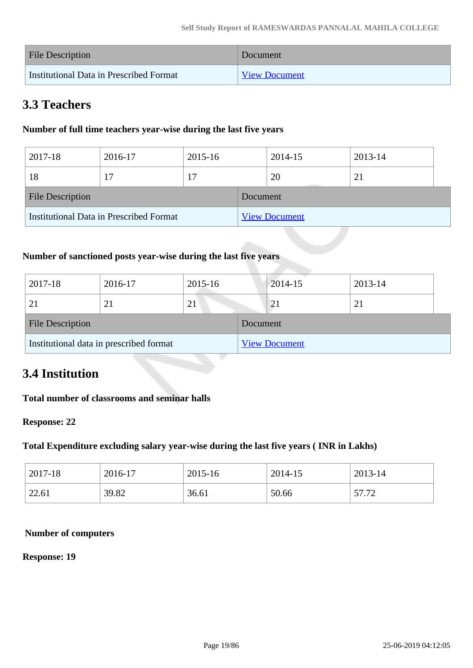| <b>File Description</b>                 | Document             |
|-----------------------------------------|----------------------|
| Institutional Data in Prescribed Format | <b>View Document</b> |

# **3.3 Teachers**

# **Number of full time teachers year-wise during the last five years**

| 2017-18                                 | 2016-17 | 2015-16 |          | 2014-15              | 2013-14 |  |
|-----------------------------------------|---------|---------|----------|----------------------|---------|--|
| 18                                      | 17      |         |          | 20                   | 21      |  |
| <b>File Description</b>                 |         |         | Document |                      |         |  |
| Institutional Data in Prescribed Format |         |         |          | <b>View Document</b> |         |  |

# **Number of sanctioned posts year-wise during the last five years**

| 2017-18                 | 2016-17                                 | 2015-16 |          | 2014-15              | 2013-14 |
|-------------------------|-----------------------------------------|---------|----------|----------------------|---------|
|                         |                                         | 21      |          | 21                   | 21      |
| <b>File Description</b> |                                         |         | Document |                      |         |
|                         | Institutional data in prescribed format |         |          | <b>View Document</b> |         |

# **3.4 Institution**

# **Total number of classrooms and seminar halls**

#### **Response: 22**

## **Total Expenditure excluding salary year-wise during the last five years ( INR in Lakhs)**

| 2017-18 | 2016-17 | 2015-16 | 2014-15 | 2013-14 |
|---------|---------|---------|---------|---------|
| 22.61   | 39.82   | 36.61   | 50.66   | 57.72   |

#### **Number of computers**

#### **Response: 19**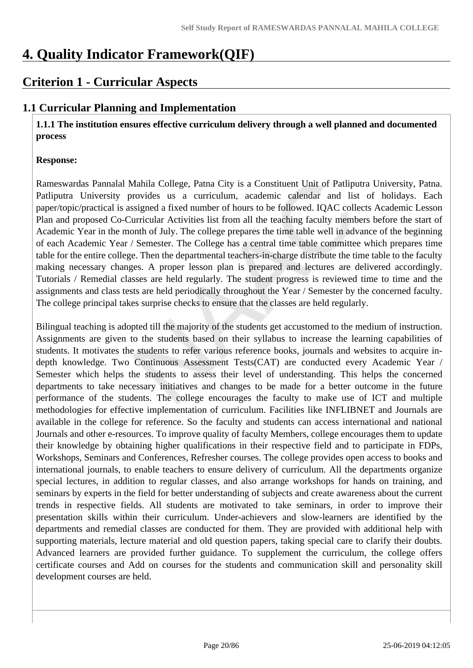# **4. Quality Indicator Framework(QIF)**

# **Criterion 1 - Curricular Aspects**

# **1.1 Curricular Planning and Implementation**

 **1.1.1 The institution ensures effective curriculum delivery through a well planned and documented process** 

## **Response:**

Rameswardas Pannalal Mahila College, Patna City is a Constituent Unit of Patliputra University, Patna. Patliputra University provides us a curriculum, academic calendar and list of holidays. Each paper/topic/practical is assigned a fixed number of hours to be followed. IQAC collects Academic Lesson Plan and proposed Co-Curricular Activities list from all the teaching faculty members before the start of Academic Year in the month of July. The college prepares the time table well in advance of the beginning of each Academic Year / Semester. The College has a central time table committee which prepares time table for the entire college. Then the departmental teachers-in-charge distribute the time table to the faculty making necessary changes. A proper lesson plan is prepared and lectures are delivered accordingly. Tutorials / Remedial classes are held regularly. The student progress is reviewed time to time and the assignments and class tests are held periodically throughout the Year / Semester by the concerned faculty. The college principal takes surprise checks to ensure that the classes are held regularly.

Bilingual teaching is adopted till the majority of the students get accustomed to the medium of instruction. Assignments are given to the students based on their syllabus to increase the learning capabilities of students. It motivates the students to refer various reference books, journals and websites to acquire indepth knowledge. Two Continuous Assessment Tests(CAT) are conducted every Academic Year / Semester which helps the students to assess their level of understanding. This helps the concerned departments to take necessary initiatives and changes to be made for a better outcome in the future performance of the students. The college encourages the faculty to make use of ICT and multiple methodologies for effective implementation of curriculum. Facilities like INFLIBNET and Journals are available in the college for reference. So the faculty and students can access international and national Journals and other e-resources. To improve quality of faculty Members, college encourages them to update their knowledge by obtaining higher qualifications in their respective field and to participate in FDPs, Workshops, Seminars and Conferences, Refresher courses. The college provides open access to books and international journals, to enable teachers to ensure delivery of curriculum. All the departments organize special lectures, in addition to regular classes, and also arrange workshops for hands on training, and seminars by experts in the field for better understanding of subjects and create awareness about the current trends in respective fields. All students are motivated to take seminars, in order to improve their presentation skills within their curriculum. Under-achievers and slow-learners are identified by the departments and remedial classes are conducted for them. They are provided with additional help with supporting materials, lecture material and old question papers, taking special care to clarify their doubts. Advanced learners are provided further guidance. To supplement the curriculum, the college offers certificate courses and Add on courses for the students and communication skill and personality skill development courses are held.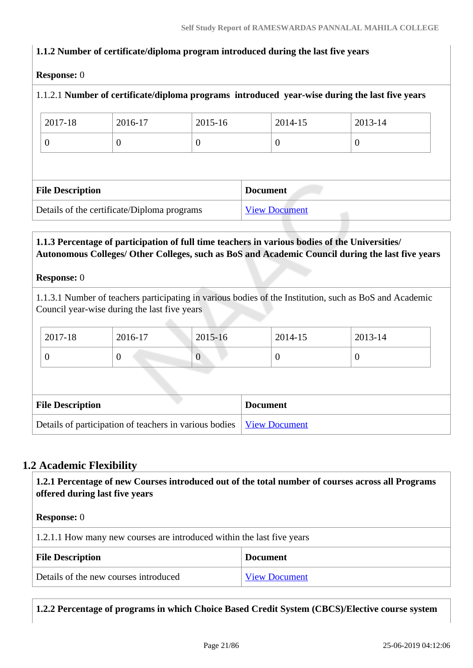# **1.1.2 Number of certificate/diploma program introduced during the last five years**

#### **Response:** 0

|                                             |          |          |                      | 1.1.2.1 Number of certificate/diploma programs introduced year-wise during the last five years |
|---------------------------------------------|----------|----------|----------------------|------------------------------------------------------------------------------------------------|
| 2017-18                                     | 2016-17  | 2015-16  | 2014-15              | 2013-14                                                                                        |
| $\overline{0}$                              | $\theta$ | $\theta$ | $\theta$             | $\theta$                                                                                       |
|                                             |          |          |                      |                                                                                                |
| <b>File Description</b>                     |          |          | <b>Document</b>      |                                                                                                |
| Details of the certificate/Diploma programs |          |          | <b>View Document</b> |                                                                                                |

# **1.1.3 Percentage of participation of full time teachers in various bodies of the Universities/ Autonomous Colleges/ Other Colleges, such as BoS and Academic Council during the last five years**

#### **Response:** 0

1.1.3.1 Number of teachers participating in various bodies of the Institution, such as BoS and Academic Council year-wise during the last five years

| $\frac{1}{2017-18}$ | 2016-17 | $2015 - 16$ | 2014-15 | 2013-14 |
|---------------------|---------|-------------|---------|---------|
| ν                   | ν       | ---         |         |         |

| <b>File Description</b>                                                       | <b>Document</b> |
|-------------------------------------------------------------------------------|-----------------|
| Details of participation of teachers in various bodies   <u>View Document</u> |                 |

# **1.2 Academic Flexibility**

 **1.2.1 Percentage of new Courses introduced out of the total number of courses across all Programs offered during last five years**

#### **Response:** 0

1.2.1.1 How many new courses are introduced within the last five years

| <b>File Description</b>               | <b>Document</b>      |
|---------------------------------------|----------------------|
| Details of the new courses introduced | <b>View Document</b> |

**1.2.2 Percentage of programs in which Choice Based Credit System (CBCS)/Elective course system**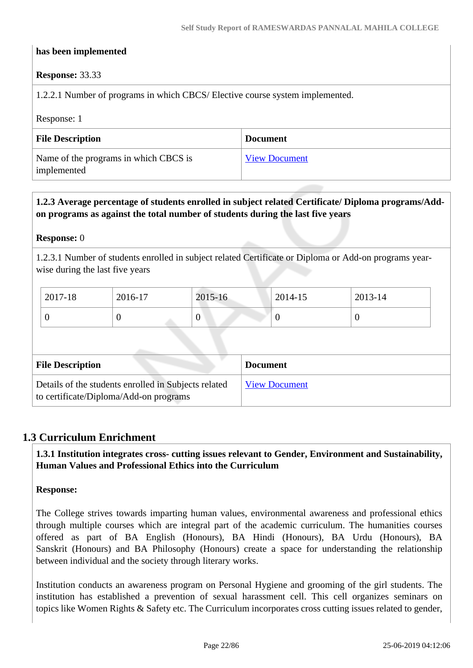#### **has been implemented**

#### **Response:** 33.33

1.2.2.1 Number of programs in which CBCS/ Elective course system implemented.

Response: 1

| <b>File Description</b>                              | <b>Document</b>      |
|------------------------------------------------------|----------------------|
| Name of the programs in which CBCS is<br>implemented | <b>View Document</b> |

# **1.2.3 Average percentage of students enrolled in subject related Certificate/ Diploma programs/Addon programs as against the total number of students during the last five years**

#### **Response:** 0

1.2.3.1 Number of students enrolled in subject related Certificate or Diploma or Add-on programs yearwise during the last five years

| 2017-18 | 2016-17 | 2015-16 | 2014-15 | 2013-14 |
|---------|---------|---------|---------|---------|
| ν       | ν       | v       | ν       |         |

| <b>File Description</b>                                                                        | <b>Document</b>      |
|------------------------------------------------------------------------------------------------|----------------------|
| Details of the students enrolled in Subjects related<br>to certificate/Diploma/Add-on programs | <b>View Document</b> |

## **1.3 Curriculum Enrichment**

 **1.3.1 Institution integrates cross- cutting issues relevant to Gender, Environment and Sustainability, Human Values and Professional Ethics into the Curriculum**

#### **Response:**

The College strives towards imparting human values, environmental awareness and professional ethics through multiple courses which are integral part of the academic curriculum. The humanities courses offered as part of BA English (Honours), BA Hindi (Honours), BA Urdu (Honours), BA Sanskrit (Honours) and BA Philosophy (Honours) create a space for understanding the relationship between individual and the society through literary works.

Institution conducts an awareness program on Personal Hygiene and grooming of the girl students. The institution has established a prevention of sexual harassment cell. This cell organizes seminars on topics like Women Rights & Safety etc. The Curriculum incorporates cross cutting issues related to gender,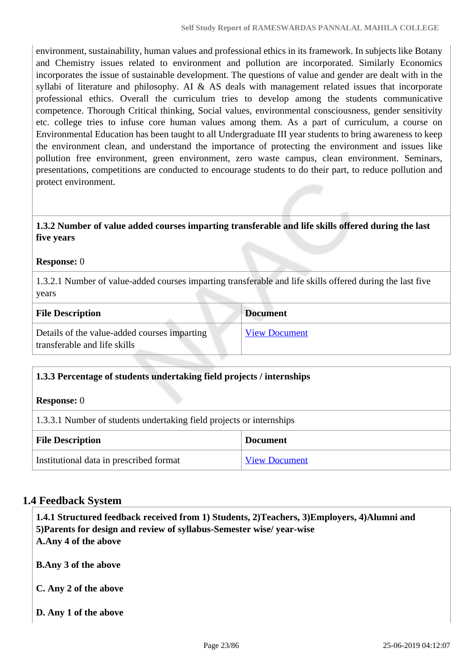environment, sustainability, human values and professional ethics in its framework. In subjects like Botany and Chemistry issues related to environment and pollution are incorporated. Similarly Economics incorporates the issue of sustainable development. The questions of value and gender are dealt with in the syllabi of literature and philosophy. AI & AS deals with management related issues that incorporate professional ethics. Overall the curriculum tries to develop among the students communicative competence. Thorough Critical thinking, Social values, environmental consciousness, gender sensitivity etc. college tries to infuse core human values among them. As a part of curriculum, a course on Environmental Education has been taught to all Undergraduate III year students to bring awareness to keep the environment clean, and understand the importance of protecting the environment and issues like pollution free environment, green environment, zero waste campus, clean environment. Seminars, presentations, competitions are conducted to encourage students to do their part, to reduce pollution and protect environment.

# **1.3.2 Number of value added courses imparting transferable and life skills offered during the last five years**

#### **Response:** 0

1.3.2.1 Number of value-added courses imparting transferable and life skills offered during the last five years

| <b>File Description</b>                                                      | <b>Document</b>      |
|------------------------------------------------------------------------------|----------------------|
| Details of the value-added courses imparting<br>transferable and life skills | <b>View Document</b> |

## **1.3.3 Percentage of students undertaking field projects / internships**

| <b>Response:</b> 0 |  |
|--------------------|--|
|--------------------|--|

1.3.3.1 Number of students undertaking field projects or internships

| <b>File Description</b>                 | <b>Document</b>      |
|-----------------------------------------|----------------------|
| Institutional data in prescribed format | <b>View Document</b> |

# **1.4 Feedback System**

 **1.4.1 Structured feedback received from 1) Students, 2)Teachers, 3)Employers, 4)Alumni and 5)Parents for design and review of syllabus-Semester wise/ year-wise A.Any 4 of the above**

**B.Any 3 of the above**

**C. Any 2 of the above**

**D. Any 1 of the above**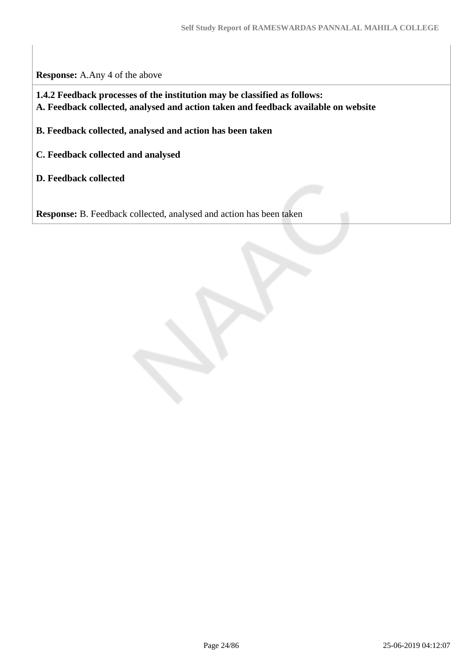**Response:** A.Any 4 of the above

 **1.4.2 Feedback processes of the institution may be classified as follows: A. Feedback collected, analysed and action taken and feedback available on website**

**B. Feedback collected, analysed and action has been taken**

- **C. Feedback collected and analysed**
- **D. Feedback collected**

**Response:** B. Feedback collected, analysed and action has been taken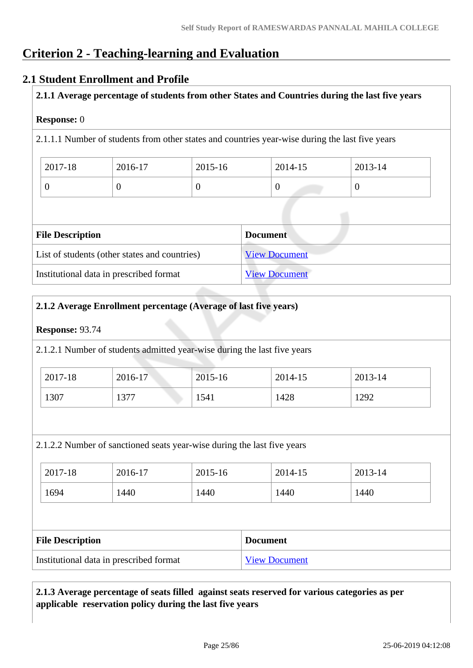# **Criterion 2 - Teaching-learning and Evaluation**

# **2.1 Student Enrollment and Profile**

**2.1.1 Average percentage of students from other States and Countries during the last five years**

#### **Response:** 0

2.1.1.1 Number of students from other states and countries year-wise during the last five years

| 2017-18 | 2016-17 | 2015-16 | 2014-15 | 2013-14 |
|---------|---------|---------|---------|---------|
|         |         |         | ν       |         |

| <b>File Description</b>                       | <b>Document</b>      |
|-----------------------------------------------|----------------------|
| List of students (other states and countries) | <b>View Document</b> |
| Institutional data in prescribed format       | <b>View Document</b> |

#### **2.1.2 Average Enrollment percentage (Average of last five years)**

#### **Response:** 93.74

2.1.2.1 Number of students admitted year-wise during the last five years

| 2017-18 | 2016-17 | 2015-16 | 2014-15 | 2013-14 |
|---------|---------|---------|---------|---------|
| 1307    | 1377    | 1541    | 1428    | 1292    |

2.1.2.2 Number of sanctioned seats year-wise during the last five years

| 2017-18 | 2016-17 | 2015-16 | 2014-15 | 2013-14 |
|---------|---------|---------|---------|---------|
| 1694    | 1440    | 1440    | 1440    | 1440    |

| <b>File Description</b>                 | <b>Document</b>      |
|-----------------------------------------|----------------------|
| Institutional data in prescribed format | <b>View Document</b> |

# **2.1.3 Average percentage of seats filled against seats reserved for various categories as per applicable reservation policy during the last five years**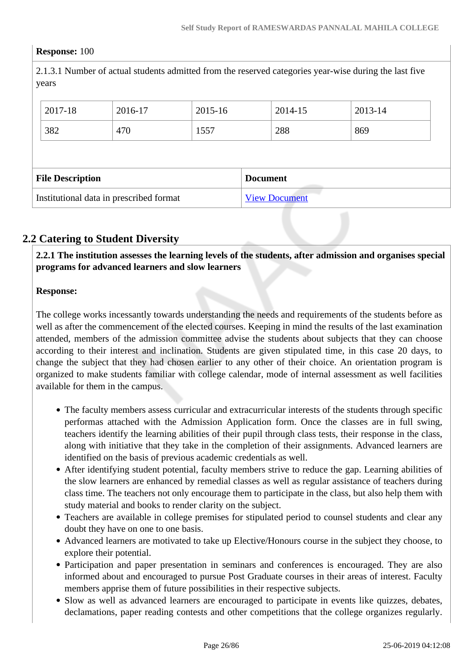#### **Response:** 100

2.1.3.1 Number of actual students admitted from the reserved categories year-wise during the last five years

| 2017-18                                    | 2016-17 | 2015-16 | 2014-15 | 2013-14 |
|--------------------------------------------|---------|---------|---------|---------|
| 382                                        | 470     | 1557    | 288     | 869     |
|                                            |         |         |         |         |
| <b>File Description</b><br><b>Document</b> |         |         |         |         |
|                                            |         |         |         |         |

# **2.2 Catering to Student Diversity**

 **2.2.1 The institution assesses the learning levels of the students, after admission and organises special programs for advanced learners and slow learners**

#### **Response:**

The college works incessantly towards understanding the needs and requirements of the students before as well as after the commencement of the elected courses. Keeping in mind the results of the last examination attended, members of the admission committee advise the students about subjects that they can choose according to their interest and inclination. Students are given stipulated time, in this case 20 days, to change the subject that they had chosen earlier to any other of their choice. An orientation program is organized to make students familiar with college calendar, mode of internal assessment as well facilities available for them in the campus.

- The faculty members assess curricular and extracurricular interests of the students through specific performas attached with the Admission Application form. Once the classes are in full swing, teachers identify the learning abilities of their pupil through class tests, their response in the class, along with initiative that they take in the completion of their assignments. Advanced learners are identified on the basis of previous academic credentials as well.
- After identifying student potential, faculty members strive to reduce the gap. Learning abilities of the slow learners are enhanced by remedial classes as well as regular assistance of teachers during class time. The teachers not only encourage them to participate in the class, but also help them with study material and books to render clarity on the subject.
- Teachers are available in college premises for stipulated period to counsel students and clear any doubt they have on one to one basis.
- Advanced learners are motivated to take up Elective/Honours course in the subject they choose, to explore their potential.
- Participation and paper presentation in seminars and conferences is encouraged. They are also informed about and encouraged to pursue Post Graduate courses in their areas of interest. Faculty members apprise them of future possibilities in their respective subjects.
- Slow as well as advanced learners are encouraged to participate in events like quizzes, debates, declamations, paper reading contests and other competitions that the college organizes regularly.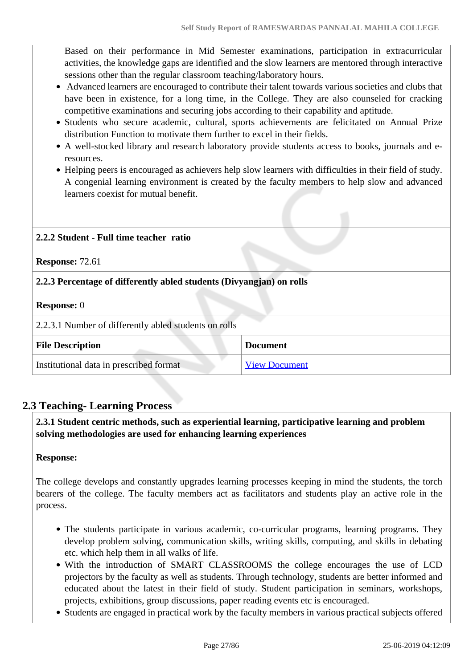Based on their performance in Mid Semester examinations, participation in extracurricular activities, the knowledge gaps are identified and the slow learners are mentored through interactive sessions other than the regular classroom teaching/laboratory hours.

- Advanced learners are encouraged to contribute their talent towards various societies and clubs that have been in existence, for a long time, in the College. They are also counseled for cracking competitive examinations and securing jobs according to their capability and aptitude.
- Students who secure academic, cultural, sports achievements are felicitated on Annual Prize distribution Function to motivate them further to excel in their fields.
- A well-stocked library and research laboratory provide students access to books, journals and eresources.
- Helping peers is encouraged as achievers help slow learners with difficulties in their field of study. A congenial learning environment is created by the faculty members to help slow and advanced learners coexist for mutual benefit.

# **2.2.2 Student - Full time teacher ratio**

#### **Response:** 72.61

# **2.2.3 Percentage of differently abled students (Divyangjan) on rolls**

#### **Response:** 0

2.2.3.1 Number of differently abled students on rolls

| <b>File Description</b>                 | <b>Document</b>      |
|-----------------------------------------|----------------------|
| Institutional data in prescribed format | <b>View Document</b> |

# **2.3 Teaching- Learning Process**

 **2.3.1 Student centric methods, such as experiential learning, participative learning and problem solving methodologies are used for enhancing learning experiences**

## **Response:**

The college develops and constantly upgrades learning processes keeping in mind the students, the torch bearers of the college. The faculty members act as facilitators and students play an active role in the process.

- The students participate in various academic, co-curricular programs, learning programs. They develop problem solving, communication skills, writing skills, computing, and skills in debating etc. which help them in all walks of life.
- With the introduction of SMART CLASSROOMS the college encourages the use of LCD projectors by the faculty as well as students. Through technology, students are better informed and educated about the latest in their field of study. Student participation in seminars, workshops, projects, exhibitions, group discussions, paper reading events etc is encouraged.
- Students are engaged in practical work by the faculty members in various practical subjects offered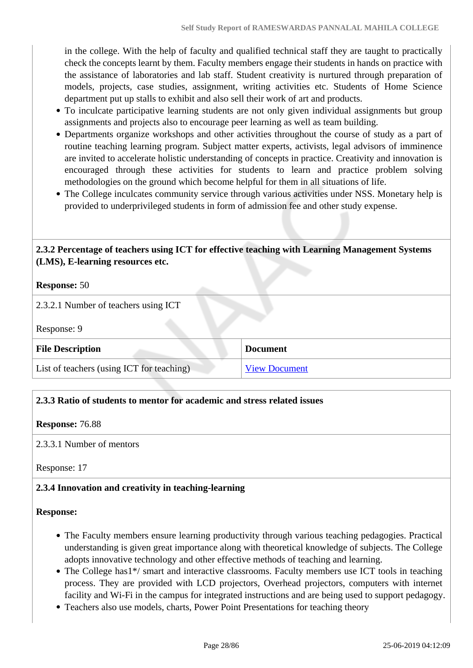in the college. With the help of faculty and qualified technical staff they are taught to practically check the concepts learnt by them. Faculty members engage their students in hands on practice with the assistance of laboratories and lab staff. Student creativity is nurtured through preparation of models, projects, case studies, assignment, writing activities etc. Students of Home Science department put up stalls to exhibit and also sell their work of art and products.

- To inculcate participative learning students are not only given individual assignments but group assignments and projects also to encourage peer learning as well as team building.
- Departments organize workshops and other activities throughout the course of study as a part of routine teaching learning program. Subject matter experts, activists, legal advisors of imminence are invited to accelerate holistic understanding of concepts in practice. Creativity and innovation is encouraged through these activities for students to learn and practice problem solving methodologies on the ground which become helpful for them in all situations of life.
- The College inculcates community service through various activities under NSS. Monetary help is provided to underprivileged students in form of admission fee and other study expense.

 **2.3.2 Percentage of teachers using ICT for effective teaching with Learning Management Systems (LMS), E-learning resources etc.**

## **Response:** 50

2.3.2.1 Number of teachers using ICT

Response: 9

| <b>File Description</b>                   | <b>Document</b>      |
|-------------------------------------------|----------------------|
| List of teachers (using ICT for teaching) | <b>View Document</b> |

## **2.3.3 Ratio of students to mentor for academic and stress related issues**

#### **Response:** 76.88

2.3.3.1 Number of mentors

Response: 17

## **2.3.4 Innovation and creativity in teaching-learning**

#### **Response:**

- The Faculty members ensure learning productivity through various teaching pedagogies. Practical understanding is given great importance along with theoretical knowledge of subjects. The College adopts innovative technology and other effective methods of teaching and learning.
- The College has1\*/ smart and interactive classrooms. Faculty members use ICT tools in teaching process. They are provided with LCD projectors, Overhead projectors, computers with internet facility and Wi-Fi in the campus for integrated instructions and are being used to support pedagogy.
- Teachers also use models, charts, Power Point Presentations for teaching theory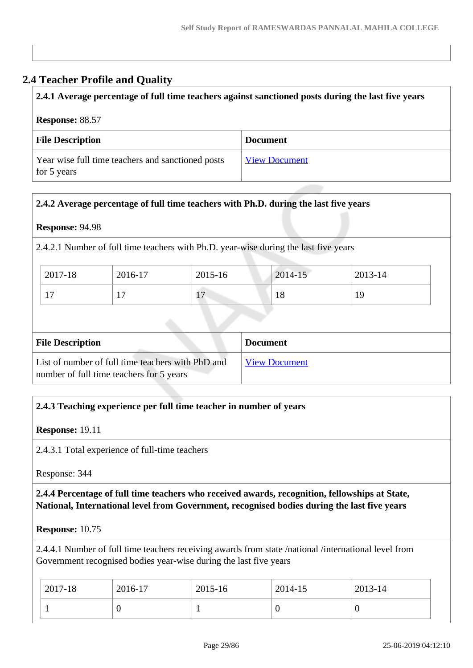# **2.4 Teacher Profile and Quality**

# **2.4.1 Average percentage of full time teachers against sanctioned posts during the last five years**

#### **Response:** 88.57

| <b>File Description</b>                                          | <b>Document</b>      |
|------------------------------------------------------------------|----------------------|
| Year wise full time teachers and sanctioned posts<br>for 5 years | <b>View Document</b> |

# **2.4.2 Average percentage of full time teachers with Ph.D. during the last five years**

## **Response:** 94.98

2.4.2.1 Number of full time teachers with Ph.D. year-wise during the last five years

| 2017-18   | 2016-17                  | 2015-16                        | 2014-15 | 2013-14 |
|-----------|--------------------------|--------------------------------|---------|---------|
| 1 ~<br>л. | $\overline{\phantom{0}}$ | $\overline{ }$<br>$\mathbf{r}$ | 18      | 19      |

| <b>File Description</b>                           | <b>Document</b>      |  |  |
|---------------------------------------------------|----------------------|--|--|
| List of number of full time teachers with PhD and | <b>View Document</b> |  |  |
| number of full time teachers for 5 years          |                      |  |  |

# **2.4.3 Teaching experience per full time teacher in number of years**

## **Response:** 19.11

2.4.3.1 Total experience of full-time teachers

Response: 344

# **2.4.4 Percentage of full time teachers who received awards, recognition, fellowships at State, National, International level from Government, recognised bodies during the last five years**

#### **Response:** 10.75

2.4.4.1 Number of full time teachers receiving awards from state /national /international level from Government recognised bodies year-wise during the last five years

| 2017-18 | 2016-17 | 2015-16 | 2014-15 | 2013-14 |
|---------|---------|---------|---------|---------|
|         | ◡       |         |         | v       |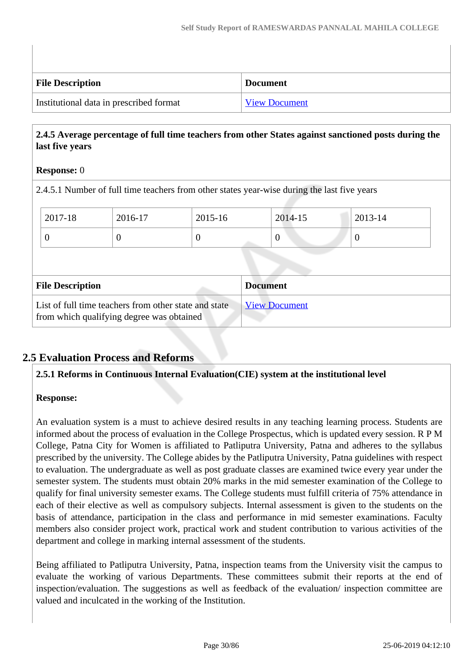| <b>File Description</b>                 | Document             |
|-----------------------------------------|----------------------|
| Institutional data in prescribed format | <b>View Document</b> |

# **2.4.5 Average percentage of full time teachers from other States against sanctioned posts during the last five years**

# **Response:** 0

2.4.5.1 Number of full time teachers from other states year-wise during the last five years

|                         | 2017-18                                                                                            | 2016-17  | 2015-16         |  | 2014-15              | 2013-14          |
|-------------------------|----------------------------------------------------------------------------------------------------|----------|-----------------|--|----------------------|------------------|
|                         | $\theta$                                                                                           | $\theta$ | $\theta$        |  | $\theta$             | $\boldsymbol{0}$ |
|                         |                                                                                                    |          |                 |  |                      |                  |
| <b>File Description</b> |                                                                                                    |          | <b>Document</b> |  |                      |                  |
|                         | List of full time teachers from other state and state<br>from which qualifying degree was obtained |          |                 |  | <b>View Document</b> |                  |

# **2.5 Evaluation Process and Reforms**

**2.5.1 Reforms in Continuous Internal Evaluation(CIE) system at the institutional level**

## **Response:**

An evaluation system is a must to achieve desired results in any teaching learning process. Students are informed about the process of evaluation in the College Prospectus, which is updated every session. R P M College, Patna City for Women is affiliated to Patliputra University, Patna and adheres to the syllabus prescribed by the university. The College abides by the Patliputra University, Patna guidelines with respect to evaluation. The undergraduate as well as post graduate classes are examined twice every year under the semester system. The students must obtain 20% marks in the mid semester examination of the College to qualify for final university semester exams. The College students must fulfill criteria of 75% attendance in each of their elective as well as compulsory subjects. Internal assessment is given to the students on the basis of attendance, participation in the class and performance in mid semester examinations. Faculty members also consider project work, practical work and student contribution to various activities of the department and college in marking internal assessment of the students.

Being affiliated to Patliputra University, Patna, inspection teams from the University visit the campus to evaluate the working of various Departments. These committees submit their reports at the end of inspection/evaluation. The suggestions as well as feedback of the evaluation/ inspection committee are valued and inculcated in the working of the Institution.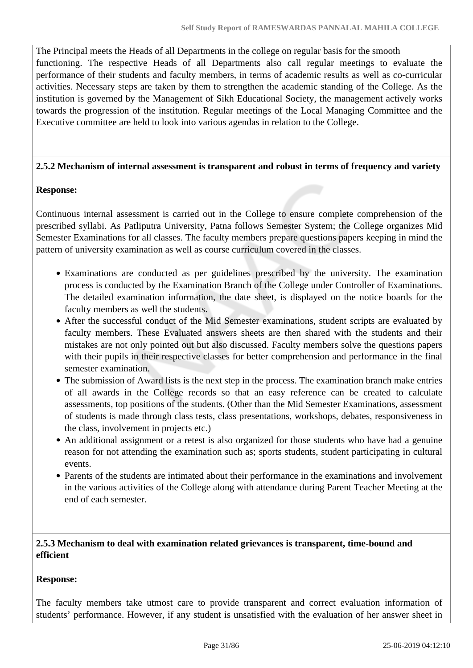The Principal meets the Heads of all Departments in the college on regular basis for the smooth functioning. The respective Heads of all Departments also call regular meetings to evaluate the performance of their students and faculty members, in terms of academic results as well as co-curricular activities. Necessary steps are taken by them to strengthen the academic standing of the College. As the institution is governed by the Management of Sikh Educational Society, the management actively works towards the progression of the institution. Regular meetings of the Local Managing Committee and the Executive committee are held to look into various agendas in relation to the College.

#### **2.5.2 Mechanism of internal assessment is transparent and robust in terms of frequency and variety**

#### **Response:**

Continuous internal assessment is carried out in the College to ensure complete comprehension of the prescribed syllabi. As Patliputra University, Patna follows Semester System; the College organizes Mid Semester Examinations for all classes. The faculty members prepare questions papers keeping in mind the pattern of university examination as well as course curriculum covered in the classes.

- Examinations are conducted as per guidelines prescribed by the university. The examination process is conducted by the Examination Branch of the College under Controller of Examinations. The detailed examination information, the date sheet, is displayed on the notice boards for the faculty members as well the students.
- After the successful conduct of the Mid Semester examinations, student scripts are evaluated by faculty members. These Evaluated answers sheets are then shared with the students and their mistakes are not only pointed out but also discussed. Faculty members solve the questions papers with their pupils in their respective classes for better comprehension and performance in the final semester examination.
- The submission of Award lists is the next step in the process. The examination branch make entries of all awards in the College records so that an easy reference can be created to calculate assessments, top positions of the students. (Other than the Mid Semester Examinations, assessment of students is made through class tests, class presentations, workshops, debates, responsiveness in the class, involvement in projects etc.)
- An additional assignment or a retest is also organized for those students who have had a genuine reason for not attending the examination such as; sports students, student participating in cultural events.
- Parents of the students are intimated about their performance in the examinations and involvement in the various activities of the College along with attendance during Parent Teacher Meeting at the end of each semester.

# **2.5.3 Mechanism to deal with examination related grievances is transparent, time-bound and efficient**

#### **Response:**

The faculty members take utmost care to provide transparent and correct evaluation information of students' performance. However, if any student is unsatisfied with the evaluation of her answer sheet in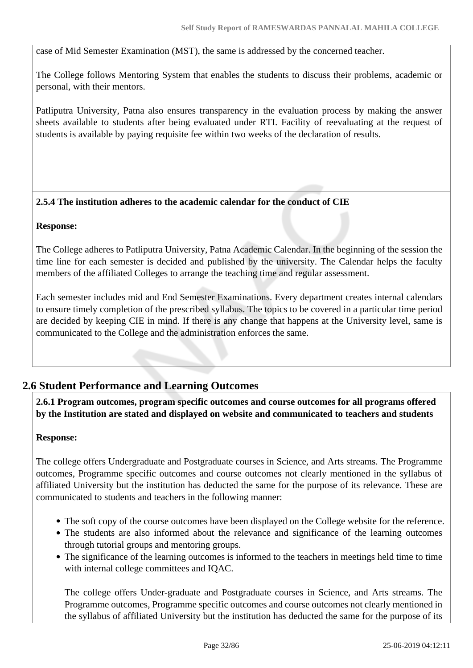case of Mid Semester Examination (MST), the same is addressed by the concerned teacher.

The College follows Mentoring System that enables the students to discuss their problems, academic or personal, with their mentors.

Patliputra University, Patna also ensures transparency in the evaluation process by making the answer sheets available to students after being evaluated under RTI. Facility of reevaluating at the request of students is available by paying requisite fee within two weeks of the declaration of results.

## **2.5.4 The institution adheres to the academic calendar for the conduct of CIE**

#### **Response:**

The College adheres to Patliputra University, Patna Academic Calendar. In the beginning of the session the time line for each semester is decided and published by the university. The Calendar helps the faculty members of the affiliated Colleges to arrange the teaching time and regular assessment.

Each semester includes mid and End Semester Examinations. Every department creates internal calendars to ensure timely completion of the prescribed syllabus. The topics to be covered in a particular time period are decided by keeping CIE in mind. If there is any change that happens at the University level, same is communicated to the College and the administration enforces the same.

# **2.6 Student Performance and Learning Outcomes**

 **2.6.1 Program outcomes, program specific outcomes and course outcomes for all programs offered by the Institution are stated and displayed on website and communicated to teachers and students**

#### **Response:**

The college offers Undergraduate and Postgraduate courses in Science, and Arts streams. The Programme outcomes, Programme specific outcomes and course outcomes not clearly mentioned in the syllabus of affiliated University but the institution has deducted the same for the purpose of its relevance. These are communicated to students and teachers in the following manner:

- The soft copy of the course outcomes have been displayed on the College website for the reference.
- The students are also informed about the relevance and significance of the learning outcomes through tutorial groups and mentoring groups.
- The significance of the learning outcomes is informed to the teachers in meetings held time to time with internal college committees and IQAC.

The college offers Under-graduate and Postgraduate courses in Science, and Arts streams. The Programme outcomes, Programme specific outcomes and course outcomes not clearly mentioned in the syllabus of affiliated University but the institution has deducted the same for the purpose of its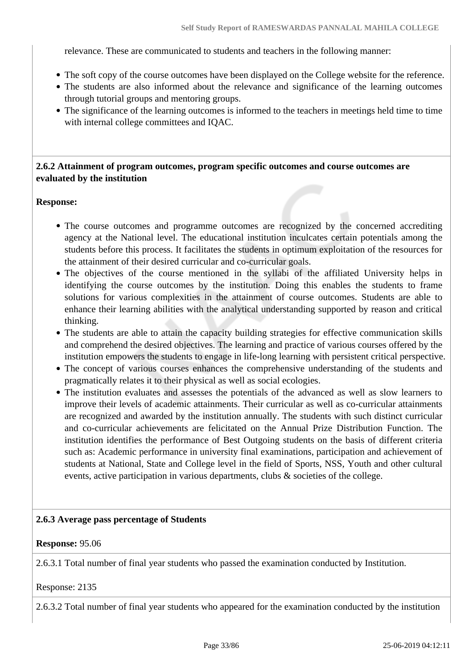relevance. These are communicated to students and teachers in the following manner:

- The soft copy of the course outcomes have been displayed on the College website for the reference.
- The students are also informed about the relevance and significance of the learning outcomes through tutorial groups and mentoring groups.
- The significance of the learning outcomes is informed to the teachers in meetings held time to time with internal college committees and IQAC.

# **2.6.2 Attainment of program outcomes, program specific outcomes and course outcomes are evaluated by the institution**

## **Response:**

- The course outcomes and programme outcomes are recognized by the concerned accrediting agency at the National level. The educational institution inculcates certain potentials among the students before this process. It facilitates the students in optimum exploitation of the resources for the attainment of their desired curricular and co-curricular goals.
- The objectives of the course mentioned in the syllabi of the affiliated University helps in identifying the course outcomes by the institution. Doing this enables the students to frame solutions for various complexities in the attainment of course outcomes. Students are able to enhance their learning abilities with the analytical understanding supported by reason and critical thinking.
- The students are able to attain the capacity building strategies for effective communication skills and comprehend the desired objectives. The learning and practice of various courses offered by the institution empowers the students to engage in life-long learning with persistent critical perspective.
- The concept of various courses enhances the comprehensive understanding of the students and pragmatically relates it to their physical as well as social ecologies.
- The institution evaluates and assesses the potentials of the advanced as well as slow learners to improve their levels of academic attainments. Their curricular as well as co-curricular attainments are recognized and awarded by the institution annually. The students with such distinct curricular and co-curricular achievements are felicitated on the Annual Prize Distribution Function. The institution identifies the performance of Best Outgoing students on the basis of different criteria such as: Academic performance in university final examinations, participation and achievement of students at National, State and College level in the field of Sports, NSS, Youth and other cultural events, active participation in various departments, clubs & societies of the college.

## **2.6.3 Average pass percentage of Students**

## **Response:** 95.06

2.6.3.1 Total number of final year students who passed the examination conducted by Institution.

Response: 2135

2.6.3.2 Total number of final year students who appeared for the examination conducted by the institution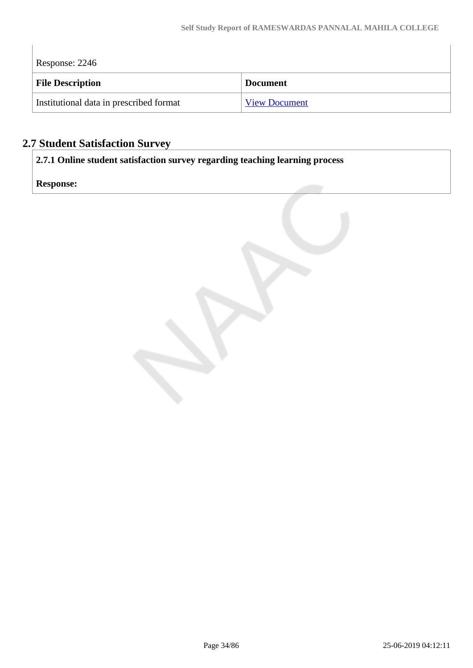$\overline{\phantom{a}}$ 

| Response: 2246                          |                      |  |
|-----------------------------------------|----------------------|--|
| <b>File Description</b>                 | <b>Document</b>      |  |
| Institutional data in prescribed format | <b>View Document</b> |  |

# **2.7 Student Satisfaction Survey**

**2.7.1 Online student satisfaction survey regarding teaching learning process**

**Response:** 

 $\begin{array}{c} \hline \end{array}$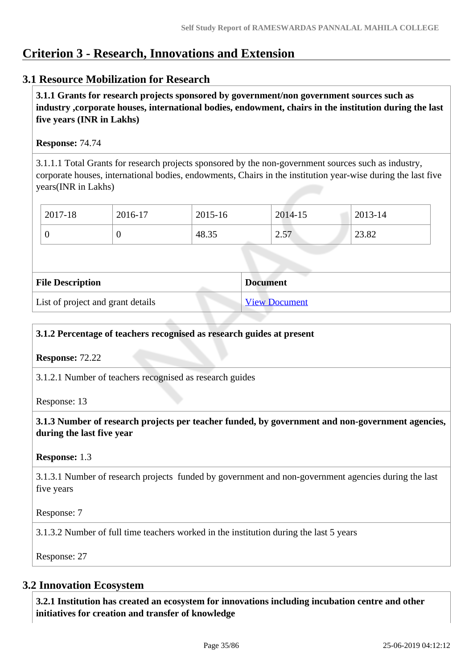# **Criterion 3 - Research, Innovations and Extension**

# **3.1 Resource Mobilization for Research**

 **3.1.1 Grants for research projects sponsored by government/non government sources such as industry ,corporate houses, international bodies, endowment, chairs in the institution during the last five years (INR in Lakhs)** 

# **Response:** 74.74

3.1.1.1 Total Grants for research projects sponsored by the non-government sources such as industry, corporate houses, international bodies, endowments, Chairs in the institution year-wise during the last five years(INR in Lakhs)

| 2017-18 | 2016-17 | 2015-16 | 2014-15 | 2013-14 |
|---------|---------|---------|---------|---------|
|         |         | 48.35   | 2.57    | 23.82   |

| <b>File Description</b>           | <b>Document</b>      |
|-----------------------------------|----------------------|
| List of project and grant details | <b>View Document</b> |

# **3.1.2 Percentage of teachers recognised as research guides at present**

**Response:** 72.22

3.1.2.1 Number of teachers recognised as research guides

Response: 13

 **3.1.3 Number of research projects per teacher funded, by government and non-government agencies, during the last five year**

## **Response:** 1.3

3.1.3.1 Number of research projects funded by government and non-government agencies during the last five years

Response: 7

3.1.3.2 Number of full time teachers worked in the institution during the last 5 years

Response: 27

# **3.2 Innovation Ecosystem**

 **3.2.1 Institution has created an ecosystem for innovations including incubation centre and other initiatives for creation and transfer of knowledge**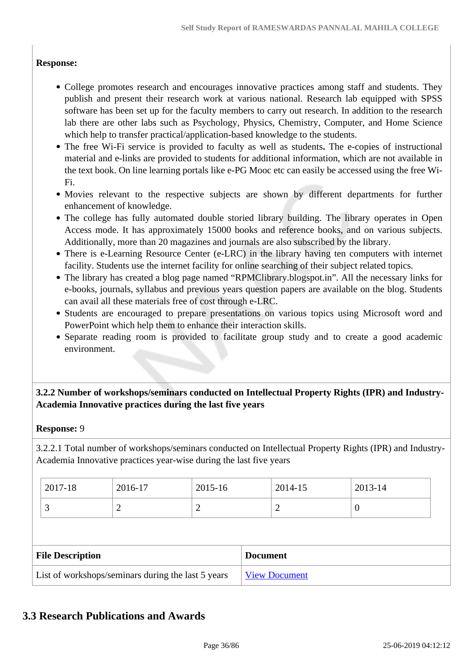# **Response:**

- College promotes research and encourages innovative practices among staff and students. They publish and present their research work at various national. Research lab equipped with SPSS software has been set up for the faculty members to carry out research. In addition to the research lab there are other labs such as Psychology, Physics, Chemistry, Computer, and Home Science which help to transfer practical/application-based knowledge to the students.
- The free Wi-Fi service is provided to faculty as well as students**.** The e-copies of instructional material and e-links are provided to students for additional information, which are not available in the text book. On line learning portals like e-PG Mooc etc can easily be accessed using the free Wi-Fi.
- Movies relevant to the respective subjects are shown by different departments for further enhancement of knowledge.
- The college has fully automated double storied library building. The library operates in Open Access mode. It has approximately 15000 books and reference books, and on various subjects. Additionally, more than 20 magazines and journals are also subscribed by the library.
- There is e-Learning Resource Center (e-LRC) in the library having ten computers with internet facility. Students use the internet facility for online searching of their subject related topics.
- The library has created a blog page named "RPMClibrary.blogspot.in". All the necessary links for e-books, journals, syllabus and previous years question papers are available on the blog. Students can avail all these materials free of cost through e-LRC.
- Students are encouraged to prepare presentations on various topics using Microsoft word and PowerPoint which help them to enhance their interaction skills.
- Separate reading room is provided to facilitate group study and to create a good academic environment.

# **3.2.2 Number of workshops/seminars conducted on Intellectual Property Rights (IPR) and Industry-Academia Innovative practices during the last five years**

## **Response:** 9

3.2.2.1 Total number of workshops/seminars conducted on Intellectual Property Rights (IPR) and Industry-Academia Innovative practices year-wise during the last five years

| 2017-18                 | 2016-17 | 2015-16        |                 | 2014-15 | 2013-14  |
|-------------------------|---------|----------------|-----------------|---------|----------|
| 3                       | 2       | $\overline{2}$ |                 | 2       | $\theta$ |
|                         |         |                |                 |         |          |
|                         |         |                |                 |         |          |
| <b>File Description</b> |         |                | <b>Document</b> |         |          |

# **3.3 Research Publications and Awards**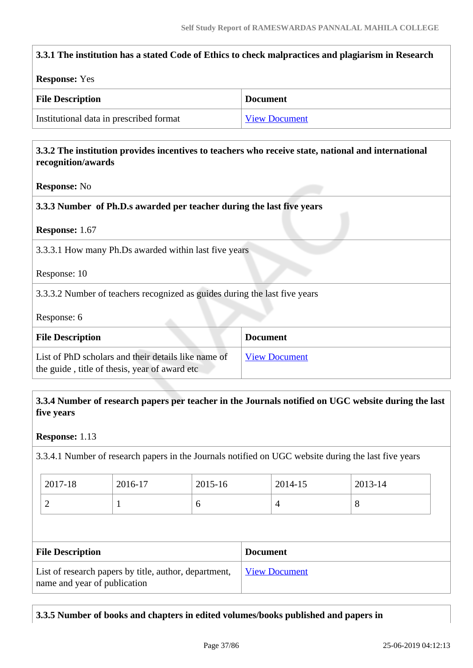| 3.3.1 The institution has a stated Code of Ethics to check malpractices and plagiarism in Research                                               |                      |
|--------------------------------------------------------------------------------------------------------------------------------------------------|----------------------|
| <b>Response: Yes</b>                                                                                                                             |                      |
| <b>File Description</b>                                                                                                                          | <b>Document</b>      |
| Institutional data in prescribed format                                                                                                          | <b>View Document</b> |
| 3.3.2 The institution provides incentives to teachers who receive state, national and international<br>recognition/awards<br><b>Response: No</b> |                      |
| 3.3.3 Number of Ph.D.s awarded per teacher during the last five years<br>Response: 1.67                                                          |                      |
| 3.3.3.1 How many Ph.Ds awarded within last five years                                                                                            |                      |
| Response: 10                                                                                                                                     |                      |
| 3.3.3.2 Number of teachers recognized as guides during the last five years                                                                       |                      |
| Response: 6                                                                                                                                      |                      |
| <b>File Description</b>                                                                                                                          | <b>Document</b>      |
| List of PhD scholars and their details like name of<br>the guide, title of thesis, year of award etc                                             | <b>View Document</b> |

### **3.3.4 Number of research papers per teacher in the Journals notified on UGC website during the last five years**

#### **Response:** 1.13

3.3.4.1 Number of research papers in the Journals notified on UGC website during the last five years

| 2017-18 | 2016-17 | 2015-16 | 2014-15 | 2013-14 |
|---------|---------|---------|---------|---------|
| ∽       |         | O       |         | ◡       |

| <b>File Description</b>                                                               | <b>Document</b>             |
|---------------------------------------------------------------------------------------|-----------------------------|
| List of research papers by title, author, department,<br>name and year of publication | <u><b>View Document</b></u> |

### **3.3.5 Number of books and chapters in edited volumes/books published and papers in**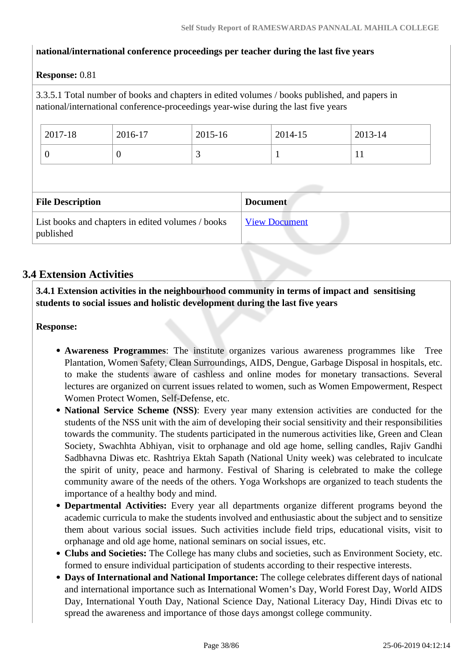### **national/international conference proceedings per teacher during the last five years**

### **Response:** 0.81

3.3.5.1 Total number of books and chapters in edited volumes / books published, and papers in national/international conference-proceedings year-wise during the last five years

| 2017-18 | 2016-17 | 2015-16 | 2014-15 | 2013-14   |
|---------|---------|---------|---------|-----------|
| ν       | υ       |         |         | <b>TT</b> |

| <b>File Description</b>                                        | <b>Document</b>      |
|----------------------------------------------------------------|----------------------|
| List books and chapters in edited volumes / books<br>published | <b>View Document</b> |

### **3.4 Extension Activities**

 **3.4.1 Extension activities in the neighbourhood community in terms of impact and sensitising students to social issues and holistic development during the last five years**

**Response:** 

- **Awareness Programmes**: The institute organizes various awareness programmes like Tree Plantation, Women Safety, Clean Surroundings, AIDS, Dengue, Garbage Disposal in hospitals, etc. to make the students aware of cashless and online modes for monetary transactions. Several lectures are organized on current issues related to women, such as Women Empowerment, Respect Women Protect Women, Self-Defense, etc.
- **National Service Scheme (NSS)**: Every year many extension activities are conducted for the students of the NSS unit with the aim of developing their social sensitivity and their responsibilities towards the community. The students participated in the numerous activities like, Green and Clean Society, Swachhta Abhiyan, visit to orphanage and old age home, selling candles, Rajiv Gandhi Sadbhavna Diwas etc. Rashtriya Ektah Sapath (National Unity week) was celebrated to inculcate the spirit of unity, peace and harmony. Festival of Sharing is celebrated to make the college community aware of the needs of the others. Yoga Workshops are organized to teach students the importance of a healthy body and mind.
- **Departmental Activities:** Every year all departments organize different programs beyond the academic curricula to make the students involved and enthusiastic about the subject and to sensitize them about various social issues. Such activities include field trips, educational visits, visit to orphanage and old age home, national seminars on social issues, etc.
- **Clubs and Societies:** The College has many clubs and societies, such as Environment Society, etc. formed to ensure individual participation of students according to their respective interests.
- **Days of International and National Importance:** The college celebrates different days of national and international importance such as International Women's Day, World Forest Day, World AIDS Day, International Youth Day, National Science Day, National Literacy Day, Hindi Divas etc to spread the awareness and importance of those days amongst college community.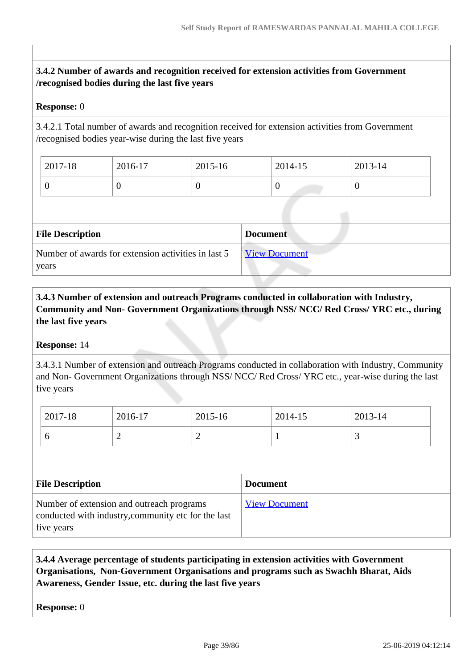### **3.4.2 Number of awards and recognition received for extension activities from Government /recognised bodies during the last five years**

#### **Response:** 0

3.4.2.1 Total number of awards and recognition received for extension activities from Government /recognised bodies year-wise during the last five years

| 2017-18 | 2016-17 | 2015-16 | 2014-15      | 2013-14 |
|---------|---------|---------|--------------|---------|
|         |         |         | $\mathcal C$ |         |

| <b>File Description</b>                                      | <b>Document</b>      |
|--------------------------------------------------------------|----------------------|
| Number of awards for extension activities in last 5<br>years | <b>View Document</b> |

 **3.4.3 Number of extension and outreach Programs conducted in collaboration with Industry, Community and Non- Government Organizations through NSS/ NCC/ Red Cross/ YRC etc., during the last five years** 

#### **Response:** 14

3.4.3.1 Number of extension and outreach Programs conducted in collaboration with Industry, Community and Non- Government Organizations through NSS/ NCC/ Red Cross/ YRC etc., year-wise during the last five years

| 2017-18 | 2016-17 | 2015-16 | 2014-15 | 2013-14 |
|---------|---------|---------|---------|---------|
|         | ∽       | ∽       |         | ້       |

| <b>File Description</b>                                                                                        | <b>Document</b>      |
|----------------------------------------------------------------------------------------------------------------|----------------------|
| Number of extension and outreach programs<br>conducted with industry, community etc for the last<br>five years | <b>View Document</b> |

### **3.4.4 Average percentage of students participating in extension activities with Government Organisations, Non-Government Organisations and programs such as Swachh Bharat, Aids Awareness, Gender Issue, etc. during the last five years**

**Response:** 0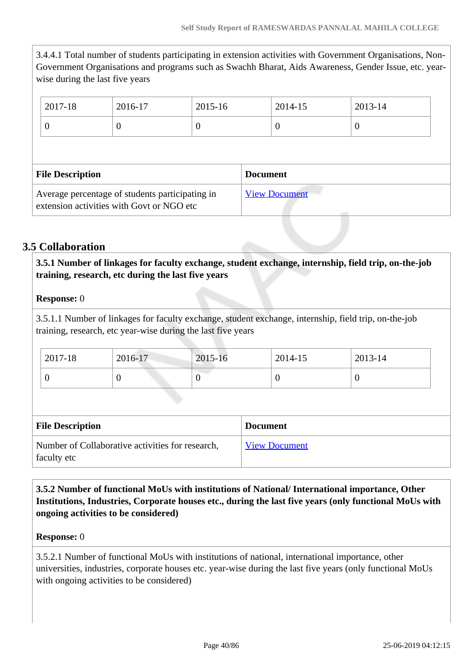3.4.4.1 Total number of students participating in extension activities with Government Organisations, Non-Government Organisations and programs such as Swachh Bharat, Aids Awareness, Gender Issue, etc. yearwise during the last five years

| 2017-18                 | 2016-17  | 2015-16 | 2014-15         | 2013-14 |
|-------------------------|----------|---------|-----------------|---------|
| O                       | $\theta$ | O       | 0               | O       |
|                         |          |         |                 |         |
|                         |          |         |                 |         |
| <b>File Description</b> |          |         | <b>Document</b> |         |

### **3.5 Collaboration**

 **3.5.1 Number of linkages for faculty exchange, student exchange, internship, field trip, on-the-job training, research, etc during the last five years**

### **Response:** 0

3.5.1.1 Number of linkages for faculty exchange, student exchange, internship, field trip, on-the-job training, research, etc year-wise during the last five years

| $12017 - 18$ | 2016-17 | 2015-16 | 2014-15 | 2013-14 |
|--------------|---------|---------|---------|---------|
|              | ╰       |         | v       |         |

| <b>File Description</b>                                         | <b>Document</b>      |
|-----------------------------------------------------------------|----------------------|
| Number of Collaborative activities for research,<br>faculty etc | <b>View Document</b> |

 **3.5.2 Number of functional MoUs with institutions of National/ International importance, Other Institutions, Industries, Corporate houses etc., during the last five years (only functional MoUs with ongoing activities to be considered)** 

#### **Response:** 0

3.5.2.1 Number of functional MoUs with institutions of national, international importance, other universities, industries, corporate houses etc. year-wise during the last five years (only functional MoUs with ongoing activities to be considered)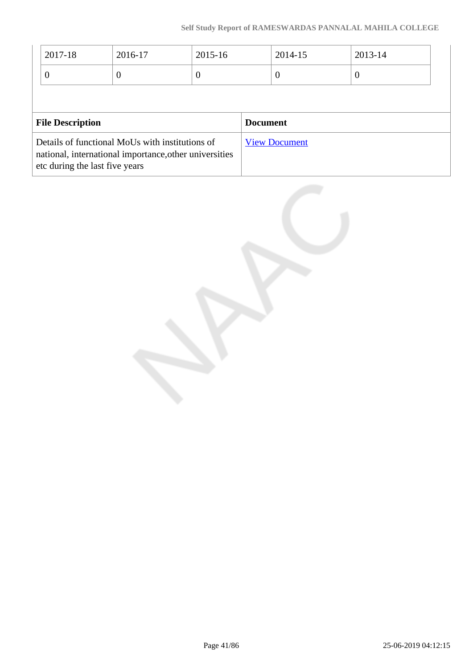| 2017-18                 | 2016-17  | 2015-16 |                 | 2014-15  | 2013-14 |
|-------------------------|----------|---------|-----------------|----------|---------|
| $\theta$                | $\theta$ | O       |                 | $\theta$ | U       |
|                         |          |         |                 |          |         |
|                         |          |         |                 |          |         |
| <b>File Description</b> |          |         | <b>Document</b> |          |         |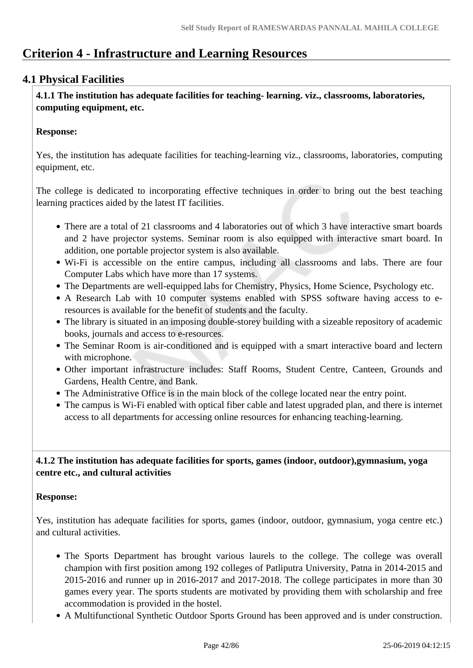## **Criterion 4 - Infrastructure and Learning Resources**

### **4.1 Physical Facilities**

 **4.1.1 The institution has adequate facilities for teaching- learning. viz., classrooms, laboratories, computing equipment, etc.**

#### **Response:**

Yes, the institution has adequate facilities for teaching-learning viz., classrooms, laboratories, computing equipment, etc.

The college is dedicated to incorporating effective techniques in order to bring out the best teaching learning practices aided by the latest IT facilities.

- There are a total of 21 classrooms and 4 laboratories out of which 3 have interactive smart boards and 2 have projector systems. Seminar room is also equipped with interactive smart board. In addition, one portable projector system is also available.
- Wi-Fi is accessible on the entire campus, including all classrooms and labs. There are four Computer Labs which have more than 17 systems.
- The Departments are well-equipped labs for Chemistry, Physics, Home Science, Psychology etc.
- A Research Lab with 10 computer systems enabled with SPSS software having access to eresources is available for the benefit of students and the faculty.
- The library is situated in an imposing double-storey building with a sizeable repository of academic books, journals and access to e-resources.
- The Seminar Room is air-conditioned and is equipped with a smart interactive board and lectern with microphone.
- Other important infrastructure includes: Staff Rooms, Student Centre, Canteen, Grounds and Gardens, Health Centre, and Bank.
- The Administrative Office is in the main block of the college located near the entry point.
- The campus is Wi-Fi enabled with optical fiber cable and latest upgraded plan, and there is internet access to all departments for accessing online resources for enhancing teaching-learning.

### **4.1.2 The institution has adequate facilities for sports, games (indoor, outdoor),gymnasium, yoga centre etc., and cultural activities**

#### **Response:**

Yes, institution has adequate facilities for sports, games (indoor, outdoor, gymnasium, yoga centre etc.) and cultural activities.

- The Sports Department has brought various laurels to the college. The college was overall champion with first position among 192 colleges of Patliputra University, Patna in 2014-2015 and 2015-2016 and runner up in 2016-2017 and 2017-2018. The college participates in more than 30 games every year. The sports students are motivated by providing them with scholarship and free accommodation is provided in the hostel.
- A Multifunctional Synthetic Outdoor Sports Ground has been approved and is under construction.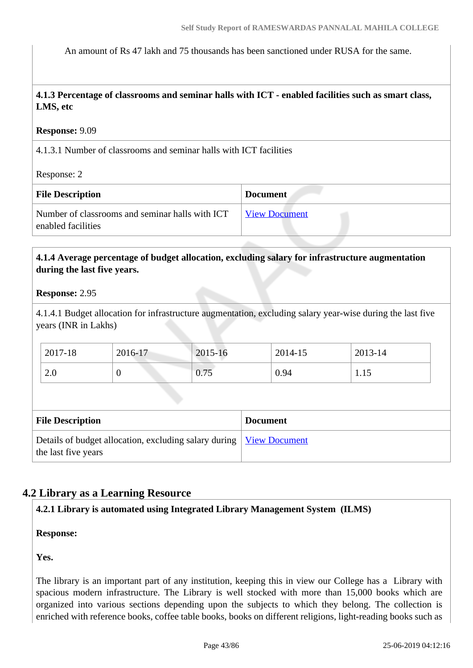An amount of Rs 47 lakh and 75 thousands has been sanctioned under RUSA for the same.

 **4.1.3 Percentage of classrooms and seminar halls with ICT - enabled facilities such as smart class, LMS, etc**

#### **Response:** 9.09

4.1.3.1 Number of classrooms and seminar halls with ICT facilities

Response: 2

| <b>File Description</b>                                               | <b>Document</b>      |
|-----------------------------------------------------------------------|----------------------|
| Number of classrooms and seminar halls with ICT<br>enabled facilities | <b>View Document</b> |

#### **4.1.4 Average percentage of budget allocation, excluding salary for infrastructure augmentation during the last five years.**

#### **Response:** 2.95

4.1.4.1 Budget allocation for infrastructure augmentation, excluding salary year-wise during the last five years (INR in Lakhs)

| $2017 - 18$ | 2016-17 | 2015-16 | 2014-15 | 2013-14 |
|-------------|---------|---------|---------|---------|
| 2.0         | ν       | 0.75    | 0.94    | 1.1J    |

| <b>File Description</b>                                                                      | <b>Document</b> |
|----------------------------------------------------------------------------------------------|-----------------|
| Details of budget allocation, excluding salary during   View Document<br>the last five years |                 |

### **4.2 Library as a Learning Resource**

### **4.2.1 Library is automated using Integrated Library Management System (ILMS)**

**Response:** 

**Yes.**

The library is an important part of any institution, keeping this in view our College has a Library with spacious modern infrastructure. The Library is well stocked with more than 15,000 books which are organized into various sections depending upon the subjects to which they belong. The collection is enriched with reference books, coffee table books, books on different religions, light-reading books such as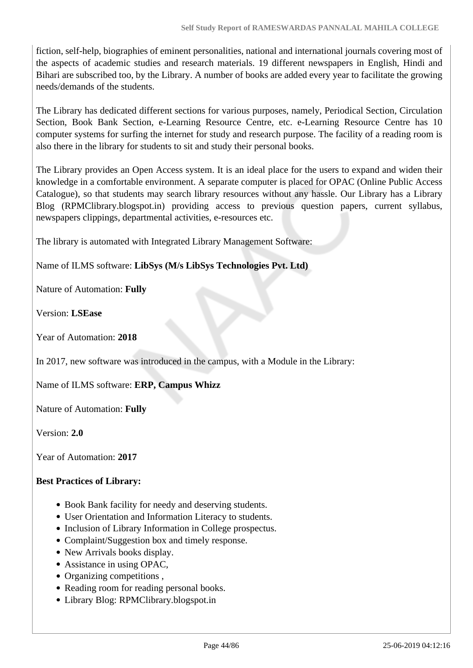fiction, self-help, biographies of eminent personalities, national and international journals covering most of the aspects of academic studies and research materials. 19 different newspapers in English, Hindi and Bihari are subscribed too, by the Library. A number of books are added every year to facilitate the growing needs/demands of the students.

The Library has dedicated different sections for various purposes, namely, Periodical Section, Circulation Section, Book Bank Section, e-Learning Resource Centre, etc. e-Learning Resource Centre has 10 computer systems for surfing the internet for study and research purpose. The facility of a reading room is also there in the library for students to sit and study their personal books.

The Library provides an Open Access system. It is an ideal place for the users to expand and widen their knowledge in a comfortable environment. A separate computer is placed for OPAC (Online Public Access Catalogue), so that students may search library resources without any hassle. Our Library has a Library Blog (RPMClibrary.blogspot.in) providing access to previous question papers, current syllabus, newspapers clippings, departmental activities, e-resources etc.

The library is automated with Integrated Library Management Software:

Name of ILMS software: **LibSys (M/s LibSys Technologies Pvt. Ltd)**

Nature of Automation: **Fully**

Version: **LSEase**

Year of Automation: **2018**

In 2017, new software was introduced in the campus, with a Module in the Library:

Name of ILMS software: **ERP, Campus Whizz**

Nature of Automation: **Fully**

Version: **2.0**

Year of Automation: **2017**

### **Best Practices of Library:**

- Book Bank facility for needy and deserving students.
- User Orientation and Information Literacy to students.
- Inclusion of Library Information in College prospectus.
- Complaint/Suggestion box and timely response.
- New Arrivals books display.
- Assistance in using OPAC,
- Organizing competitions,
- Reading room for reading personal books.
- Library Blog: RPMClibrary.blogspot.in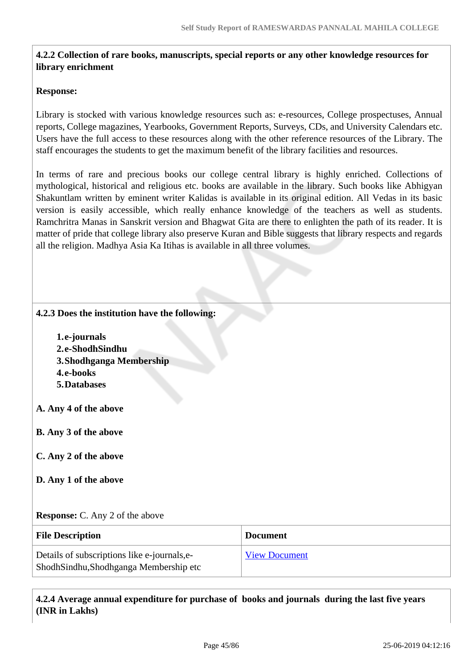### **4.2.2 Collection of rare books, manuscripts, special reports or any other knowledge resources for library enrichment**

#### **Response:**

Library is stocked with various knowledge resources such as: e-resources, College prospectuses, Annual reports, College magazines, Yearbooks, Government Reports, Surveys, CDs, and University Calendars etc. Users have the full access to these resources along with the other reference resources of the Library. The staff encourages the students to get the maximum benefit of the library facilities and resources.

In terms of rare and precious books our college central library is highly enriched. Collections of mythological, historical and religious etc. books are available in the library. Such books like Abhigyan Shakuntlam written by eminent writer Kalidas is available in its original edition. All Vedas in its basic version is easily accessible, which really enhance knowledge of the teachers as well as students. Ramchritra Manas in Sanskrit version and Bhagwat Gita are there to enlighten the path of its reader. It is matter of pride that college library also preserve Kuran and Bible suggests that library respects and regards all the religion. Madhya Asia Ka Itihas is available in all three volumes.

#### **4.2.3 Does the institution have the following:**

**1.e-journals 2.e-ShodhSindhu 3.Shodhganga Membership 4.e-books 5.Databases**

**A. Any 4 of the above**

**B. Any 3 of the above**

- **C. Any 2 of the above**
- **D. Any 1 of the above**

#### **Response:** C. Any 2 of the above

| <b>File Description</b>                                                               | <b>Document</b>      |
|---------------------------------------------------------------------------------------|----------------------|
| Details of subscriptions like e-journals, e-<br>ShodhSindhu,Shodhganga Membership etc | <b>View Document</b> |

 **4.2.4 Average annual expenditure for purchase of books and journals during the last five years (INR in Lakhs)**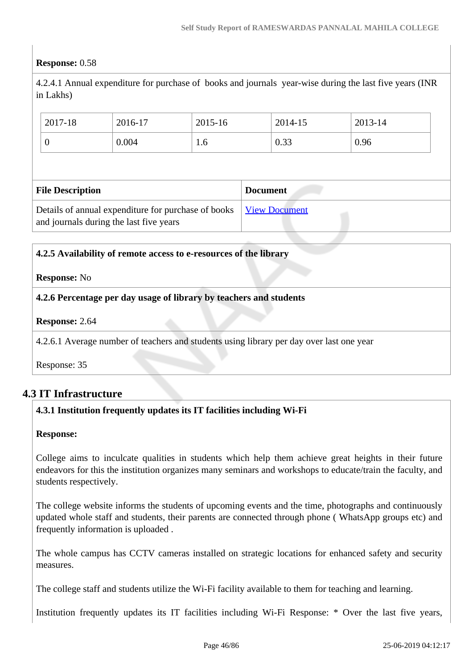### **Response:** 0.58

4.2.4.1 Annual expenditure for purchase of books and journals year-wise during the last five years (INR in Lakhs)

| 2017-18                 | 2016-17 | 2015-16 |  | 2014-15 | 2013-14 |
|-------------------------|---------|---------|--|---------|---------|
| 0                       | 0.004   | 1.6     |  | 0.33    | 0.96    |
|                         |         |         |  |         |         |
| <b>Document</b>         |         |         |  |         |         |
| <b>File Description</b> |         |         |  |         |         |

#### **4.2.5 Availability of remote access to e-resources of the library**

#### **Response:** No

**4.2.6 Percentage per day usage of library by teachers and students**

**Response:** 2.64

4.2.6.1 Average number of teachers and students using library per day over last one year

Response: 35

### **4.3 IT Infrastructure**

### **4.3.1 Institution frequently updates its IT facilities including Wi-Fi**

#### **Response:**

College aims to inculcate qualities in students which help them achieve great heights in their future endeavors for this the institution organizes many seminars and workshops to educate/train the faculty, and students respectively.

The college website informs the students of upcoming events and the time, photographs and continuously updated whole staff and students, their parents are connected through phone ( WhatsApp groups etc) and frequently information is uploaded .

The whole campus has CCTV cameras installed on strategic locations for enhanced safety and security measures.

The college staff and students utilize the Wi-Fi facility available to them for teaching and learning.

Institution frequently updates its IT facilities including Wi-Fi Response: \* Over the last five years,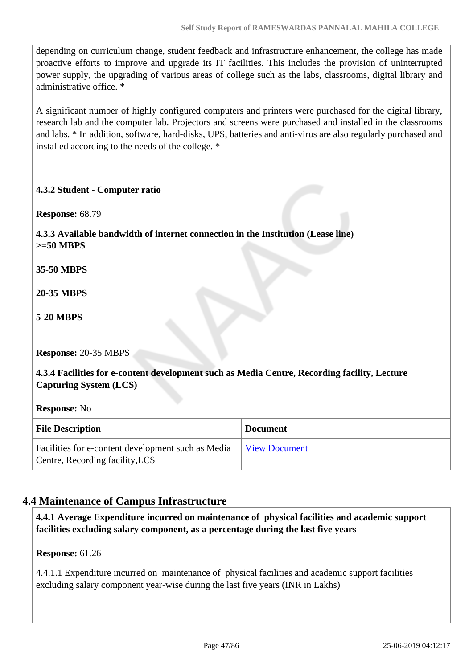depending on curriculum change, student feedback and infrastructure enhancement, the college has made proactive efforts to improve and upgrade its IT facilities. This includes the provision of uninterrupted power supply, the upgrading of various areas of college such as the labs, classrooms, digital library and administrative office. \*

A significant number of highly configured computers and printers were purchased for the digital library, research lab and the computer lab. Projectors and screens were purchased and installed in the classrooms and labs. \* In addition, software, hard-disks, UPS, batteries and anti-virus are also regularly purchased and installed according to the needs of the college. \*

#### **4.3.2 Student - Computer ratio**

**Response:** 68.79

 **4.3.3 Available bandwidth of internet connection in the Institution (Lease line) >=50 MBPS**

**35-50 MBPS**

**20-35 MBPS**

**5-20 MBPS**

**Response:** 20-35 MBPS

 **4.3.4 Facilities for e-content development such as Media Centre, Recording facility, Lecture Capturing System (LCS)**

**Response:** No

| <b>File Description</b>                                                               | <b>Document</b> |
|---------------------------------------------------------------------------------------|-----------------|
| Facilities for e-content development such as Media<br>Centre, Recording facility, LCS | View Document   |

### **4.4 Maintenance of Campus Infrastructure**

 **4.4.1 Average Expenditure incurred on maintenance of physical facilities and academic support facilities excluding salary component, as a percentage during the last five years**

**Response:** 61.26

4.4.1.1 Expenditure incurred on maintenance of physical facilities and academic support facilities excluding salary component year-wise during the last five years (INR in Lakhs)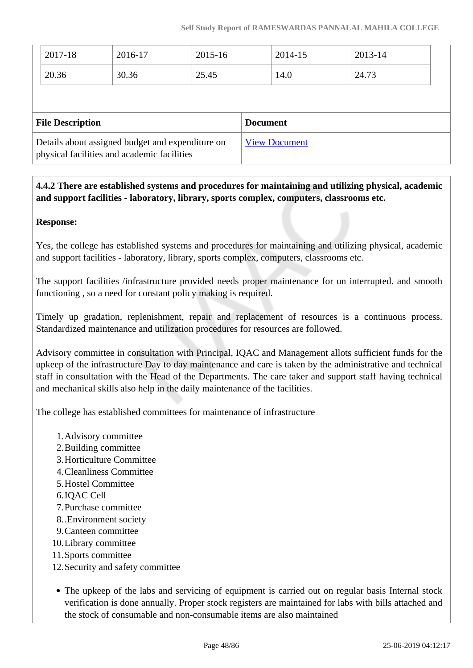| $ 2017-18$ | 2016-17 | 2015-16 | 2014-15 | 2013-14 |
|------------|---------|---------|---------|---------|
| 20.36      | 30.36   | 25.45   | 14.0    | 24.73   |

| <b>File Description</b>                                                                         | <b>Document</b>      |
|-------------------------------------------------------------------------------------------------|----------------------|
| Details about assigned budget and expenditure on<br>physical facilities and academic facilities | <b>View Document</b> |

 **4.4.2 There are established systems and procedures for maintaining and utilizing physical, academic and support facilities - laboratory, library, sports complex, computers, classrooms etc.**

### **Response:**

Yes, the college has established systems and procedures for maintaining and utilizing physical, academic and support facilities - laboratory, library, sports complex, computers, classrooms etc.

The support facilities /infrastructure provided needs proper maintenance for un interrupted. and smooth functioning , so a need for constant policy making is required.

Timely up gradation, replenishment, repair and replacement of resources is a continuous process. Standardized maintenance and utilization procedures for resources are followed.

Advisory committee in consultation with Principal, IQAC and Management allots sufficient funds for the upkeep of the infrastructure Day to day maintenance and care is taken by the administrative and technical staff in consultation with the Head of the Departments. The care taker and support staff having technical and mechanical skills also help in the daily maintenance of the facilities.

The college has established committees for maintenance of infrastructure

- 1.Advisory committee
- 2.Building committee
- 3.Horticulture Committee
- 4.Cleanliness Committee
- 5.Hostel Committee
- 6.IQAC Cell
- 7.Purchase committee
- 8..Environment society
- 9.Canteen committee
- 10.Library committee
- 11.Sports committee
- 12.Security and safety committee
- The upkeep of the labs and servicing of equipment is carried out on regular basis Internal stock verification is done annually. Proper stock registers are maintained for labs with bills attached and the stock of consumable and non-consumable items are also maintained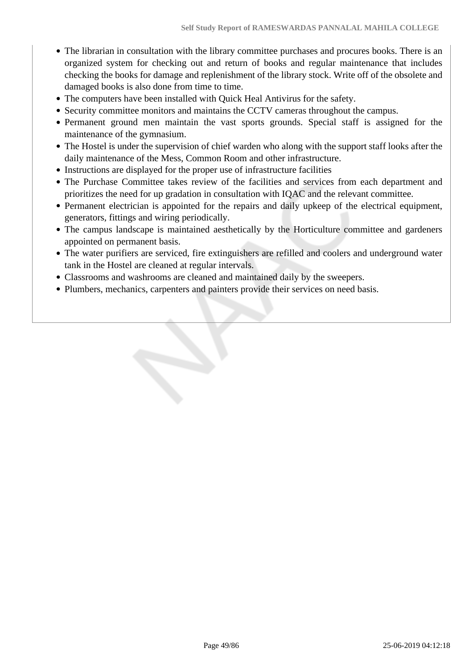- The librarian in consultation with the library committee purchases and procures books. There is an organized system for checking out and return of books and regular maintenance that includes checking the books for damage and replenishment of the library stock. Write off of the obsolete and damaged books is also done from time to time.
- The computers have been installed with Quick Heal Antivirus for the safety.
- Security committee monitors and maintains the CCTV cameras throughout the campus.
- Permanent ground men maintain the vast sports grounds. Special staff is assigned for the maintenance of the gymnasium.
- The Hostel is under the supervision of chief warden who along with the support staff looks after the daily maintenance of the Mess, Common Room and other infrastructure.
- Instructions are displayed for the proper use of infrastructure facilities
- The Purchase Committee takes review of the facilities and services from each department and prioritizes the need for up gradation in consultation with IQAC and the relevant committee.
- Permanent electrician is appointed for the repairs and daily upkeep of the electrical equipment, generators, fittings and wiring periodically.
- The campus landscape is maintained aesthetically by the Horticulture committee and gardeners appointed on permanent basis.
- The water purifiers are serviced, fire extinguishers are refilled and coolers and underground water tank in the Hostel are cleaned at regular intervals.
- Classrooms and washrooms are cleaned and maintained daily by the sweepers.
- Plumbers, mechanics, carpenters and painters provide their services on need basis.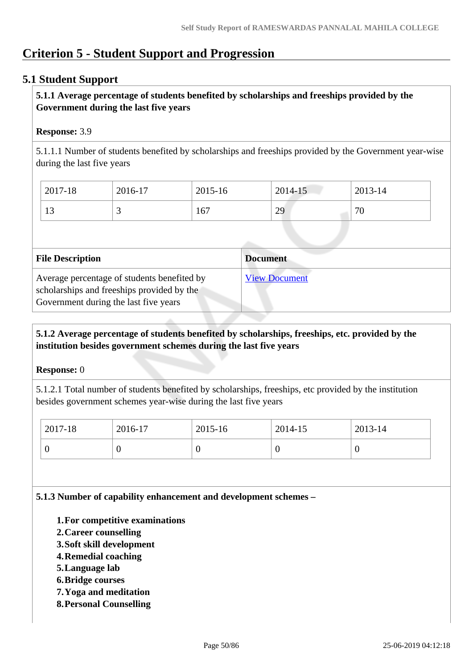# **Criterion 5 - Student Support and Progression**

### **5.1 Student Support**

### **5.1.1 Average percentage of students benefited by scholarships and freeships provided by the Government during the last five years**

### **Response:** 3.9

5.1.1.1 Number of students benefited by scholarships and freeships provided by the Government year-wise during the last five years

| 2017-18   | 2016-17  | $2015 - 16$ | 2014-15 | 2013-14                 |
|-----------|----------|-------------|---------|-------------------------|
| 12<br>1 J | <u>ب</u> | 167         | 29      | $\overline{\mathbf{u}}$ |

| <b>File Description</b>                                                                                                            | <b>Document</b>      |
|------------------------------------------------------------------------------------------------------------------------------------|----------------------|
| Average percentage of students benefited by<br>scholarships and freeships provided by the<br>Government during the last five years | <b>View Document</b> |

### **5.1.2 Average percentage of students benefited by scholarships, freeships, etc. provided by the institution besides government schemes during the last five years**

#### **Response:** 0

5.1.2.1 Total number of students benefited by scholarships, freeships, etc provided by the institution besides government schemes year-wise during the last five years

| $2017 - 18$ | 2016-17 | 2015-16 | 2014-15 | 2013-14 |
|-------------|---------|---------|---------|---------|
|             |         | ν       |         | ν       |

**5.1.3 Number of capability enhancement and development schemes –**

- **1.For competitive examinations**
- **2.Career counselling**
- **3.Soft skill development**
- **4.Remedial coaching**
- **5.Language lab**
- **6.Bridge courses**
- **7.Yoga and meditation**
- **8.Personal Counselling**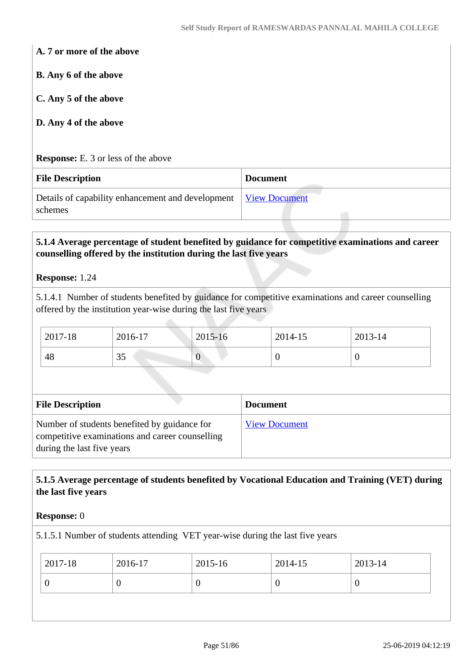**A. 7 or more of the above**

**B. Any 6 of the above**

**C. Any 5 of the above**

**D. Any 4 of the above**

**Response:** E. 3 or less of the above

| <b>File Description</b>                                                    | <b>Document</b> |
|----------------------------------------------------------------------------|-----------------|
| Details of capability enhancement and development View Document<br>schemes |                 |

### **5.1.4 Average percentage of student benefited by guidance for competitive examinations and career counselling offered by the institution during the last five years**

#### **Response:** 1.24

5.1.4.1 Number of students benefited by guidance for competitive examinations and career counselling offered by the institution year-wise during the last five years

| 2017-18 | 2016-17        | 2015-16 | 2014-15 | 2013-14 |
|---------|----------------|---------|---------|---------|
| 48      | $\Omega$<br>IJ |         | ν       |         |

| <b>File Description</b>                                                                                                       | <b>Document</b>      |
|-------------------------------------------------------------------------------------------------------------------------------|----------------------|
| Number of students benefited by guidance for<br>competitive examinations and career counselling<br>during the last five years | <b>View Document</b> |

### **5.1.5 Average percentage of students benefited by Vocational Education and Training (VET) during the last five years**

#### **Response:** 0

5.1.5.1 Number of students attending VET year-wise during the last five years

| 2017-18 | 2016-17 | 2015-16 | 2014-15 | 2013-14 |
|---------|---------|---------|---------|---------|
|         |         |         | C       |         |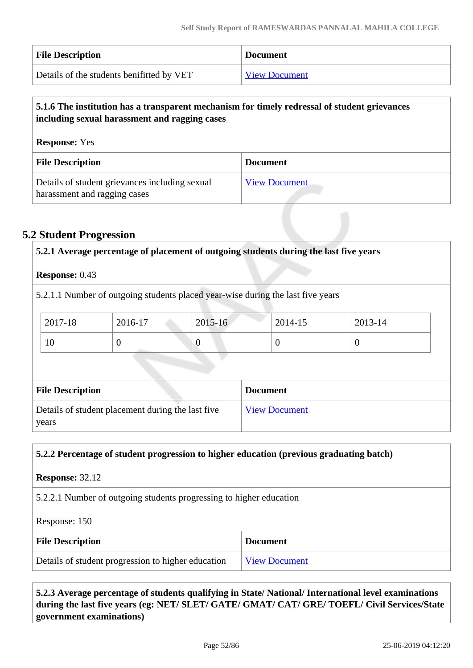| <b>File Description</b>                   | <b>Document</b>      |
|-------------------------------------------|----------------------|
| Details of the students benifitted by VET | <b>View Document</b> |

### **5.1.6 The institution has a transparent mechanism for timely redressal of student grievances including sexual harassment and ragging cases**

| <b>Response:</b> Yes                                                           |                      |  |  |
|--------------------------------------------------------------------------------|----------------------|--|--|
| <b>File Description</b>                                                        | <b>Document</b>      |  |  |
| Details of student grievances including sexual<br>harassment and ragging cases | <b>View Document</b> |  |  |

### **5.2 Student Progression**

|                         | 5.2.1 Average percentage of placement of outgoing students during the last five years |                                              |                 |                      |  |  |
|-------------------------|---------------------------------------------------------------------------------------|----------------------------------------------|-----------------|----------------------|--|--|
| <b>Response: 0.43</b>   |                                                                                       |                                              |                 |                      |  |  |
|                         | 5.2.1.1 Number of outgoing students placed year-wise during the last five years       |                                              |                 |                      |  |  |
|                         |                                                                                       |                                              |                 |                      |  |  |
| 2017-18                 | 2016-17                                                                               | 2015-16<br>2014-15<br>2013-14                |                 |                      |  |  |
| 10                      | $\theta$                                                                              | $\overline{0}$<br>$\theta$<br>$\overline{0}$ |                 |                      |  |  |
|                         |                                                                                       |                                              |                 |                      |  |  |
|                         |                                                                                       |                                              |                 |                      |  |  |
| <b>File Description</b> |                                                                                       |                                              | <b>Document</b> |                      |  |  |
|                         | Details of student placement during the last five                                     |                                              |                 | <b>View Document</b> |  |  |
| years                   |                                                                                       |                                              |                 |                      |  |  |

#### **5.2.2 Percentage of student progression to higher education (previous graduating batch)**

**Response:** 32.12

5.2.2.1 Number of outgoing students progressing to higher education

Response: 150

| <b>File Description</b>                            | <b>Document</b>      |
|----------------------------------------------------|----------------------|
| Details of student progression to higher education | <b>View Document</b> |

 **5.2.3 Average percentage of students qualifying in State/ National/ International level examinations during the last five years (eg: NET/ SLET/ GATE/ GMAT/ CAT/ GRE/ TOEFL/ Civil Services/State government examinations)**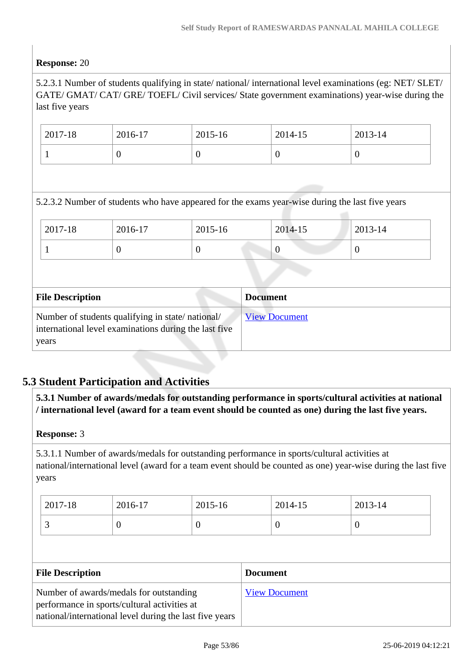### **Response:** 20

5.2.3.1 Number of students qualifying in state/ national/ international level examinations (eg: NET/ SLET/ GATE/ GMAT/ CAT/ GRE/ TOEFL/ Civil services/ State government examinations) year-wise during the last five years

| 2017-18 | 2016-17 | 2015-16 | 2014-15 | 2013-14 |
|---------|---------|---------|---------|---------|
|         |         | ν       |         | ν       |

5.2.3.2 Number of students who have appeared for the exams year-wise during the last five years

| 2017-18 | 2016-17 | 2015-16 | 2014-15 | 2013-14 |
|---------|---------|---------|---------|---------|
|         | ν       |         |         |         |

| <b>File Description</b>                                                                                            | <b>Document</b>      |
|--------------------------------------------------------------------------------------------------------------------|----------------------|
| Number of students qualifying in state/national/<br>international level examinations during the last five<br>years | <b>View Document</b> |

### **5.3 Student Participation and Activities**

 **5.3.1 Number of awards/medals for outstanding performance in sports/cultural activities at national / international level (award for a team event should be counted as one) during the last five years.**

#### **Response:** 3

5.3.1.1 Number of awards/medals for outstanding performance in sports/cultural activities at national/international level (award for a team event should be counted as one) year-wise during the last five years

| 2017-18 | 2016-17 | 2015-16 | 2014-15 | 2013-14 |
|---------|---------|---------|---------|---------|
| ້       |         |         |         | v       |

| <b>File Description</b>                                 | <b>Document</b>      |
|---------------------------------------------------------|----------------------|
| Number of awards/medals for outstanding                 | <b>View Document</b> |
| performance in sports/cultural activities at            |                      |
| national/international level during the last five years |                      |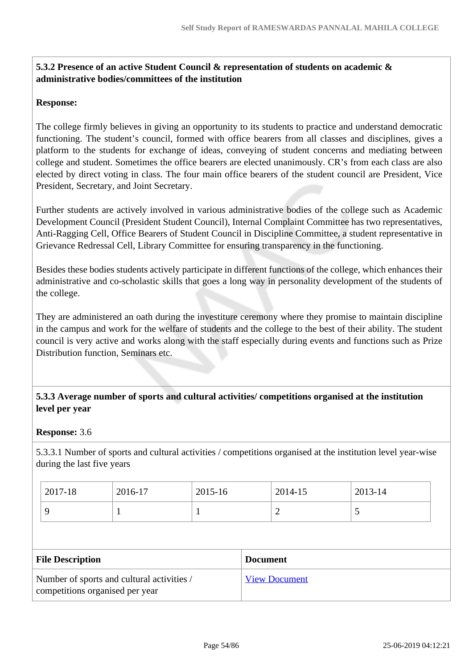### **5.3.2 Presence of an active Student Council & representation of students on academic & administrative bodies/committees of the institution**

### **Response:**

The college firmly believes in giving an opportunity to its students to practice and understand democratic functioning. The student's council, formed with office bearers from all classes and disciplines, gives a platform to the students for exchange of ideas, conveying of student concerns and mediating between college and student. Sometimes the office bearers are elected unanimously. CR's from each class are also elected by direct voting in class. The four main office bearers of the student council are President, Vice President, Secretary, and Joint Secretary.

Further students are actively involved in various administrative bodies of the college such as Academic Development Council (President Student Council), Internal Complaint Committee has two representatives, Anti-Ragging Cell, Office Bearers of Student Council in Discipline Committee, a student representative in Grievance Redressal Cell, Library Committee for ensuring transparency in the functioning.

Besides these bodies students actively participate in different functions of the college, which enhances their administrative and co-scholastic skills that goes a long way in personality development of the students of the college.

They are administered an oath during the investiture ceremony where they promise to maintain discipline in the campus and work for the welfare of students and the college to the best of their ability. The student council is very active and works along with the staff especially during events and functions such as Prize Distribution function, Seminars etc.

### **5.3.3 Average number of sports and cultural activities/ competitions organised at the institution level per year**

#### **Response:** 3.6

5.3.3.1 Number of sports and cultural activities / competitions organised at the institution level year-wise during the last five years

| 2017-18 | 2016-17 | 2015-16 | 2014-15 | 2013-14 |
|---------|---------|---------|---------|---------|
|         |         |         | ∼       |         |

| <b>File Description</b>                                                       | <b>Document</b>      |
|-------------------------------------------------------------------------------|----------------------|
| Number of sports and cultural activities /<br>competitions organised per year | <b>View Document</b> |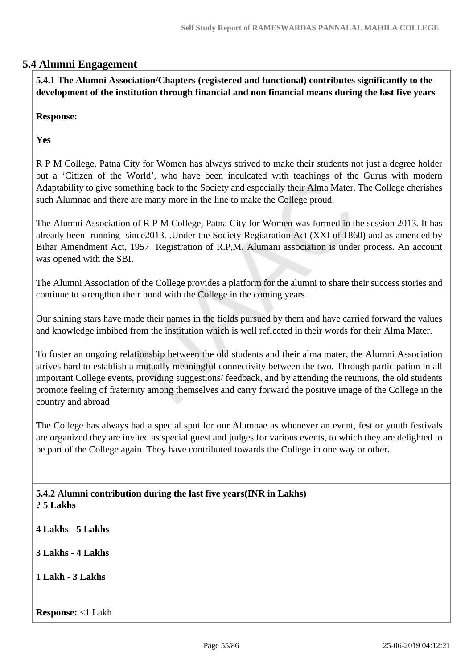### **5.4 Alumni Engagement**

 **5.4.1 The Alumni Association/Chapters (registered and functional) contributes significantly to the development of the institution through financial and non financial means during the last five years**

**Response:** 

**Yes**

R P M College, Patna City for Women has always strived to make their students not just a degree holder but a 'Citizen of the World', who have been inculcated with teachings of the Gurus with modern Adaptability to give something back to the Society and especially their Alma Mater. The College cherishes such Alumnae and there are many more in the line to make the College proud.

The Alumni Association of R P M College, Patna City for Women was formed in the session 2013. It has already been running since2013. .Under the Society Registration Act (XXI of 1860) and as amended by Bihar Amendment Act, 1957 Registration of R.P,M. Alumani association is under process. An account was opened with the SBI.

The Alumni Association of the College provides a platform for the alumni to share their success stories and continue to strengthen their bond with the College in the coming years.

Our shining stars have made their names in the fields pursued by them and have carried forward the values and knowledge imbibed from the institution which is well reflected in their words for their Alma Mater.

To foster an ongoing relationship between the old students and their alma mater, the Alumni Association strives hard to establish a mutually meaningful connectivity between the two. Through participation in all important College events, providing suggestions/ feedback, and by attending the reunions, the old students promote feeling of fraternity among themselves and carry forward the positive image of the College in the country and abroad

The College has always had a special spot for our Alumnae as whenever an event, fest or youth festivals are organized they are invited as special guest and judges for various events, to which they are delighted to be part of the College again. They have contributed towards the College in one way or other**.**

 **5.4.2 Alumni contribution during the last five years(INR in Lakhs) ? 5 Lakhs**

**4 Lakhs - 5 Lakhs**

**3 Lakhs - 4 Lakhs**

**1 Lakh - 3 Lakhs**

**Response:** <1 Lakh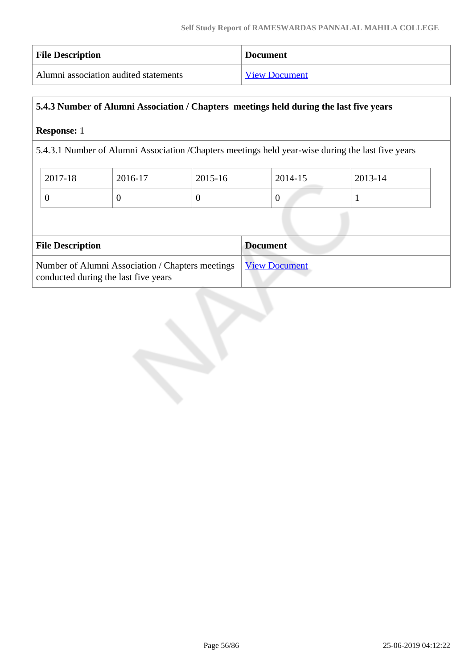| <b>File Description</b>               | <b>Document</b>      |
|---------------------------------------|----------------------|
| Alumni association audited statements | <b>View Document</b> |

### **5.4.3 Number of Alumni Association / Chapters meetings held during the last five years**

### **Response:** 1

5.4.3.1 Number of Alumni Association /Chapters meetings held year-wise during the last five years

| 2017-18 | 2016-17 | 2015-16 | $2014 - 15$ | 2013-14 |
|---------|---------|---------|-------------|---------|
|         |         |         | ν           |         |

| <b>File Description</b>                                                                                  | <b>Document</b> |
|----------------------------------------------------------------------------------------------------------|-----------------|
| Number of Alumni Association / Chapters meetings   View Document<br>conducted during the last five years |                 |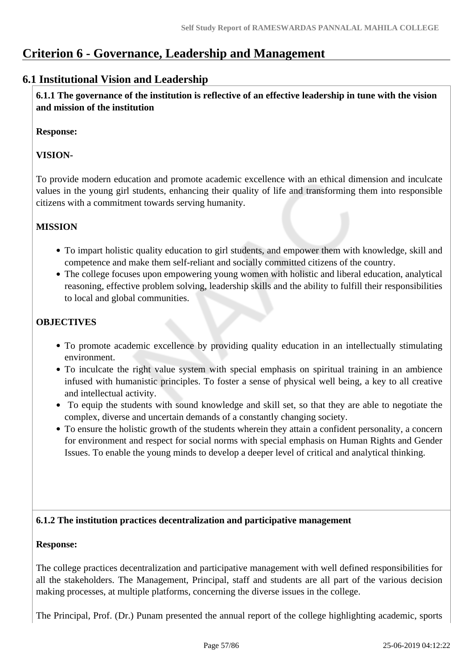# **Criterion 6 - Governance, Leadership and Management**

### **6.1 Institutional Vision and Leadership**

 **6.1.1 The governance of the institution is reflective of an effective leadership in tune with the vision and mission of the institution**

### **Response:**

### **VISION-**

To provide modern education and promote academic excellence with an ethical dimension and inculcate values in the young girl students, enhancing their quality of life and transforming them into responsible citizens with a commitment towards serving humanity.

### **MISSION**

- To impart holistic quality education to girl students, and empower them with knowledge, skill and competence and make them self-reliant and socially committed citizens of the country.
- The college focuses upon empowering young women with holistic and liberal education, analytical reasoning, effective problem solving, leadership skills and the ability to fulfill their responsibilities to local and global communities.

### **OBJECTIVES**

- To promote academic excellence by providing quality education in an intellectually stimulating environment.
- To inculcate the right value system with special emphasis on spiritual training in an ambience infused with humanistic principles. To foster a sense of physical well being, a key to all creative and intellectual activity.
- To equip the students with sound knowledge and skill set, so that they are able to negotiate the complex, diverse and uncertain demands of a constantly changing society.
- To ensure the holistic growth of the students wherein they attain a confident personality, a concern for environment and respect for social norms with special emphasis on Human Rights and Gender Issues. To enable the young minds to develop a deeper level of critical and analytical thinking.

### **6.1.2 The institution practices decentralization and participative management**

#### **Response:**

The college practices decentralization and participative management with well defined responsibilities for all the stakeholders. The Management, Principal, staff and students are all part of the various decision making processes, at multiple platforms, concerning the diverse issues in the college.

The Principal, Prof. (Dr.) Punam presented the annual report of the college highlighting academic, sports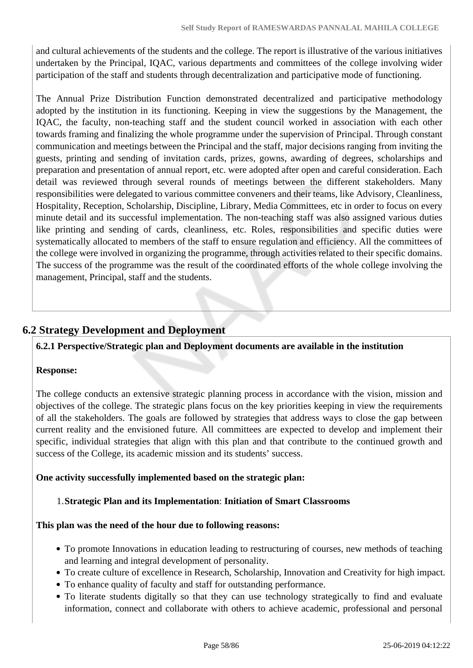and cultural achievements of the students and the college. The report is illustrative of the various initiatives undertaken by the Principal, IQAC, various departments and committees of the college involving wider participation of the staff and students through decentralization and participative mode of functioning.

The Annual Prize Distribution Function demonstrated decentralized and participative methodology adopted by the institution in its functioning. Keeping in view the suggestions by the Management, the IQAC, the faculty, non-teaching staff and the student council worked in association with each other towards framing and finalizing the whole programme under the supervision of Principal. Through constant communication and meetings between the Principal and the staff, major decisions ranging from inviting the guests, printing and sending of invitation cards, prizes, gowns, awarding of degrees, scholarships and preparation and presentation of annual report, etc. were adopted after open and careful consideration. Each detail was reviewed through several rounds of meetings between the different stakeholders. Many responsibilities were delegated to various committee conveners and their teams, like Advisory, Cleanliness, Hospitality, Reception, Scholarship, Discipline, Library, Media Committees, etc in order to focus on every minute detail and its successful implementation. The non-teaching staff was also assigned various duties like printing and sending of cards, cleanliness, etc. Roles, responsibilities and specific duties were systematically allocated to members of the staff to ensure regulation and efficiency. All the committees of the college were involved in organizing the programme, through activities related to their specific domains. The success of the programme was the result of the coordinated efforts of the whole college involving the management, Principal, staff and the students.

## **6.2 Strategy Development and Deployment**

### **6.2.1 Perspective/Strategic plan and Deployment documents are available in the institution**

### **Response:**

The college conducts an extensive strategic planning process in accordance with the vision, mission and objectives of the college. The strategic plans focus on the key priorities keeping in view the requirements of all the stakeholders. The goals are followed by strategies that address ways to close the gap between current reality and the envisioned future. All committees are expected to develop and implement their specific, individual strategies that align with this plan and that contribute to the continued growth and success of the College, its academic mission and its students' success.

### **One activity successfully implemented based on the strategic plan:**

### 1.**Strategic Plan and its Implementation**: **Initiation of Smart Classrooms**

### **This plan was the need of the hour due to following reasons:**

- To promote Innovations in education leading to restructuring of courses, new methods of teaching and learning and integral development of personality.
- To create culture of excellence in Research, Scholarship, Innovation and Creativity for high impact.
- To enhance quality of faculty and staff for outstanding performance.
- To literate students digitally so that they can use technology strategically to find and evaluate information, connect and collaborate with others to achieve academic, professional and personal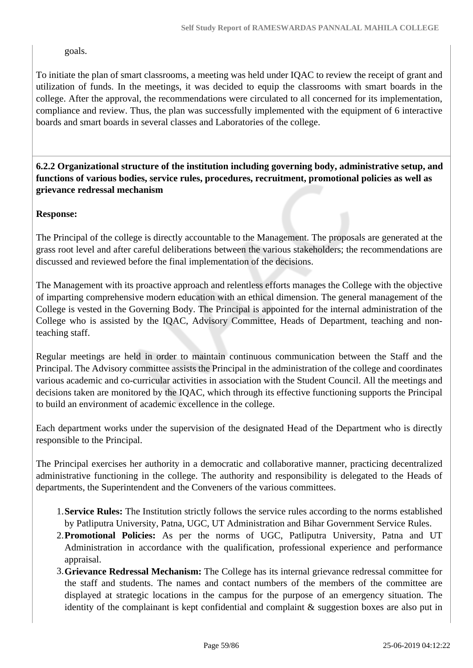goals.

To initiate the plan of smart classrooms, a meeting was held under IQAC to review the receipt of grant and utilization of funds. In the meetings, it was decided to equip the classrooms with smart boards in the college. After the approval, the recommendations were circulated to all concerned for its implementation, compliance and review. Thus, the plan was successfully implemented with the equipment of 6 interactive boards and smart boards in several classes and Laboratories of the college.

 **6.2.2 Organizational structure of the institution including governing body, administrative setup, and functions of various bodies, service rules, procedures, recruitment, promotional policies as well as grievance redressal mechanism**

### **Response:**

The Principal of the college is directly accountable to the Management. The proposals are generated at the grass root level and after careful deliberations between the various stakeholders; the recommendations are discussed and reviewed before the final implementation of the decisions.

The Management with its proactive approach and relentless efforts manages the College with the objective of imparting comprehensive modern education with an ethical dimension. The general management of the College is vested in the Governing Body. The Principal is appointed for the internal administration of the College who is assisted by the IQAC, Advisory Committee, Heads of Department, teaching and nonteaching staff.

Regular meetings are held in order to maintain continuous communication between the Staff and the Principal. The Advisory committee assists the Principal in the administration of the college and coordinates various academic and co-curricular activities in association with the Student Council. All the meetings and decisions taken are monitored by the IQAC, which through its effective functioning supports the Principal to build an environment of academic excellence in the college.

Each department works under the supervision of the designated Head of the Department who is directly responsible to the Principal.

The Principal exercises her authority in a democratic and collaborative manner, practicing decentralized administrative functioning in the college. The authority and responsibility is delegated to the Heads of departments, the Superintendent and the Conveners of the various committees.

- 1.**Service Rules:** The Institution strictly follows the service rules according to the norms established by Patliputra University, Patna, UGC, UT Administration and Bihar Government Service Rules.
- 2.**Promotional Policies:** As per the norms of UGC, Patliputra University, Patna and UT Administration in accordance with the qualification, professional experience and performance appraisal.
- 3.**Grievance Redressal Mechanism:** The College has its internal grievance redressal committee for the staff and students. The names and contact numbers of the members of the committee are displayed at strategic locations in the campus for the purpose of an emergency situation. The identity of the complainant is kept confidential and complaint & suggestion boxes are also put in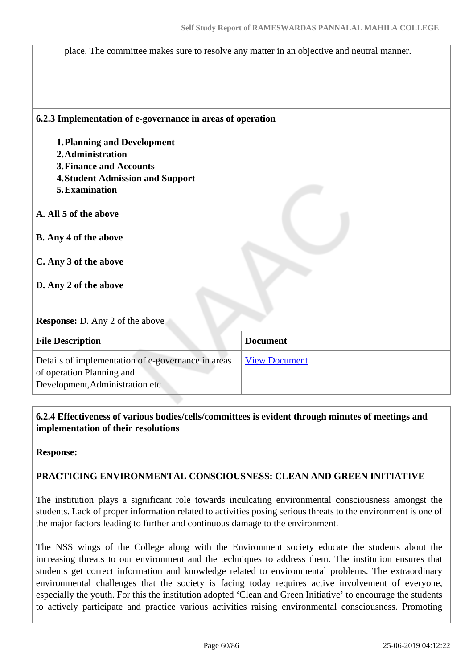place. The committee makes sure to resolve any matter in an objective and neutral manner.

#### **6.2.3 Implementation of e-governance in areas of operation**

- **1.Planning and Development**
- **2.Administration**
- **3.Finance and Accounts**
- **4.Student Admission and Support**
- **5.Examination**
- **A. All 5 of the above**
- **B. Any 4 of the above**
- **C. Any 3 of the above**
- **D. Any 2 of the above**

**Response:** D. Any 2 of the above

| <b>File Description</b>                                                                                            | <b>Document</b>      |
|--------------------------------------------------------------------------------------------------------------------|----------------------|
| Details of implementation of e-governance in areas<br>of operation Planning and<br>Development, Administration etc | <b>View Document</b> |

 **6.2.4 Effectiveness of various bodies/cells/committees is evident through minutes of meetings and implementation of their resolutions** 

**Response:** 

#### **PRACTICING ENVIRONMENTAL CONSCIOUSNESS: CLEAN AND GREEN INITIATIVE**

The institution plays a significant role towards inculcating environmental consciousness amongst the students. Lack of proper information related to activities posing serious threats to the environment is one of the major factors leading to further and continuous damage to the environment.

The NSS wings of the College along with the Environment society educate the students about the increasing threats to our environment and the techniques to address them. The institution ensures that students get correct information and knowledge related to environmental problems. The extraordinary environmental challenges that the society is facing today requires active involvement of everyone, especially the youth. For this the institution adopted 'Clean and Green Initiative' to encourage the students to actively participate and practice various activities raising environmental consciousness. Promoting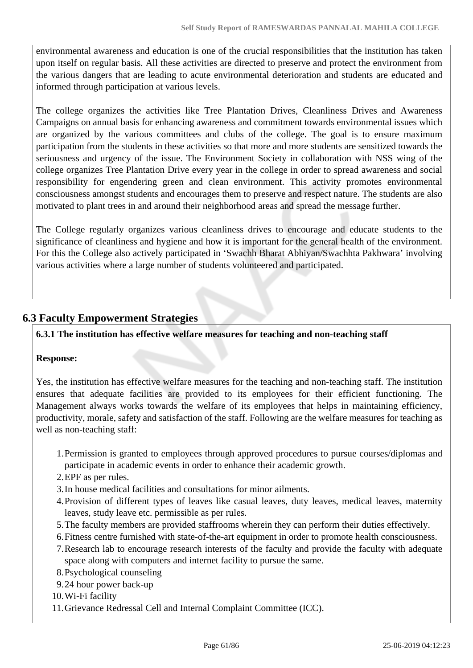environmental awareness and education is one of the crucial responsibilities that the institution has taken upon itself on regular basis. All these activities are directed to preserve and protect the environment from the various dangers that are leading to acute environmental deterioration and students are educated and informed through participation at various levels.

The college organizes the activities like Tree Plantation Drives, Cleanliness Drives and Awareness Campaigns on annual basis for enhancing awareness and commitment towards environmental issues which are organized by the various committees and clubs of the college. The goal is to ensure maximum participation from the students in these activities so that more and more students are sensitized towards the seriousness and urgency of the issue. The Environment Society in collaboration with NSS wing of the college organizes Tree Plantation Drive every year in the college in order to spread awareness and social responsibility for engendering green and clean environment. This activity promotes environmental consciousness amongst students and encourages them to preserve and respect nature. The students are also motivated to plant trees in and around their neighborhood areas and spread the message further.

The College regularly organizes various cleanliness drives to encourage and educate students to the significance of cleanliness and hygiene and how it is important for the general health of the environment. For this the College also actively participated in 'Swachh Bharat Abhiyan/Swachhta Pakhwara' involving various activities where a large number of students volunteered and participated.

### **6.3 Faculty Empowerment Strategies**

### **6.3.1 The institution has effective welfare measures for teaching and non-teaching staff**

### **Response:**

Yes, the institution has effective welfare measures for the teaching and non-teaching staff. The institution ensures that adequate facilities are provided to its employees for their efficient functioning. The Management always works towards the welfare of its employees that helps in maintaining efficiency, productivity, morale, safety and satisfaction of the staff. Following are the welfare measures for teaching as well as non-teaching staff:

- 1.Permission is granted to employees through approved procedures to pursue courses/diplomas and participate in academic events in order to enhance their academic growth.
- 2.EPF as per rules.
- 3.In house medical facilities and consultations for minor ailments.
- 4.Provision of different types of leaves like casual leaves, duty leaves, medical leaves, maternity leaves, study leave etc. permissible as per rules.
- 5.The faculty members are provided staffrooms wherein they can perform their duties effectively.
- 6.Fitness centre furnished with state-of-the-art equipment in order to promote health consciousness.
- 7.Research lab to encourage research interests of the faculty and provide the faculty with adequate space along with computers and internet facility to pursue the same.
- 8.Psychological counseling
- 9.24 hour power back-up
- 10.Wi-Fi facility
- 11.Grievance Redressal Cell and Internal Complaint Committee (ICC).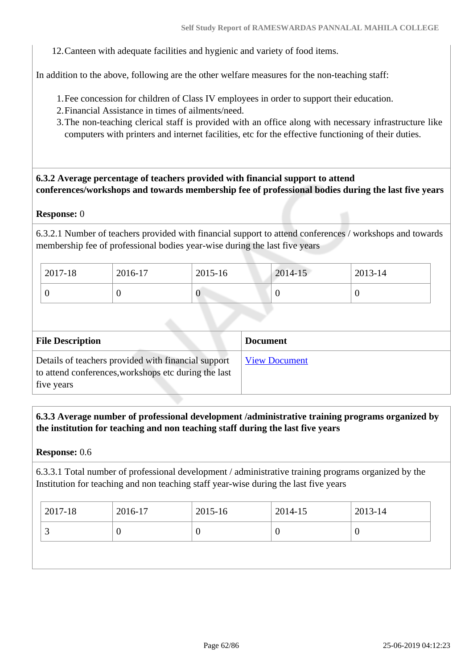12.Canteen with adequate facilities and hygienic and variety of food items.

In addition to the above, following are the other welfare measures for the non-teaching staff:

- 1.Fee concession for children of Class IV employees in order to support their education.
- 2.Financial Assistance in times of ailments/need.
- 3.The non-teaching clerical staff is provided with an office along with necessary infrastructure like computers with printers and internet facilities, etc for the effective functioning of their duties.

### **6.3.2 Average percentage of teachers provided with financial support to attend conferences/workshops and towards membership fee of professional bodies during the last five years**

#### **Response:** 0

6.3.2.1 Number of teachers provided with financial support to attend conferences / workshops and towards membership fee of professional bodies year-wise during the last five years

| 2017-18 | 2016-17 | 2015-16 | 2014-15 | 2013-14 |
|---------|---------|---------|---------|---------|
|         |         | v       | ິ       |         |

| <b>File Description</b>                                                                                                   | <b>Document</b>      |
|---------------------------------------------------------------------------------------------------------------------------|----------------------|
| Details of teachers provided with financial support<br>to attend conferences, workshops etc during the last<br>five years | <b>View Document</b> |

 **6.3.3 Average number of professional development /administrative training programs organized by the institution for teaching and non teaching staff during the last five years**

#### **Response:** 0.6

6.3.3.1 Total number of professional development / administrative training programs organized by the Institution for teaching and non teaching staff year-wise during the last five years

| 2017-18 | 2016-17 | 2015-16 | 2014-15 | $2013 - 14$ |
|---------|---------|---------|---------|-------------|
| ້       |         | ν       | ν       | U           |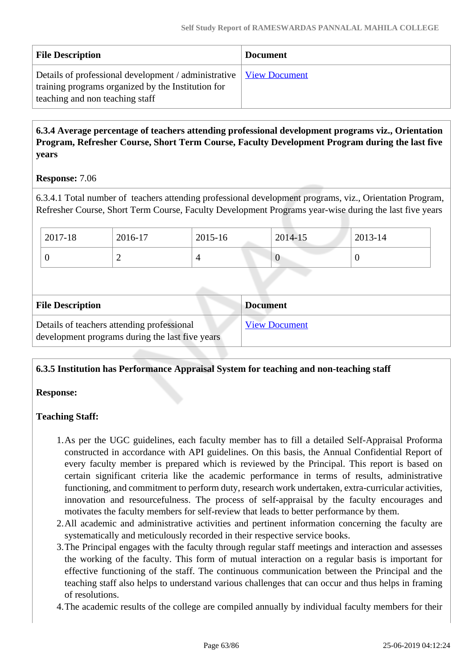| <b>File Description</b>                                                                                                                                       | <b>Document</b> |
|---------------------------------------------------------------------------------------------------------------------------------------------------------------|-----------------|
| Details of professional development / administrative   View Document<br>training programs organized by the Institution for<br>teaching and non teaching staff |                 |

### **6.3.4 Average percentage of teachers attending professional development programs viz., Orientation Program, Refresher Course, Short Term Course, Faculty Development Program during the last five years**

### **Response:** 7.06

6.3.4.1 Total number of teachers attending professional development programs, viz., Orientation Program, Refresher Course, Short Term Course, Faculty Development Programs year-wise during the last five years

| 2017-18 | 2016-17 | 2015-16 | 2014-15 | 2013-14 |
|---------|---------|---------|---------|---------|
|         |         |         | v       | ν       |

| <b>File Description</b>                                                                       | <b>Document</b>      |
|-----------------------------------------------------------------------------------------------|----------------------|
| Details of teachers attending professional<br>development programs during the last five years | <b>View Document</b> |

### **6.3.5 Institution has Performance Appraisal System for teaching and non-teaching staff**

### **Response:**

### **Teaching Staff:**

- 1.As per the UGC guidelines, each faculty member has to fill a detailed Self-Appraisal Proforma constructed in accordance with API guidelines. On this basis, the Annual Confidential Report of every faculty member is prepared which is reviewed by the Principal. This report is based on certain significant criteria like the academic performance in terms of results, administrative functioning, and commitment to perform duty, research work undertaken, extra-curricular activities, innovation and resourcefulness. The process of self-appraisal by the faculty encourages and motivates the faculty members for self-review that leads to better performance by them.
- 2.All academic and administrative activities and pertinent information concerning the faculty are systematically and meticulously recorded in their respective service books.
- 3.The Principal engages with the faculty through regular staff meetings and interaction and assesses the working of the faculty. This form of mutual interaction on a regular basis is important for effective functioning of the staff. The continuous communication between the Principal and the teaching staff also helps to understand various challenges that can occur and thus helps in framing of resolutions.
- 4.The academic results of the college are compiled annually by individual faculty members for their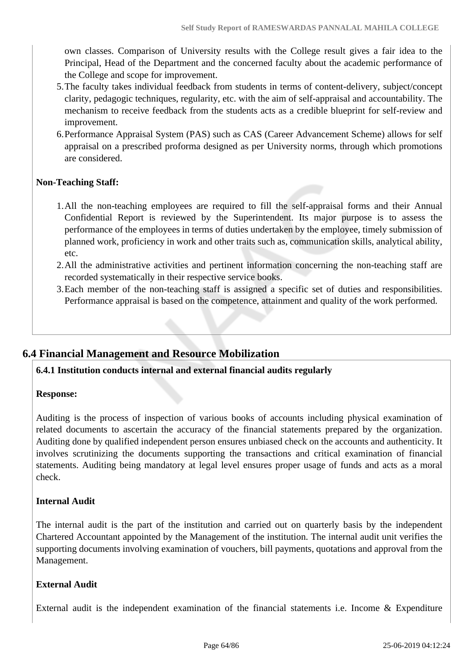own classes. Comparison of University results with the College result gives a fair idea to the Principal, Head of the Department and the concerned faculty about the academic performance of the College and scope for improvement.

- 5.The faculty takes individual feedback from students in terms of content-delivery, subject/concept clarity, pedagogic techniques, regularity, etc. with the aim of self-appraisal and accountability. The mechanism to receive feedback from the students acts as a credible blueprint for self-review and improvement.
- 6.Performance Appraisal System (PAS) such as CAS (Career Advancement Scheme) allows for self appraisal on a prescribed proforma designed as per University norms, through which promotions are considered.

### **Non-Teaching Staff:**

- 1.All the non-teaching employees are required to fill the self-appraisal forms and their Annual Confidential Report is reviewed by the Superintendent. Its major purpose is to assess the performance of the employees in terms of duties undertaken by the employee, timely submission of planned work, proficiency in work and other traits such as, communication skills, analytical ability, etc.
- 2.All the administrative activities and pertinent information concerning the non-teaching staff are recorded systematically in their respective service books.
- 3.Each member of the non-teaching staff is assigned a specific set of duties and responsibilities. Performance appraisal is based on the competence, attainment and quality of the work performed.

### **6.4 Financial Management and Resource Mobilization**

#### **6.4.1 Institution conducts internal and external financial audits regularly**

#### **Response:**

Auditing is the process of inspection of various books of accounts including physical examination of related documents to ascertain the accuracy of the financial statements prepared by the organization. Auditing done by qualified independent person ensures unbiased check on the accounts and authenticity. It involves scrutinizing the documents supporting the transactions and critical examination of financial statements. Auditing being mandatory at legal level ensures proper usage of funds and acts as a moral check.

#### **Internal Audit**

The internal audit is the part of the institution and carried out on quarterly basis by the independent Chartered Accountant appointed by the Management of the institution. The internal audit unit verifies the supporting documents involving examination of vouchers, bill payments, quotations and approval from the Management.

#### **External Audit**

External audit is the independent examination of the financial statements i.e. Income & Expenditure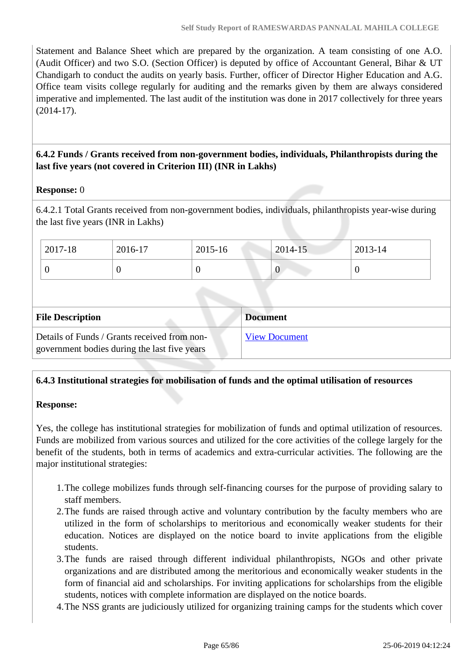Statement and Balance Sheet which are prepared by the organization. A team consisting of one A.O. (Audit Officer) and two S.O. (Section Officer) is deputed by office of Accountant General, Bihar & UT Chandigarh to conduct the audits on yearly basis. Further, officer of Director Higher Education and A.G. Office team visits college regularly for auditing and the remarks given by them are always considered imperative and implemented. The last audit of the institution was done in 2017 collectively for three years (2014-17).

### **6.4.2 Funds / Grants received from non-government bodies, individuals, Philanthropists during the last five years (not covered in Criterion III) (INR in Lakhs)**

### **Response:** 0

6.4.2.1 Total Grants received from non-government bodies, individuals, philanthropists year-wise during the last five years (INR in Lakhs)

| $2017 - 18$ | 2016-17 | 2015-16 | $2014 - 15$ | 2013-14 |
|-------------|---------|---------|-------------|---------|
|             |         | ν       | v           | υ       |

| <b>File Description</b>                                                                      | <b>Document</b>      |
|----------------------------------------------------------------------------------------------|----------------------|
| Details of Funds / Grants received from non-<br>government bodies during the last five years | <b>View Document</b> |

### **6.4.3 Institutional strategies for mobilisation of funds and the optimal utilisation of resources**

### **Response:**

Yes, the college has institutional strategies for mobilization of funds and optimal utilization of resources. Funds are mobilized from various sources and utilized for the core activities of the college largely for the benefit of the students, both in terms of academics and extra-curricular activities. The following are the major institutional strategies:

- 1.The college mobilizes funds through self-financing courses for the purpose of providing salary to staff members.
- 2.The funds are raised through active and voluntary contribution by the faculty members who are utilized in the form of scholarships to meritorious and economically weaker students for their education. Notices are displayed on the notice board to invite applications from the eligible students.
- 3.The funds are raised through different individual philanthropists, NGOs and other private organizations and are distributed among the meritorious and economically weaker students in the form of financial aid and scholarships. For inviting applications for scholarships from the eligible students, notices with complete information are displayed on the notice boards.
- 4.The NSS grants are judiciously utilized for organizing training camps for the students which cover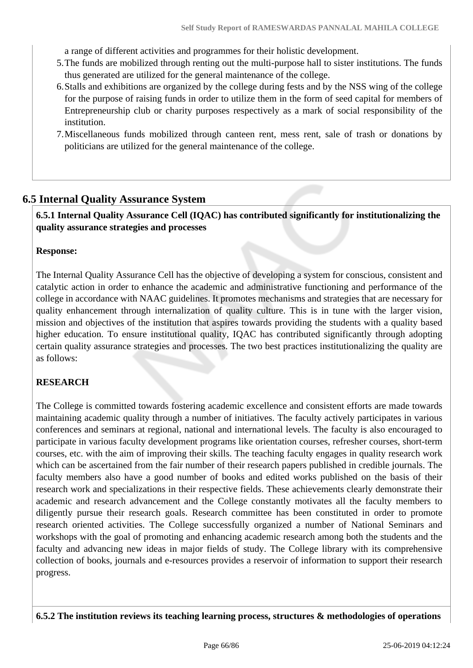a range of different activities and programmes for their holistic development.

- 5.The funds are mobilized through renting out the multi-purpose hall to sister institutions. The funds thus generated are utilized for the general maintenance of the college.
- 6.Stalls and exhibitions are organized by the college during fests and by the NSS wing of the college for the purpose of raising funds in order to utilize them in the form of seed capital for members of Entrepreneurship club or charity purposes respectively as a mark of social responsibility of the institution.
- 7.Miscellaneous funds mobilized through canteen rent, mess rent, sale of trash or donations by politicians are utilized for the general maintenance of the college.

### **6.5 Internal Quality Assurance System**

 **6.5.1 Internal Quality Assurance Cell (IQAC) has contributed significantly for institutionalizing the quality assurance strategies and processes**

#### **Response:**

The Internal Quality Assurance Cell has the objective of developing a system for conscious, consistent and catalytic action in order to enhance the academic and administrative functioning and performance of the college in accordance with NAAC guidelines. It promotes mechanisms and strategies that are necessary for quality enhancement through internalization of quality culture. This is in tune with the larger vision, mission and objectives of the institution that aspires towards providing the students with a quality based higher education. To ensure institutional quality, IQAC has contributed significantly through adopting certain quality assurance strategies and processes. The two best practices institutionalizing the quality are as follows:

### **RESEARCH**

The College is committed towards fostering academic excellence and consistent efforts are made towards maintaining academic quality through a number of initiatives. The faculty actively participates in various conferences and seminars at regional, national and international levels. The faculty is also encouraged to participate in various faculty development programs like orientation courses, refresher courses, short-term courses, etc. with the aim of improving their skills. The teaching faculty engages in quality research work which can be ascertained from the fair number of their research papers published in credible journals. The faculty members also have a good number of books and edited works published on the basis of their research work and specializations in their respective fields. These achievements clearly demonstrate their academic and research advancement and the College constantly motivates all the faculty members to diligently pursue their research goals. Research committee has been constituted in order to promote research oriented activities. The College successfully organized a number of National Seminars and workshops with the goal of promoting and enhancing academic research among both the students and the faculty and advancing new ideas in major fields of study. The College library with its comprehensive collection of books, journals and e-resources provides a reservoir of information to support their research progress.

**6.5.2 The institution reviews its teaching learning process, structures & methodologies of operations**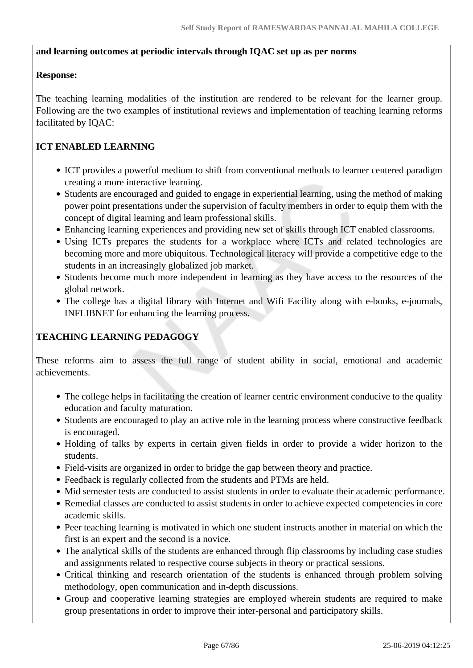### **and learning outcomes at periodic intervals through IQAC set up as per norms**

### **Response:**

The teaching learning modalities of the institution are rendered to be relevant for the learner group. Following are the two examples of institutional reviews and implementation of teaching learning reforms facilitated by IQAC:

### **ICT ENABLED LEARNING**

- ICT provides a powerful medium to shift from conventional methods to learner centered paradigm creating a more interactive learning.
- Students are encouraged and guided to engage in experiential learning, using the method of making power point presentations under the supervision of faculty members in order to equip them with the concept of digital learning and learn professional skills.
- Enhancing learning experiences and providing new set of skills through ICT enabled classrooms.
- Using ICTs prepares the students for a workplace where ICTs and related technologies are becoming more and more ubiquitous. Technological literacy will provide a competitive edge to the students in an increasingly globalized job market.
- Students become much more independent in learning as they have access to the resources of the global network.
- The college has a digital library with Internet and Wifi Facility along with e-books, e-journals, INFLIBNET for enhancing the learning process.

### **TEACHING LEARNING PEDAGOGY**

These reforms aim to assess the full range of student ability in social, emotional and academic achievements.

- The college helps in facilitating the creation of learner centric environment conducive to the quality education and faculty maturation.
- Students are encouraged to play an active role in the learning process where constructive feedback is encouraged.
- Holding of talks by experts in certain given fields in order to provide a wider horizon to the students.
- Field-visits are organized in order to bridge the gap between theory and practice.
- Feedback is regularly collected from the students and PTMs are held.
- Mid semester tests are conducted to assist students in order to evaluate their academic performance.
- Remedial classes are conducted to assist students in order to achieve expected competencies in core academic skills.
- Peer teaching learning is motivated in which one student instructs another in material on which the first is an expert and the second is a novice.
- The analytical skills of the students are enhanced through flip classrooms by including case studies and assignments related to respective course subjects in theory or practical sessions.
- Critical thinking and research orientation of the students is enhanced through problem solving methodology, open communication and in-depth discussions.
- Group and cooperative learning strategies are employed wherein students are required to make group presentations in order to improve their inter-personal and participatory skills.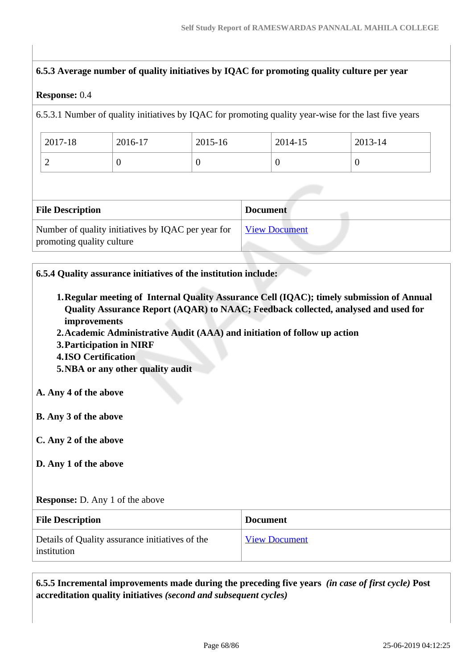### **6.5.3 Average number of quality initiatives by IQAC for promoting quality culture per year**

#### **Response:** 0.4

6.5.3.1 Number of quality initiatives by IQAC for promoting quality year-wise for the last five years

| 2017-18 | 2016-17 | 2015-16 | 2014-15 | $2013 - 14$ |
|---------|---------|---------|---------|-------------|
| ∽       |         | ◡       |         |             |

| <b>File Description</b>                                                         | <b>Document</b>      |
|---------------------------------------------------------------------------------|----------------------|
| Number of quality initiatives by IQAC per year for<br>promoting quality culture | <u>View Document</u> |

### **6.5.4 Quality assurance initiatives of the institution include:**

- **1.Regular meeting of Internal Quality Assurance Cell (IQAC); timely submission of Annual Quality Assurance Report (AQAR) to NAAC; Feedback collected, analysed and used for improvements**
- **2.Academic Administrative Audit (AAA) and initiation of follow up action**
- **3.Participation in NIRF**
- **4.ISO Certification**
- **5.NBA or any other quality audit**

### **A. Any 4 of the above**

- **B. Any 3 of the above**
- **C. Any 2 of the above**
- **D. Any 1 of the above**

#### **Response:** D. Any 1 of the above

| <b>File Description</b>                                        | <b>Document</b>      |
|----------------------------------------------------------------|----------------------|
| Details of Quality assurance initiatives of the<br>institution | <b>View Document</b> |

 **6.5.5 Incremental improvements made during the preceding five years** *(in case of first cycle)* **Post accreditation quality initiatives** *(second and subsequent cycles)*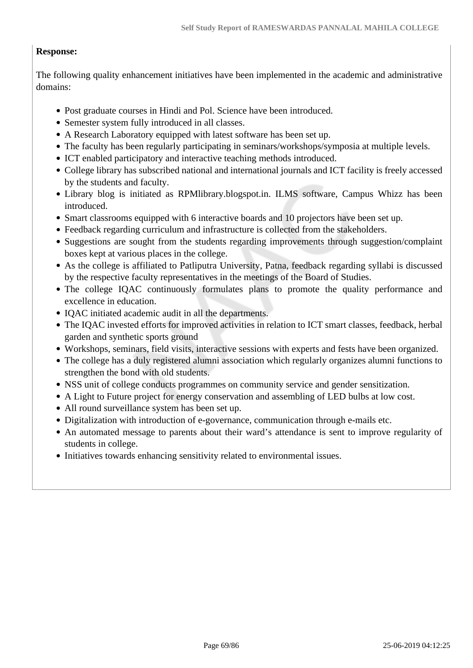### **Response:**

The following quality enhancement initiatives have been implemented in the academic and administrative domains:

- Post graduate courses in Hindi and Pol. Science have been introduced.
- Semester system fully introduced in all classes.
- A Research Laboratory equipped with latest software has been set up.
- The faculty has been regularly participating in seminars/workshops/symposia at multiple levels.
- ICT enabled participatory and interactive teaching methods introduced.
- College library has subscribed national and international journals and ICT facility is freely accessed by the students and faculty.
- Library blog is initiated as RPMlibrary.blogspot.in. ILMS software, Campus Whizz has been introduced.
- Smart classrooms equipped with 6 interactive boards and 10 projectors have been set up.
- Feedback regarding curriculum and infrastructure is collected from the stakeholders.
- Suggestions are sought from the students regarding improvements through suggestion/complaint boxes kept at various places in the college.
- As the college is affiliated to Patliputra University, Patna, feedback regarding syllabi is discussed by the respective faculty representatives in the meetings of the Board of Studies.
- The college IQAC continuously formulates plans to promote the quality performance and excellence in education.
- IQAC initiated academic audit in all the departments.
- The IQAC invested efforts for improved activities in relation to ICT smart classes, feedback, herbal garden and synthetic sports ground
- Workshops, seminars, field visits, interactive sessions with experts and fests have been organized.
- The college has a duly registered alumni association which regularly organizes alumni functions to strengthen the bond with old students.
- NSS unit of college conducts programmes on community service and gender sensitization.
- A Light to Future project for energy conservation and assembling of LED bulbs at low cost.
- All round surveillance system has been set up.
- Digitalization with introduction of e-governance, communication through e-mails etc.
- An automated message to parents about their ward's attendance is sent to improve regularity of students in college.
- Initiatives towards enhancing sensitivity related to environmental issues.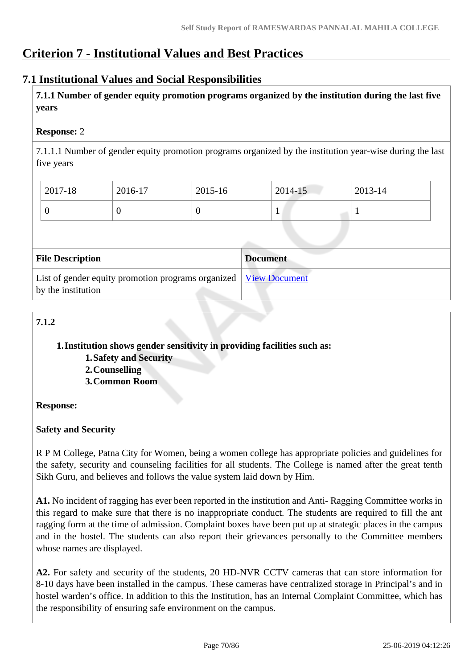# **Criterion 7 - Institutional Values and Best Practices**

### **7.1 Institutional Values and Social Responsibilities**

 **7.1.1 Number of gender equity promotion programs organized by the institution during the last five years** 

### **Response:** 2

7.1.1.1 Number of gender equity promotion programs organized by the institution year-wise during the last five years

| 2017-18 | 2016-17 | 2015-16 | 2014-15 | $2013 - 14$ |
|---------|---------|---------|---------|-------------|
|         | ν       |         |         |             |

| <b>File Description</b>                                                                  | <b>Document</b> |
|------------------------------------------------------------------------------------------|-----------------|
| List of gender equity promotion programs organized   View Document<br>by the institution |                 |

### **7.1.2**

### **1.Institution shows gender sensitivity in providing facilities such as:**

- **1.Safety and Security**
- **2.Counselling**
- **3.Common Room**

### **Response:**

### **Safety and Security**

R P M College, Patna City for Women, being a women college has appropriate policies and guidelines for the safety, security and counseling facilities for all students. The College is named after the great tenth Sikh Guru, and believes and follows the value system laid down by Him.

**A1.** No incident of ragging has ever been reported in the institution and Anti- Ragging Committee works in this regard to make sure that there is no inappropriate conduct. The students are required to fill the ant ragging form at the time of admission. Complaint boxes have been put up at strategic places in the campus and in the hostel. The students can also report their grievances personally to the Committee members whose names are displayed.

**A2.** For safety and security of the students, 20 HD-NVR CCTV cameras that can store information for 8-10 days have been installed in the campus. These cameras have centralized storage in Principal's and in hostel warden's office. In addition to this the Institution, has an Internal Complaint Committee, which has the responsibility of ensuring safe environment on the campus.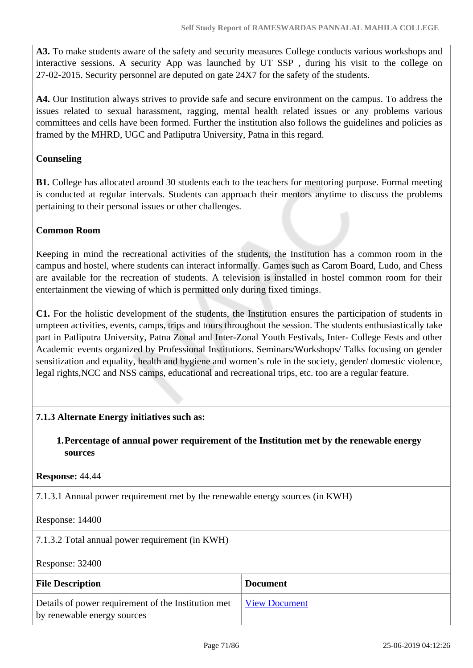**A3.** To make students aware of the safety and security measures College conducts various workshops and interactive sessions. A security App was launched by UT SSP , during his visit to the college on 27-02-2015. Security personnel are deputed on gate 24X7 for the safety of the students.

**A4.** Our Institution always strives to provide safe and secure environment on the campus. To address the issues related to sexual harassment, ragging, mental health related issues or any problems various committees and cells have been formed. Further the institution also follows the guidelines and policies as framed by the MHRD, UGC and Patliputra University, Patna in this regard.

### **Counseling**

**B1.** College has allocated around 30 students each to the teachers for mentoring purpose. Formal meeting is conducted at regular intervals. Students can approach their mentors anytime to discuss the problems pertaining to their personal issues or other challenges.

### **Common Room**

Keeping in mind the recreational activities of the students, the Institution has a common room in the campus and hostel, where students can interact informally. Games such as Carom Board, Ludo, and Chess are available for the recreation of students. A television is installed in hostel common room for their entertainment the viewing of which is permitted only during fixed timings.

**C1.** For the holistic development of the students, the Institution ensures the participation of students in umpteen activities, events, camps, trips and tours throughout the session. The students enthusiastically take part in Patliputra University, Patna Zonal and Inter-Zonal Youth Festivals, Inter- College Fests and other Academic events organized by Professional Institutions. Seminars/Workshops/ Talks focusing on gender sensitization and equality, health and hygiene and women's role in the society, gender/ domestic violence, legal rights,NCC and NSS camps, educational and recreational trips, etc. too are a regular feature.

### **7.1.3 Alternate Energy initiatives such as:**

**1.Percentage of annual power requirement of the Institution met by the renewable energy sources**

#### **Response:** 44.44

7.1.3.1 Annual power requirement met by the renewable energy sources (in KWH)

#### Response: 14400

7.1.3.2 Total annual power requirement (in KWH)

Response: 32400

| <b>File Description</b>                                                            | <b>Document</b>      |
|------------------------------------------------------------------------------------|----------------------|
| Details of power requirement of the Institution met<br>by renewable energy sources | <b>View Document</b> |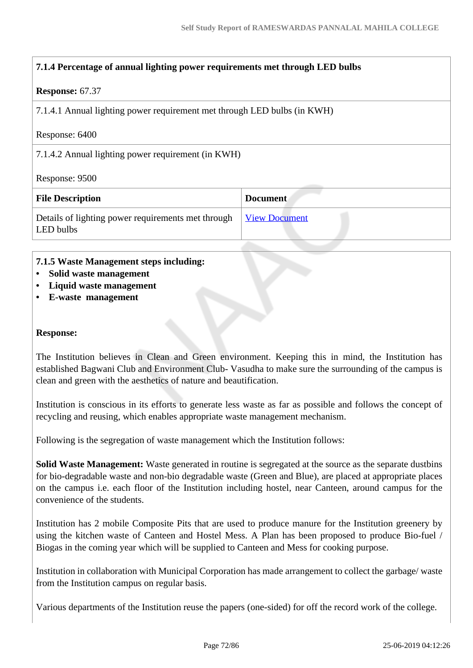### **7.1.4 Percentage of annual lighting power requirements met through LED bulbs**

#### **Response:** 67.37

7.1.4.1 Annual lighting power requirement met through LED bulbs (in KWH)

Response: 6400

7.1.4.2 Annual lighting power requirement (in KWH)

Response: 9500

| <b>File Description</b>                                         | <b>Document</b>      |
|-----------------------------------------------------------------|----------------------|
| Details of lighting power requirements met through<br>LED bulbs | <u>View Document</u> |

#### **7.1.5 Waste Management steps including:**

- **Solid waste management**
- **Liquid waste management**
- **E-waste management**

#### **Response:**

The Institution believes in Clean and Green environment. Keeping this in mind, the Institution has established Bagwani Club and Environment Club- Vasudha to make sure the surrounding of the campus is clean and green with the aesthetics of nature and beautification.

Institution is conscious in its efforts to generate less waste as far as possible and follows the concept of recycling and reusing, which enables appropriate waste management mechanism.

Following is the segregation of waste management which the Institution follows:

**Solid Waste Management:** Waste generated in routine is segregated at the source as the separate dustbins for bio-degradable waste and non-bio degradable waste (Green and Blue), are placed at appropriate places on the campus i.e. each floor of the Institution including hostel, near Canteen, around campus for the convenience of the students.

Institution has 2 mobile Composite Pits that are used to produce manure for the Institution greenery by using the kitchen waste of Canteen and Hostel Mess. A Plan has been proposed to produce Bio-fuel / Biogas in the coming year which will be supplied to Canteen and Mess for cooking purpose.

Institution in collaboration with Municipal Corporation has made arrangement to collect the garbage/ waste from the Institution campus on regular basis.

Various departments of the Institution reuse the papers (one-sided) for off the record work of the college.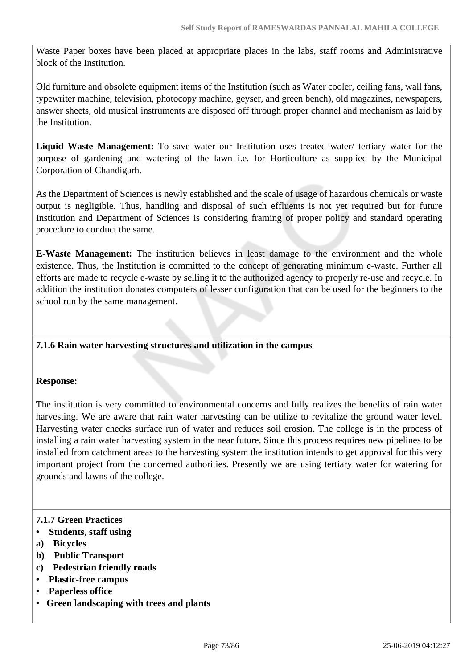Waste Paper boxes have been placed at appropriate places in the labs, staff rooms and Administrative block of the Institution.

Old furniture and obsolete equipment items of the Institution (such as Water cooler, ceiling fans, wall fans, typewriter machine, television, photocopy machine, geyser, and green bench), old magazines, newspapers, answer sheets, old musical instruments are disposed off through proper channel and mechanism as laid by the Institution.

**Liquid Waste Management:** To save water our Institution uses treated water/ tertiary water for the purpose of gardening and watering of the lawn i.e. for Horticulture as supplied by the Municipal Corporation of Chandigarh.

As the Department of Sciences is newly established and the scale of usage of hazardous chemicals or waste output is negligible. Thus, handling and disposal of such effluents is not yet required but for future Institution and Department of Sciences is considering framing of proper policy and standard operating procedure to conduct the same.

**E-Waste Management:** The institution believes in least damage to the environment and the whole existence. Thus, the Institution is committed to the concept of generating minimum e-waste. Further all efforts are made to recycle e-waste by selling it to the authorized agency to properly re-use and recycle. In addition the institution donates computers of lesser configuration that can be used for the beginners to the school run by the same management.

#### **7.1.6 Rain water harvesting structures and utilization in the campus**

#### **Response:**

The institution is very committed to environmental concerns and fully realizes the benefits of rain water harvesting. We are aware that rain water harvesting can be utilize to revitalize the ground water level. Harvesting water checks surface run of water and reduces soil erosion. The college is in the process of installing a rain water harvesting system in the near future. Since this process requires new pipelines to be installed from catchment areas to the harvesting system the institution intends to get approval for this very important project from the concerned authorities. Presently we are using tertiary water for watering for grounds and lawns of the college.

#### **7.1.7 Green Practices**

- **Students, staff using**
- **a) Bicycles**
- **b) Public Transport**
- **c) Pedestrian friendly roads**
- **Plastic-free campus**
- **Paperless office**
- **Green landscaping with trees and plants**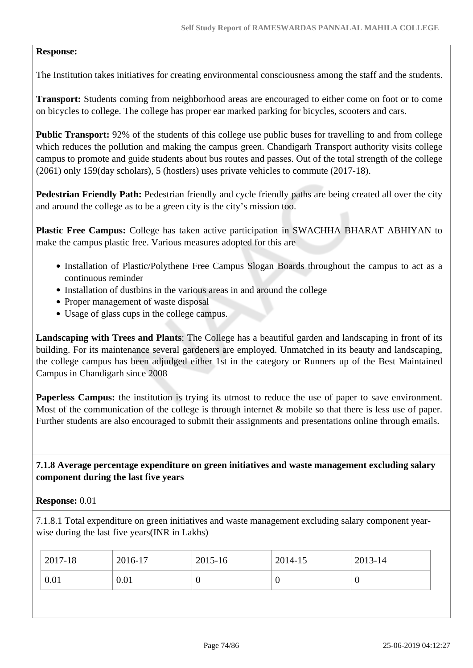## **Response:**

The Institution takes initiatives for creating environmental consciousness among the staff and the students.

**Transport:** Students coming from neighborhood areas are encouraged to either come on foot or to come on bicycles to college. The college has proper ear marked parking for bicycles, scooters and cars.

**Public Transport:** 92% of the students of this college use public buses for travelling to and from college which reduces the pollution and making the campus green. Chandigarh Transport authority visits college campus to promote and guide students about bus routes and passes. Out of the total strength of the college (2061) only 159(day scholars), 5 (hostlers) uses private vehicles to commute (2017-18).

**Pedestrian Friendly Path:** Pedestrian friendly and cycle friendly paths are being created all over the city and around the college as to be a green city is the city's mission too.

**Plastic Free Campus:** College has taken active participation in SWACHHA BHARAT ABHIYAN to make the campus plastic free. Various measures adopted for this are

- Installation of Plastic/Polythene Free Campus Slogan Boards throughout the campus to act as a continuous reminder
- Installation of dustbins in the various areas in and around the college
- Proper management of waste disposal
- Usage of glass cups in the college campus.

**Landscaping with Trees and Plants**: The College has a beautiful garden and landscaping in front of its building. For its maintenance several gardeners are employed. Unmatched in its beauty and landscaping, the college campus has been adjudged either 1st in the category or Runners up of the Best Maintained Campus in Chandigarh since 2008

**Paperless Campus:** the institution is trying its utmost to reduce the use of paper to save environment. Most of the communication of the college is through internet  $\&$  mobile so that there is less use of paper. Further students are also encouraged to submit their assignments and presentations online through emails.

 **7.1.8 Average percentage expenditure on green initiatives and waste management excluding salary component during the last five years**

#### **Response:** 0.01

7.1.8.1 Total expenditure on green initiatives and waste management excluding salary component yearwise during the last five years(INR in Lakhs)

| 2017-18 | 2016-17 | 2015-16 | 2014-15 | 2013-14 |
|---------|---------|---------|---------|---------|
| 0.01    | 0.01    | 0       |         | ν       |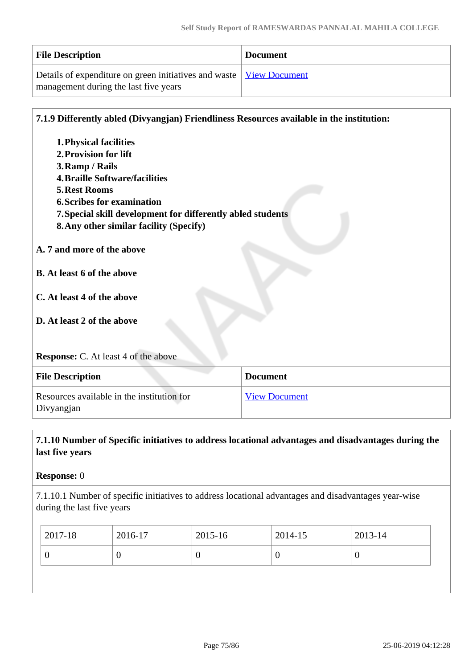| <b>File Description</b>                                               | <b>Document</b> |
|-----------------------------------------------------------------------|-----------------|
| Details of expenditure on green initiatives and waste   View Document |                 |
| management during the last five years                                 |                 |

| 7.1.9 Differently abled (Divyangjan) Friendliness Resources available in the institution: |                      |
|-------------------------------------------------------------------------------------------|----------------------|
| <b>1. Physical facilities</b>                                                             |                      |
| 2. Provision for lift                                                                     |                      |
| 3. Ramp / Rails                                                                           |                      |
| <b>4. Braille Software/facilities</b>                                                     |                      |
| <b>5. Rest Rooms</b>                                                                      |                      |
| <b>6. Scribes for examination</b>                                                         |                      |
| 7. Special skill development for differently abled students                               |                      |
| 8. Any other similar facility (Specify)                                                   |                      |
| A. 7 and more of the above                                                                |                      |
| <b>B.</b> At least 6 of the above                                                         |                      |
| C. At least 4 of the above                                                                |                      |
|                                                                                           |                      |
| D. At least 2 of the above                                                                |                      |
|                                                                                           |                      |
| <b>Response:</b> C. At least 4 of the above                                               |                      |
| <b>File Description</b>                                                                   | <b>Document</b>      |
| Resources available in the institution for<br>Divyangjan                                  | <b>View Document</b> |

## **7.1.10 Number of Specific initiatives to address locational advantages and disadvantages during the last five years**

## **Response:** 0

7.1.10.1 Number of specific initiatives to address locational advantages and disadvantages year-wise during the last five years

| 2017-18 | 2016-17 | $2015 - 16$ | 2014-15 | 2013-14 |
|---------|---------|-------------|---------|---------|
| ν       |         |             | U       | ν       |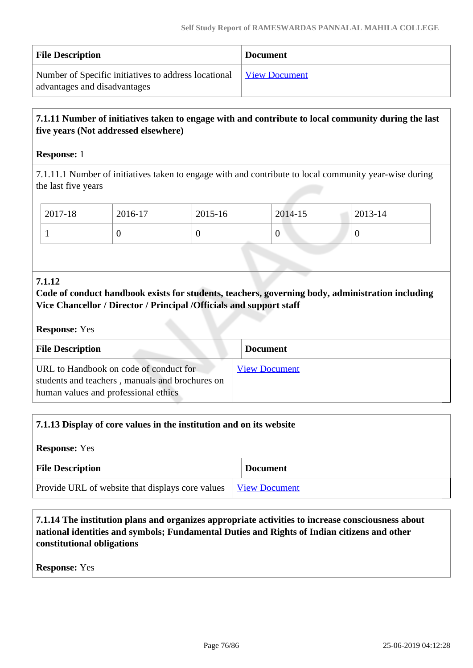| <b>File Description</b>                                                              | <b>Document</b> |
|--------------------------------------------------------------------------------------|-----------------|
| Number of Specific initiatives to address locational<br>advantages and disadvantages | View Document   |

## **7.1.11 Number of initiatives taken to engage with and contribute to local community during the last five years (Not addressed elsewhere)**

#### **Response:** 1

7.1.11.1 Number of initiatives taken to engage with and contribute to local community year-wise during the last five years

| 2017-18 | 2016-17 | 2015-16 | 2014-15 | 2013-14          |
|---------|---------|---------|---------|------------------|
|         |         | ν       | v       | $\boldsymbol{0}$ |

#### **7.1.12**

## **Code of conduct handbook exists for students, teachers, governing body, administration including Vice Chancellor / Director / Principal /Officials and support staff**

#### **Response:** Yes

| <b>File Description</b>                                                                                                           | <b>Document</b>      |
|-----------------------------------------------------------------------------------------------------------------------------------|----------------------|
| URL to Handbook on code of conduct for<br>students and teachers, manuals and brochures on<br>human values and professional ethics | <b>View Document</b> |

| 7.1.13 Display of core values in the institution and on its website |  |                      |  |  |
|---------------------------------------------------------------------|--|----------------------|--|--|
| <b>Response:</b> Yes                                                |  |                      |  |  |
| <b>File Description</b><br><b>Document</b>                          |  |                      |  |  |
| Provide URL of website that displays core values                    |  | <b>View Document</b> |  |  |

 **7.1.14 The institution plans and organizes appropriate activities to increase consciousness about national identities and symbols; Fundamental Duties and Rights of Indian citizens and other constitutional obligations**

**Response:** Yes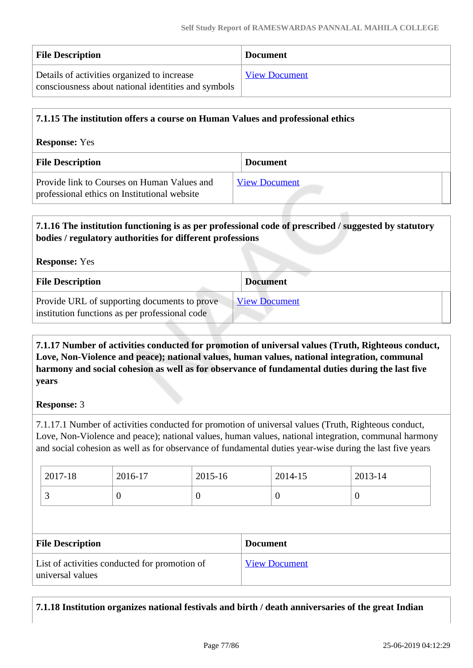| <b>File Description</b>                                                                            | <b>Document</b>      |
|----------------------------------------------------------------------------------------------------|----------------------|
| Details of activities organized to increase<br>consciousness about national identities and symbols | <b>View Document</b> |

| 7.1.15 The institution offers a course on Human Values and professional ethics              |                      |  |  |  |
|---------------------------------------------------------------------------------------------|----------------------|--|--|--|
| <b>Response:</b> Yes                                                                        |                      |  |  |  |
| <b>File Description</b>                                                                     | <b>Document</b>      |  |  |  |
| Provide link to Courses on Human Values and<br>professional ethics on Institutional website | <b>View Document</b> |  |  |  |

# **7.1.16 The institution functioning is as per professional code of prescribed / suggested by statutory bodies / regulatory authorities for different professions Response:** Yes **File Description Document**

| THE DESCRIPTION                                | Document             |
|------------------------------------------------|----------------------|
| Provide URL of supporting documents to prove   | <b>View Document</b> |
| institution functions as per professional code |                      |

## **7.1.17 Number of activities conducted for promotion of universal values (Truth, Righteous conduct, Love, Non-Violence and peace); national values, human values, national integration, communal harmony and social cohesion as well as for observance of fundamental duties during the last five years**

## **Response:** 3

7.1.17.1 Number of activities conducted for promotion of universal values (Truth, Righteous conduct, Love, Non-Violence and peace); national values, human values, national integration, communal harmony and social cohesion as well as for observance of fundamental duties year-wise during the last five years

| $2017 - 18$ | 2016-17 | $2015 - 16$ | 2014-15 | $2013 - 14$ |
|-------------|---------|-------------|---------|-------------|
| <u>ب</u>    |         |             |         |             |

| <b>File Description</b>                                           | <b>Document</b>      |
|-------------------------------------------------------------------|----------------------|
| List of activities conducted for promotion of<br>universal values | <b>View Document</b> |

## **7.1.18 Institution organizes national festivals and birth / death anniversaries of the great Indian**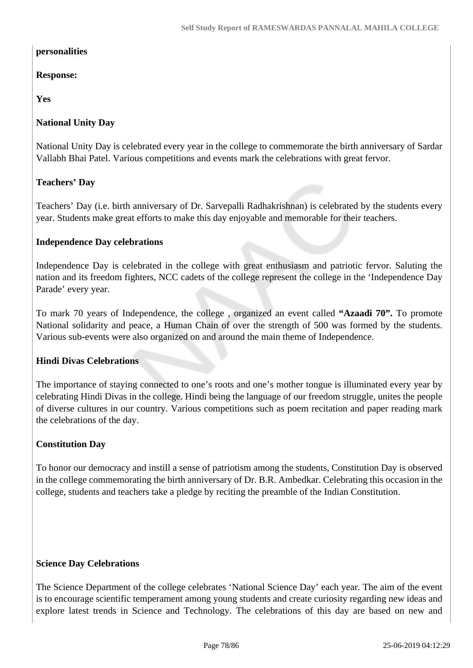#### **personalities**

## **Response:**

## **Yes**

## **National Unity Day**

National Unity Day is celebrated every year in the college to commemorate the birth anniversary of Sardar Vallabh Bhai Patel. Various competitions and events mark the celebrations with great fervor.

## **Teachers' Day**

Teachers' Day (i.e. birth anniversary of Dr. Sarvepalli Radhakrishnan) is celebrated by the students every year. Students make great efforts to make this day enjoyable and memorable for their teachers.

## **Independence Day celebrations**

Independence Day is celebrated in the college with great enthusiasm and patriotic fervor. Saluting the nation and its freedom fighters, NCC cadets of the college represent the college in the 'Independence Day Parade' every year.

To mark 70 years of Independence, the college , organized an event called **"Azaadi 70".** To promote National solidarity and peace, a Human Chain of over the strength of 500 was formed by the students. Various sub-events were also organized on and around the main theme of Independence.

#### **Hindi Divas Celebrations**

The importance of staying connected to one's roots and one's mother tongue is illuminated every year by celebrating Hindi Divas in the college. Hindi being the language of our freedom struggle, unites the people of diverse cultures in our country. Various competitions such as poem recitation and paper reading mark the celebrations of the day.

#### **Constitution Day**

To honor our democracy and instill a sense of patriotism among the students, Constitution Day is observed in the college commemorating the birth anniversary of Dr. B.R. Ambedkar. Celebrating this occasion in the college, students and teachers take a pledge by reciting the preamble of the Indian Constitution.

#### **Science Day Celebrations**

The Science Department of the college celebrates 'National Science Day' each year. The aim of the event is to encourage scientific temperament among young students and create curiosity regarding new ideas and explore latest trends in Science and Technology. The celebrations of this day are based on new and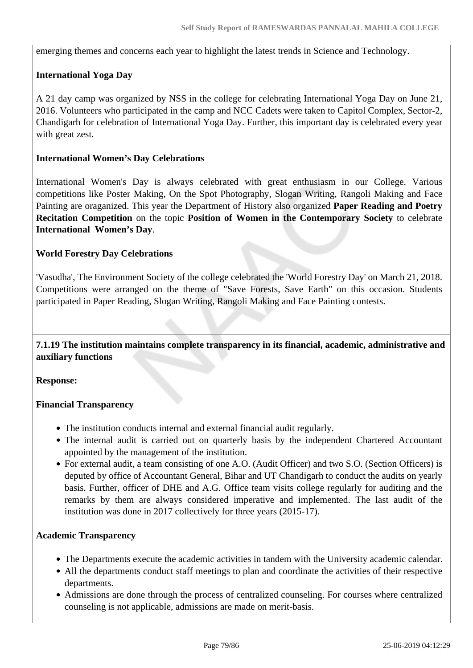emerging themes and concerns each year to highlight the latest trends in Science and Technology.

## **International Yoga Day**

A 21 day camp was organized by NSS in the college for celebrating International Yoga Day on June 21, 2016. Volunteers who participated in the camp and NCC Cadets were taken to Capitol Complex, Sector-2, Chandigarh for celebration of International Yoga Day. Further, this important day is celebrated every year with great zest.

#### **International Women's Day Celebrations**

International Women's Day is always celebrated with great enthusiasm in our College. Various competitions like Poster Making, On the Spot Photography, Slogan Writing, Rangoli Making and Face Painting are oraganized. This year the Department of History also organized **Paper Reading and Poetry Recitation Competition** on the topic **Position of Women in the Contemporary Society** to celebrate **International Women's Day**.

#### **World Forestry Day Celebrations**

'Vasudha', The Environment Society of the college celebrated the 'World Forestry Day' on March 21, 2018. Competitions were arranged on the theme of "Save Forests, Save Earth" on this occasion. Students participated in Paper Reading, Slogan Writing, Rangoli Making and Face Painting contests.

 **7.1.19 The institution maintains complete transparency in its financial, academic, administrative and auxiliary functions**

**Response:** 

#### **Financial Transparency**

- The institution conducts internal and external financial audit regularly.
- The internal audit is carried out on quarterly basis by the independent Chartered Accountant appointed by the management of the institution.
- For external audit, a team consisting of one A.O. (Audit Officer) and two S.O. (Section Officers) is deputed by office of Accountant General, Bihar and UT Chandigarh to conduct the audits on yearly basis. Further, officer of DHE and A.G. Office team visits college regularly for auditing and the remarks by them are always considered imperative and implemented. The last audit of the institution was done in 2017 collectively for three years (2015-17).

#### **Academic Transparency**

- The Departments execute the academic activities in tandem with the University academic calendar.
- All the departments conduct staff meetings to plan and coordinate the activities of their respective departments.
- Admissions are done through the process of centralized counseling. For courses where centralized counseling is not applicable, admissions are made on merit-basis.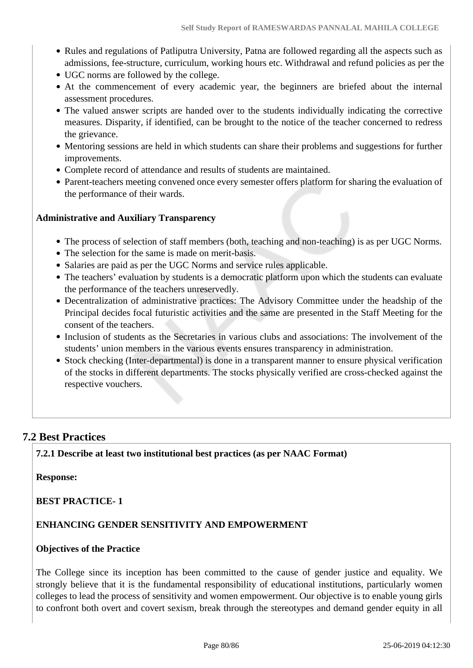- Rules and regulations of Patliputra University, Patna are followed regarding all the aspects such as admissions, fee-structure, curriculum, working hours etc. Withdrawal and refund policies as per the
- UGC norms are followed by the college.
- At the commencement of every academic year, the beginners are briefed about the internal assessment procedures.
- The valued answer scripts are handed over to the students individually indicating the corrective measures. Disparity, if identified, can be brought to the notice of the teacher concerned to redress the grievance.
- Mentoring sessions are held in which students can share their problems and suggestions for further improvements.
- Complete record of attendance and results of students are maintained.
- Parent-teachers meeting convened once every semester offers platform for sharing the evaluation of the performance of their wards.

## **Administrative and Auxiliary Transparency**

- The process of selection of staff members (both, teaching and non-teaching) is as per UGC Norms.
- The selection for the same is made on merit-basis.
- Salaries are paid as per the UGC Norms and service rules applicable.
- The teachers' evaluation by students is a democratic platform upon which the students can evaluate the performance of the teachers unreservedly.
- Decentralization of administrative practices: The Advisory Committee under the headship of the Principal decides focal futuristic activities and the same are presented in the Staff Meeting for the consent of the teachers.
- Inclusion of students as the Secretaries in various clubs and associations: The involvement of the students' union members in the various events ensures transparency in administration.
- Stock checking (Inter-departmental) is done in a transparent manner to ensure physical verification of the stocks in different departments. The stocks physically verified are cross-checked against the respective vouchers.

## **7.2 Best Practices**

**7.2.1 Describe at least two institutional best practices (as per NAAC Format)**

#### **Response:**

#### **BEST PRACTICE- 1**

#### **ENHANCING GENDER SENSITIVITY AND EMPOWERMENT**

#### **Objectives of the Practice**

The College since its inception has been committed to the cause of gender justice and equality. We strongly believe that it is the fundamental responsibility of educational institutions, particularly women colleges to lead the process of sensitivity and women empowerment. Our objective is to enable young girls to confront both overt and covert sexism, break through the stereotypes and demand gender equity in all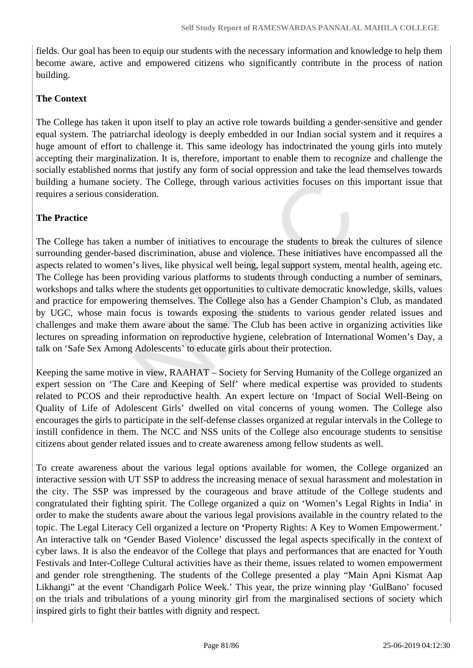fields. Our goal has been to equip our students with the necessary information and knowledge to help them become aware, active and empowered citizens who significantly contribute in the process of nation building.

#### **The Context**

The College has taken it upon itself to play an active role towards building a gender-sensitive and gender equal system. The patriarchal ideology is deeply embedded in our Indian social system and it requires a huge amount of effort to challenge it. This same ideology has indoctrinated the young girls into mutely accepting their marginalization. It is, therefore, important to enable them to recognize and challenge the socially established norms that justify any form of social oppression and take the lead themselves towards building a humane society. The College, through various activities focuses on this important issue that requires a serious consideration.

## **The Practice**

The College has taken a number of initiatives to encourage the students to break the cultures of silence surrounding gender-based discrimination, abuse and violence. These initiatives have encompassed all the aspects related to women's lives, like physical well being, legal support system, mental health, ageing etc. The College has been providing various platforms to students through conducting a number of seminars, workshops and talks where the students get opportunities to cultivate democratic knowledge, skills, values and practice for empowering themselves. The College also has a Gender Champion's Club, as mandated by UGC, whose main focus is towards exposing the students to various gender related issues and challenges and make them aware about the same. The Club has been active in organizing activities like lectures on spreading information on reproductive hygiene, celebration of International Women's Day, a talk on 'Safe Sex Among Adolescents' to educate girls about their protection.

Keeping the same motive in view, RAAHAT – Society for Serving Humanity of the College organized an expert session on 'The Care and Keeping of Self' where medical expertise was provided to students related to PCOS and their reproductive health. An expert lecture on 'Impact of Social Well-Being on Quality of Life of Adolescent Girls' dwelled on vital concerns of young women. The College also encourages the girls to participate in the self-defense classes organized at regular intervals in the College to instill confidence in them. The NCC and NSS units of the College also encourage students to sensitise citizens about gender related issues and to create awareness among fellow students as well.

To create awareness about the various legal options available for women, the College organized an interactive session with UT SSP to address the increasing menace of sexual harassment and molestation in the city. The SSP was impressed by the courageous and brave attitude of the College students and congratulated their fighting spirit. The College organized a quiz on 'Women's Legal Rights in India' in order to make the students aware about the various legal provisions available in the country related to the topic. The Legal Literacy Cell organized a lecture on **'**Property Rights: A Key to Women Empowerment.' An interactive talk on **'**Gender Based Violence' discussed the legal aspects specifically in the context of cyber laws. It is also the endeavor of the College that plays and performances that are enacted for Youth Festivals and Inter-College Cultural activities have as their theme, issues related to women empowerment and gender role strengthening. The students of the College presented a play "Main Apni Kismat Aap Likhangi" at the event 'Chandigarh Police Week.' This year, the prize winning play 'GulBano' focused on the trials and tribulations of a young minority girl from the marginalised sections of society which inspired girls to fight their battles with dignity and respect.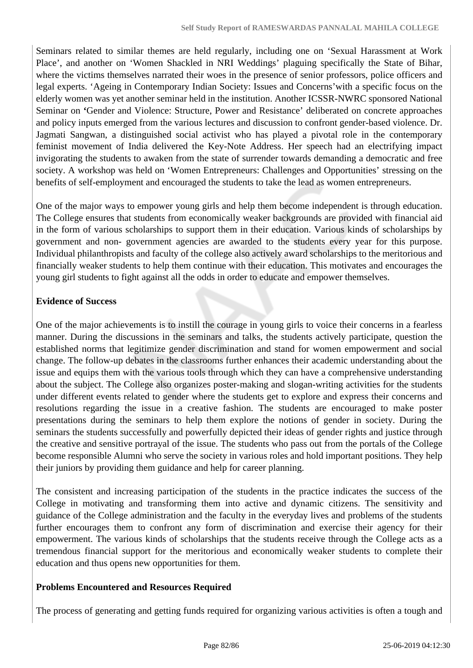Seminars related to similar themes are held regularly, including one on 'Sexual Harassment at Work Place', and another on 'Women Shackled in NRI Weddings' plaguing specifically the State of Bihar, where the victims themselves narrated their woes in the presence of senior professors, police officers and legal experts. 'Ageing in Contemporary Indian Society: Issues and Concerns'with a specific focus on the elderly women was yet another seminar held in the institution. Another ICSSR-NWRC sponsored National Seminar on **'**Gender and Violence: Structure, Power and Resistance' deliberated on concrete approaches and policy inputs emerged from the various lectures and discussion to confront gender-based violence. Dr. Jagmati Sangwan, a distinguished social activist who has played a pivotal role in the contemporary feminist movement of India delivered the Key-Note Address. Her speech had an electrifying impact invigorating the students to awaken from the state of surrender towards demanding a democratic and free society. A workshop was held on 'Women Entrepreneurs: Challenges and Opportunities' stressing on the benefits of self-employment and encouraged the students to take the lead as women entrepreneurs.

One of the major ways to empower young girls and help them become independent is through education. The College ensures that students from economically weaker backgrounds are provided with financial aid in the form of various scholarships to support them in their education. Various kinds of scholarships by government and non- government agencies are awarded to the students every year for this purpose. Individual philanthropists and faculty of the college also actively award scholarships to the meritorious and financially weaker students to help them continue with their education. This motivates and encourages the young girl students to fight against all the odds in order to educate and empower themselves.

## **Evidence of Success**

One of the major achievements is to instill the courage in young girls to voice their concerns in a fearless manner. During the discussions in the seminars and talks, the students actively participate, question the established norms that legitimize gender discrimination and stand for women empowerment and social change. The follow-up debates in the classrooms further enhances their academic understanding about the issue and equips them with the various tools through which they can have a comprehensive understanding about the subject. The College also organizes poster-making and slogan-writing activities for the students under different events related to gender where the students get to explore and express their concerns and resolutions regarding the issue in a creative fashion. The students are encouraged to make poster presentations during the seminars to help them explore the notions of gender in society. During the seminars the students successfully and powerfully depicted their ideas of gender rights and justice through the creative and sensitive portrayal of the issue. The students who pass out from the portals of the College become responsible Alumni who serve the society in various roles and hold important positions. They help their juniors by providing them guidance and help for career planning.

The consistent and increasing participation of the students in the practice indicates the success of the College in motivating and transforming them into active and dynamic citizens. The sensitivity and guidance of the College administration and the faculty in the everyday lives and problems of the students further encourages them to confront any form of discrimination and exercise their agency for their empowerment. The various kinds of scholarships that the students receive through the College acts as a tremendous financial support for the meritorious and economically weaker students to complete their education and thus opens new opportunities for them.

## **Problems Encountered and Resources Required**

The process of generating and getting funds required for organizing various activities is often a tough and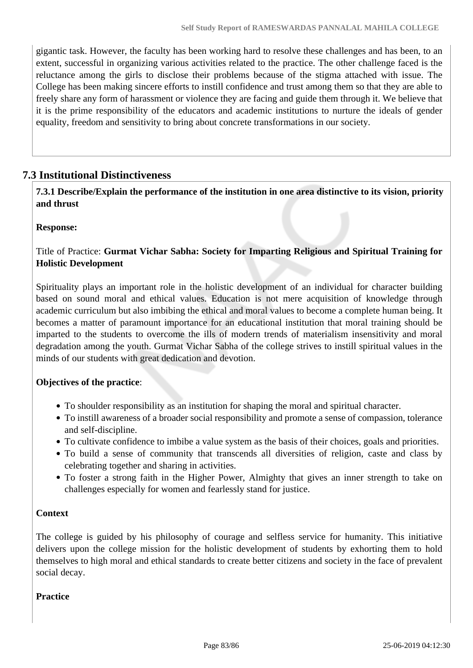gigantic task. However, the faculty has been working hard to resolve these challenges and has been, to an extent, successful in organizing various activities related to the practice. The other challenge faced is the reluctance among the girls to disclose their problems because of the stigma attached with issue. The College has been making sincere efforts to instill confidence and trust among them so that they are able to freely share any form of harassment or violence they are facing and guide them through it. We believe that it is the prime responsibility of the educators and academic institutions to nurture the ideals of gender equality, freedom and sensitivity to bring about concrete transformations in our society.

## **7.3 Institutional Distinctiveness**

 **7.3.1 Describe/Explain the performance of the institution in one area distinctive to its vision, priority and thrust**

#### **Response:**

Title of Practice: **Gurmat Vichar Sabha: Society for Imparting Religious and Spiritual Training for Holistic Development**

Spirituality plays an important role in the holistic development of an individual for character building based on sound moral and ethical values. Education is not mere acquisition of knowledge through academic curriculum but also imbibing the ethical and moral values to become a complete human being. It becomes a matter of paramount importance for an educational institution that moral training should be imparted to the students to overcome the ills of modern trends of materialism insensitivity and moral degradation among the youth. Gurmat Vichar Sabha of the college strives to instill spiritual values in the minds of our students with great dedication and devotion.

#### **Objectives of the practice**:

- To shoulder responsibility as an institution for shaping the moral and spiritual character.
- To instill awareness of a broader social responsibility and promote a sense of compassion, tolerance and self-discipline.
- To cultivate confidence to imbibe a value system as the basis of their choices, goals and priorities.
- To build a sense of community that transcends all diversities of religion, caste and class by celebrating together and sharing in activities.
- To foster a strong faith in the Higher Power, Almighty that gives an inner strength to take on challenges especially for women and fearlessly stand for justice.

#### **Context**

The college is guided by his philosophy of courage and selfless service for humanity. This initiative delivers upon the college mission for the holistic development of students by exhorting them to hold themselves to high moral and ethical standards to create better citizens and society in the face of prevalent social decay.

#### **Practice**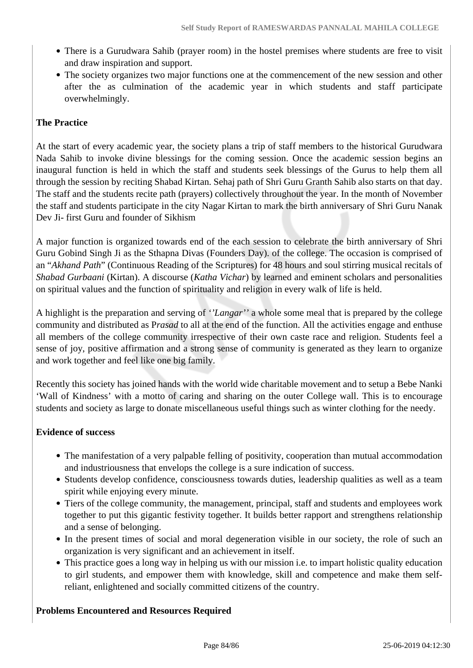- There is a Gurudwara Sahib (prayer room) in the hostel premises where students are free to visit and draw inspiration and support.
- The society organizes two major functions one at the commencement of the new session and other after the as culmination of the academic year in which students and staff participate overwhelmingly.

## **The Practice**

At the start of every academic year, the society plans a trip of staff members to the historical Gurudwara Nada Sahib to invoke divine blessings for the coming session. Once the academic session begins an inaugural function is held in which the staff and students seek blessings of the Gurus to help them all through the session by reciting Shabad Kirtan. Sehaj path of Shri Guru Granth Sahib also starts on that day. The staff and the students recite path (prayers) collectively throughout the year. In the month of November the staff and students participate in the city Nagar Kirtan to mark the birth anniversary of Shri Guru Nanak Dev Ji- first Guru and founder of Sikhism

A major function is organized towards end of the each session to celebrate the birth anniversary of Shri Guru Gobind Singh Ji as the Sthapna Divas (Founders Day). of the college. The occasion is comprised of an "*Akhand Path*" (Continuous Reading of the Scriptures) for 48 hours and soul stirring musical recitals of *Shabad Gurbaani* (Kirtan). A discourse (*Katha Vichar*) by learned and eminent scholars and personalities on spiritual values and the function of spirituality and religion in every walk of life is held.

A highlight is the preparation and serving of *''Langar''* a whole some meal that is prepared by the college community and distributed as P*rasad* to all at the end of the function. All the activities engage and enthuse all members of the college community irrespective of their own caste race and religion. Students feel a sense of joy, positive affirmation and a strong sense of community is generated as they learn to organize and work together and feel like one big family.

Recently this society has joined hands with the world wide charitable movement and to setup a Bebe Nanki 'Wall of Kindness' with a motto of caring and sharing on the outer College wall. This is to encourage students and society as large to donate miscellaneous useful things such as winter clothing for the needy.

## **Evidence of success**

- The manifestation of a very palpable felling of positivity, cooperation than mutual accommodation and industriousness that envelops the college is a sure indication of success.
- Students develop confidence, consciousness towards duties, leadership qualities as well as a team spirit while enjoying every minute.
- Tiers of the college community, the management, principal, staff and students and employees work together to put this gigantic festivity together. It builds better rapport and strengthens relationship and a sense of belonging.
- In the present times of social and moral degeneration visible in our society, the role of such an organization is very significant and an achievement in itself.
- This practice goes a long way in helping us with our mission i.e. to impart holistic quality education to girl students, and empower them with knowledge, skill and competence and make them selfreliant, enlightened and socially committed citizens of the country.

## **Problems Encountered and Resources Required**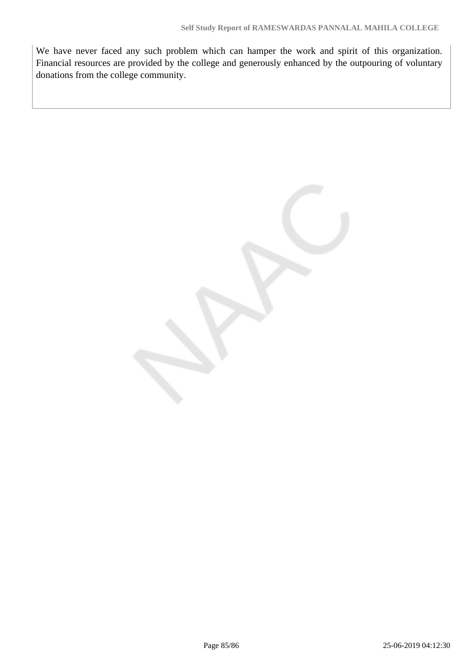We have never faced any such problem which can hamper the work and spirit of this organization. Financial resources are provided by the college and generously enhanced by the outpouring of voluntary donations from the college community.